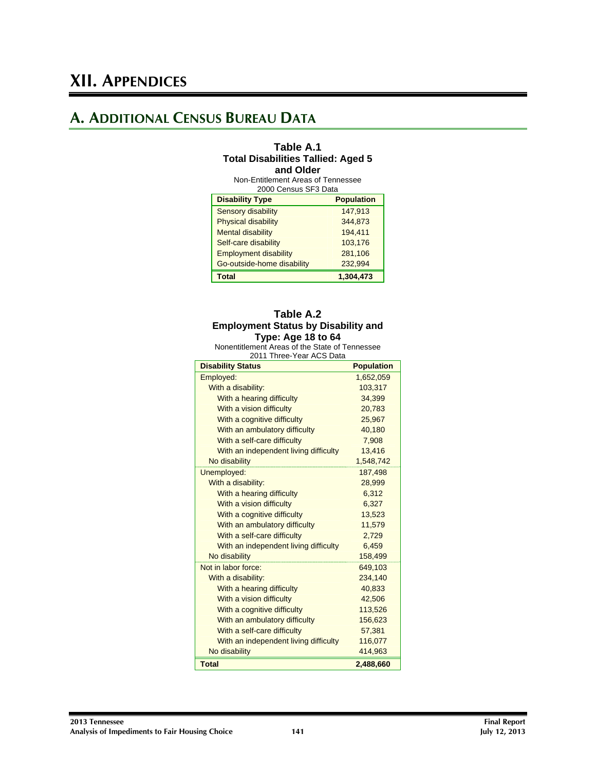## **A. ADDITIONAL CENSUS BUREAU DATA**

#### **Table A.1 Total Disabilities Tallied: Aged 5 and Older**

Non-Entitlement Areas of Tennessee 2000 Census SF3 Data

| <b>Disability Type</b>       | <b>Population</b> |
|------------------------------|-------------------|
| <b>Sensory disability</b>    | 147,913           |
| <b>Physical disability</b>   | 344.873           |
| <b>Mental disability</b>     | 194,411           |
| Self-care disability         | 103.176           |
| <b>Employment disability</b> | 281,106           |
| Go-outside-home disability   | 232,994           |
| Total                        | 1,304,473         |

#### **Table A.2 Employment Status by Disability and Type: Age 18 to 64**

Nonentitlement Areas of the State of Tennessee 2011 Three-Year ACS Data

| <b>Disability Status</b>              | <b>Population</b> |
|---------------------------------------|-------------------|
| Employed:                             | 1,652,059         |
| With a disability:                    | 103,317           |
| With a hearing difficulty             | 34,399            |
| With a vision difficulty              | 20,783            |
| With a cognitive difficulty           | 25,967            |
| With an ambulatory difficulty         | 40,180            |
| With a self-care difficulty           | 7,908             |
| With an independent living difficulty | 13.416            |
| No disability                         | 1,548,742         |
| Unemployed:                           | 187,498           |
| With a disability:                    | 28,999            |
| With a hearing difficulty             | 6,312             |
| With a vision difficulty              | 6,327             |
| With a cognitive difficulty           | 13,523            |
| With an ambulatory difficulty         | 11,579            |
| With a self-care difficulty           | 2,729             |
| With an independent living difficulty | 6,459             |
| No disability                         | 158,499           |
| Not in labor force:                   | 649,103           |
| With a disability:                    | 234,140           |
| With a hearing difficulty             | 40.833            |
| With a vision difficulty              | 42,506            |
| With a cognitive difficulty           | 113,526           |
| With an ambulatory difficulty         | 156,623           |
| With a self-care difficulty           | 57,381            |
| With an independent living difficulty | 116,077           |
| No disability                         | 414,963           |
| <b>Total</b>                          | 2,488,660         |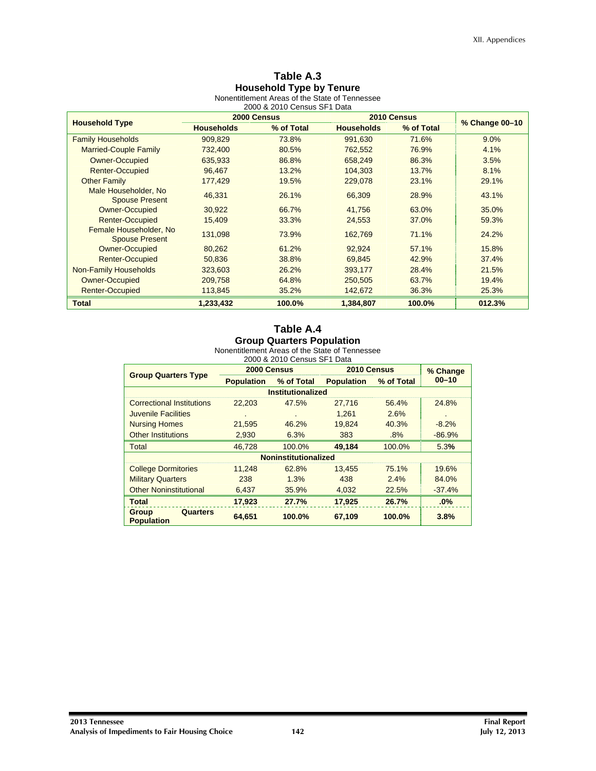## **Table A.3 Household Type by Tenure**

Nonentitlement Areas of the State of Tennessee 2000 & 2010 Census SF1 Data

|                                                 |                   | 2000 Census |                   | 2010 Census |                |  |
|-------------------------------------------------|-------------------|-------------|-------------------|-------------|----------------|--|
| <b>Household Type</b>                           | <b>Households</b> | % of Total  | <b>Households</b> | % of Total  | % Change 00-10 |  |
| <b>Family Households</b>                        | 909.829           | 73.8%       | 991.630           | 71.6%       | 9.0%           |  |
| <b>Married-Couple Family</b>                    | 732,400           | 80.5%       | 762,552           | 76.9%       | 4.1%           |  |
| <b>Owner-Occupied</b>                           | 635,933           | 86.8%       | 658.249           | 86.3%       | 3.5%           |  |
| <b>Renter-Occupied</b>                          | 96,467            | 13.2%       | 104,303           | 13.7%       | 8.1%           |  |
| <b>Other Family</b>                             | 177,429           | 19.5%       | 229,078           | 23.1%       | 29.1%          |  |
| Male Householder, No<br><b>Spouse Present</b>   | 46,331            | 26.1%       | 66,309            | 28.9%       | 43.1%          |  |
| <b>Owner-Occupied</b>                           | 30,922            | 66.7%       | 41.756            | 63.0%       | 35.0%          |  |
| <b>Renter-Occupied</b>                          | 15,409            | 33.3%       | 24,553            | 37.0%       | 59.3%          |  |
| Female Householder, No<br><b>Spouse Present</b> | 131,098           | 73.9%       | 162,769           | 71.1%       | 24.2%          |  |
| <b>Owner-Occupied</b>                           | 80,262            | 61.2%       | 92.924            | 57.1%       | 15.8%          |  |
| <b>Renter-Occupied</b>                          | 50,836            | 38.8%       | 69.845            | 42.9%       | 37.4%          |  |
| Non-Family Households                           | 323,603           | 26.2%       | 393,177           | 28.4%       | 21.5%          |  |
| <b>Owner-Occupied</b>                           | 209,758           | 64.8%       | 250,505           | 63.7%       | 19.4%          |  |
| <b>Renter-Occupied</b>                          | 113,845           | 35.2%       | 142,672           | 36.3%       | 25.3%          |  |
| <b>Total</b>                                    | 1.233.432         | 100.0%      | 1.384.807         | 100.0%      | 012.3%         |  |

## **Table A.4 Group Quarters Population**

|  | 2000 & 2010 Census SF1 Data |  |  |
|--|-----------------------------|--|--|
|  |                             |  |  |

| <b>Group Quarters Type</b>             | 2000 Census       |                             | 2010 Census       | % Change   |                |
|----------------------------------------|-------------------|-----------------------------|-------------------|------------|----------------|
|                                        | <b>Population</b> | % of Total                  | <b>Population</b> | % of Total | $00 - 10$      |
|                                        |                   | <b>Institutionalized</b>    |                   |            |                |
| <b>Correctional Institutions</b>       | 22,203            | 47.5%                       | 27,716            | 56.4%      | 24.8%          |
| Juvenile Facilities                    |                   | $\blacksquare$              | 1.261             | 2.6%       | $\blacksquare$ |
| <b>Nursing Homes</b>                   | 21,595            | 46.2%                       | 19.824            | 40.3%      | $-8.2%$        |
| <b>Other Institutions</b>              | 2,930             | 6.3%                        | 383               | .8%        | $-86.9%$       |
| <b>Total</b>                           | 46.728            | 100.0%                      | 49,184            | 100.0%     | 5.3%           |
|                                        |                   | <b>Noninstitutionalized</b> |                   |            |                |
| <b>College Dormitories</b>             | 11,248            | 62.8%                       | 13,455            | 75.1%      | 19.6%          |
| <b>Military Quarters</b>               | 238               | 1.3%                        | 438               | 2.4%       | 84.0%          |
| <b>Other Noninstitutional</b>          | 6,437             | 35.9%                       | 4,032             | 22.5%      | $-37.4%$       |
| <b>Total</b>                           | 17,923            | 27.7%                       | 17,925            | 26.7%      | .0%            |
| Quarters<br>Group<br><b>Population</b> | 64,651            | 100.0%                      | 67,109            | 100.0%     | 3.8%           |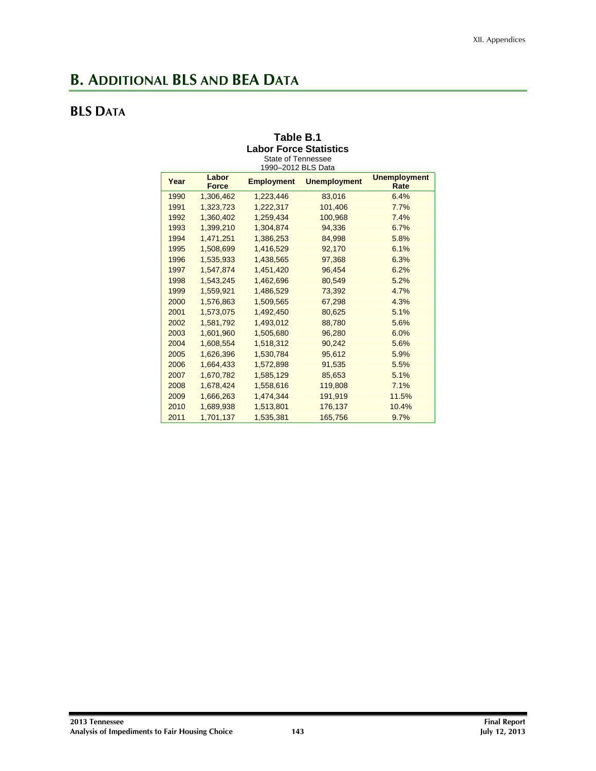## **B. ADDITIONAL BLS AND BEA DATA**

## **BLS DATA**

#### **Table B.1 Labor Force Statistics**  State of Tennessee

| Year | Labor<br><b>Force</b> | <b>Employment</b> | <b>Unemployment</b> | <b>Unemployment</b><br>Rate |
|------|-----------------------|-------------------|---------------------|-----------------------------|
| 1990 | 1,306,462             | 1,223,446         | 83,016              | 6.4%                        |
| 1991 | 1,323,723             | 1,222,317         | 101,406             | 7.7%                        |
| 1992 | 1,360,402             | 1,259,434         | 100,968             | 7.4%                        |
| 1993 | 1,399,210             | 1,304,874         | 94,336              | 6.7%                        |
| 1994 | 1,471,251             | 1,386,253         | 84,998              | 5.8%                        |
| 1995 | 1,508,699             | 1,416,529         | 92,170              | 6.1%                        |
| 1996 | 1,535,933             | 1,438,565         | 97,368              | 6.3%                        |
| 1997 | 1,547,874             | 1,451,420         | 96,454              | 6.2%                        |
| 1998 | 1,543,245             | 1,462,696         | 80,549              | 5.2%                        |
| 1999 | 1,559,921             | 1,486,529         | 73,392              | 4.7%                        |
| 2000 | 1,576,863             | 1,509,565         | 67,298              | 4.3%                        |
| 2001 | 1,573,075             | 1,492,450         | 80,625              | 5.1%                        |
| 2002 | 1,581,792             | 1,493,012         | 88,780              | 5.6%                        |
| 2003 | 1,601,960             | 1,505,680         | 96,280              | 6.0%                        |
| 2004 | 1,608,554             | 1,518,312         | 90,242              | 5.6%                        |
| 2005 | 1,626,396             | 1,530,784         | 95,612              | 5.9%                        |
| 2006 | 1,664,433             | 1,572,898         | 91,535              | 5.5%                        |
| 2007 | 1,670,782             | 1,585,129         | 85,653              | 5.1%                        |
| 2008 | 1,678,424             | 1,558,616         | 119,808             | 7.1%                        |
| 2009 | 1,666,263             | 1,474,344         | 191,919             | 11.5%                       |
| 2010 | 1,689,938             | 1,513,801         | 176,137             | 10.4%                       |
| 2011 | 1,701,137             | 1,535,381         | 165,756             | 9.7%                        |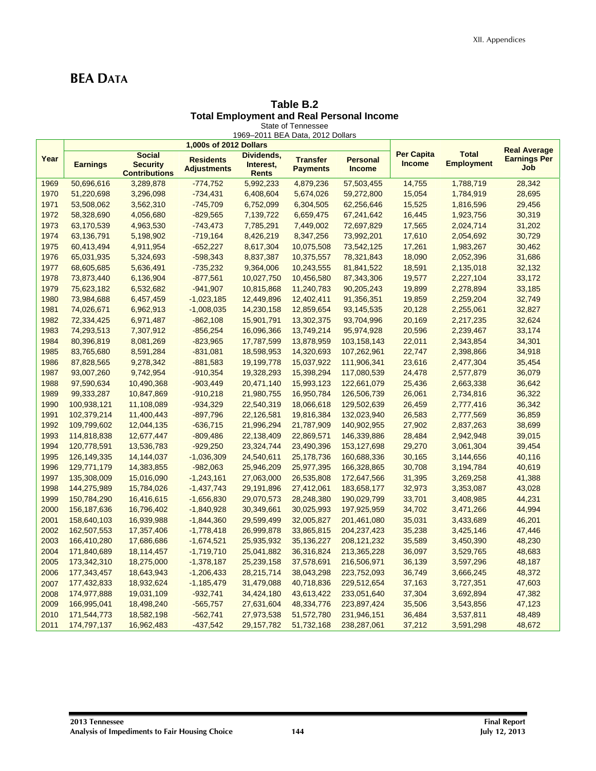## **BEA DATA**

#### **Table B.2 Total Employment and Real Personal Income**  State of Tennessee

|      |                 |                                                          |                                        | 1969-2011 BEA Data, 2012 Dollars        |                                    |                                  |                                    |                                   |                                   |
|------|-----------------|----------------------------------------------------------|----------------------------------------|-----------------------------------------|------------------------------------|----------------------------------|------------------------------------|-----------------------------------|-----------------------------------|
|      |                 |                                                          | 1,000s of 2012 Dollars                 |                                         |                                    |                                  |                                    |                                   | <b>Real Average</b>               |
| Year | <b>Earnings</b> | <b>Social</b><br><b>Security</b><br><b>Contributions</b> | <b>Residents</b><br><b>Adjustments</b> | Dividends,<br>Interest,<br><b>Rents</b> | <b>Transfer</b><br><b>Payments</b> | <b>Personal</b><br><b>Income</b> | <b>Per Capita</b><br><b>Income</b> | <b>Total</b><br><b>Employment</b> | <b>Earnings Per</b><br><b>Job</b> |
| 1969 | 50,696,616      | 3,289,878                                                | $-774,752$                             | 5,992,233                               | 4,879,236                          | 57,503,455                       | 14,755                             | 1,788,719                         | 28,342                            |
| 1970 | 51,220,698      | 3,296,098                                                | $-734,431$                             | 6,408,604                               | 5,674,026                          | 59,272,800                       | 15,054                             | 1,784,919                         | 28,695                            |
| 1971 | 53,508,062      | 3,562,310                                                | $-745,709$                             | 6,752,099                               | 6,304,505                          | 62,256,646                       | 15,525                             | 1,816,596                         | 29,456                            |
| 1972 | 58,328,690      | 4,056,680                                                | $-829,565$                             | 7,139,722                               | 6,659,475                          | 67,241,642                       | 16,445                             | 1,923,756                         | 30,319                            |
| 1973 | 63,170,539      | 4,963,530                                                | $-743,473$                             | 7,785,291                               | 7,449,002                          | 72,697,829                       | 17,565                             | 2,024,714                         | 31,202                            |
| 1974 | 63,136,791      | 5,198,902                                                | $-719,164$                             | 8,426,219                               | 8,347,256                          | 73,992,201                       | 17,610                             | 2,054,692                         | 30,729                            |
| 1975 | 60,413,494      | 4,911,954                                                | $-652,227$                             | 8,617,304                               | 10,075,508                         | 73,542,125                       | 17,261                             | 1,983,267                         | 30,462                            |
| 1976 | 65,031,935      | 5,324,693                                                | $-598,343$                             | 8,837,387                               | 10,375,557                         | 78,321,843                       | 18,090                             | 2,052,396                         | 31,686                            |
| 1977 | 68,605,685      | 5,636,491                                                | $-735,232$                             | 9,364,006                               | 10,243,555                         | 81,841,522                       | 18,591                             | 2,135,018                         | 32,132                            |
| 1978 | 73,873,440      | 6,136,904                                                | $-877,561$                             | 10,027,750                              | 10,456,580                         | 87,343,306                       | 19,577                             | 2,227,104                         | 33,172                            |
| 1979 | 75,623,182      | 6,532,682                                                | $-941,907$                             | 10,815,868                              | 11,240,783                         | 90,205,243                       | 19,899                             | 2,278,894                         | 33,185                            |
| 1980 | 73,984,688      | 6,457,459                                                | $-1,023,185$                           | 12,449,896                              | 12,402,411                         | 91,356,351                       | 19,859                             | 2,259,204                         | 32,749                            |
| 1981 | 74,026,671      | 6,962,913                                                | $-1,008,035$                           | 14,230,158                              | 12,859,654                         | 93,145,535                       | 20,128                             | 2,255,061                         | 32,827                            |
| 1982 | 72,334,425      | 6,971,487                                                | $-862,108$                             | 15,901,791                              | 13,302,375                         | 93,704,996                       | 20,169                             | 2,217,235                         | 32,624                            |
| 1983 | 74,293,513      | 7,307,912                                                | $-856,254$                             | 16,096,366                              | 13,749,214                         | 95,974,928                       | 20,596                             | 2,239,467                         | 33,174                            |
| 1984 | 80,396,819      | 8,081,269                                                | $-823,965$                             | 17,787,599                              | 13,878,959                         | 103, 158, 143                    | 22,011                             | 2,343,854                         | 34,301                            |
| 1985 | 83,765,680      | 8,591,284                                                | $-831,081$                             | 18,598,953                              | 14,320,693                         | 107,262,961                      | 22,747                             | 2,398,866                         | 34,918                            |
| 1986 | 87,828,565      | 9,278,342                                                | $-881,583$                             | 19,199,778                              | 15,037,922                         | 111,906,341                      | 23,616                             | 2,477,304                         | 35,454                            |
| 1987 | 93,007,260      | 9,742,954                                                | $-910,354$                             | 19,328,293                              | 15,398,294                         | 117,080,539                      | 24,478                             | 2,577,879                         | 36,079                            |
| 1988 | 97,590,634      | 10,490,368                                               | $-903,449$                             | 20,471,140                              | 15,993,123                         | 122,661,079                      | 25,436                             | 2,663,338                         | 36,642                            |
| 1989 | 99,333,287      | 10,847,869                                               | $-910,218$                             | 21,980,755                              | 16,950,784                         | 126,506,739                      | 26,061                             | 2,734,816                         | 36,322                            |
| 1990 | 100,938,121     | 11,108,089                                               | $-934,329$                             | 22,540,319                              | 18,066,618                         | 129,502,639                      | 26,459                             | 2,777,416                         | 36,342                            |
| 1991 | 102,379,214     | 11,400,443                                               | $-897,796$                             | 22,126,581                              | 19,816,384                         | 132,023,940                      | 26,583                             | 2,777,569                         | 36,859                            |
| 1992 | 109,799,602     | 12,044,135                                               | $-636,715$                             | 21,996,294                              | 21,787,909                         | 140,902,955                      | 27,902                             | 2,837,263                         | 38,699                            |
| 1993 | 114,818,838     | 12,677,447                                               | $-809,486$                             | 22,138,409                              | 22,869,571                         | 146,339,886                      | 28,484                             | 2,942,948                         | 39,015                            |
| 1994 | 120,778,591     | 13,536,783                                               | $-929,250$                             | 23,324,744                              | 23,490,396                         | 153,127,698                      | 29,270                             | 3,061,304                         | 39,454                            |
| 1995 | 126,149,335     | 14,144,037                                               | $-1,036,309$                           | 24,540,611                              | 25,178,736                         | 160,688,336                      | 30,165                             | 3,144,656                         | 40,116                            |
| 1996 | 129,771,179     | 14,383,855                                               | $-982,063$                             | 25,946,209                              | 25,977,395                         | 166,328,865                      | 30,708                             | 3,194,784                         | 40,619                            |
| 1997 | 135,308,009     | 15,016,090                                               | $-1,243,161$                           | 27,063,000                              | 26,535,808                         | 172,647,566                      | 31,395                             | 3,269,258                         | 41,388                            |
| 1998 | 144,275,989     | 15,784,026                                               | $-1,437,743$                           | 29,191,896                              | 27,412,061                         | 183,658,177                      | 32,973                             | 3,353,087                         | 43,028                            |
| 1999 | 150,784,290     | 16,416,615                                               | $-1,656,830$                           | 29,070,573                              | 28,248,380                         | 190,029,799                      | 33,701                             | 3,408,985                         | 44,231                            |
| 2000 | 156, 187, 636   | 16,796,402                                               | $-1,840,928$                           | 30,349,661                              | 30,025,993                         | 197,925,959                      | 34,702                             | 3,471,266                         | 44,994                            |
| 2001 | 158,640,103     | 16,939,988                                               | $-1,844,360$                           | 29,599,499                              | 32,005,827                         | 201,461,080                      | 35,031                             | 3,433,689                         | 46,201                            |
| 2002 | 162,507,553     | 17,357,406                                               | $-1,778,418$                           | 26,999,878                              | 33,865,815                         | 204,237,423                      | 35,238                             | 3,425,146                         | 47,446                            |
| 2003 | 166,410,280     | 17,686,686                                               | $-1,674,521$                           | 25,935,932                              | 35, 136, 227                       | 208, 121, 232                    | 35,589                             | 3,450,390                         | 48,230                            |
| 2004 | 171,840,689     | 18,114,457                                               | $-1,719,710$                           | 25,041,882                              | 36,316,824                         | 213,365,228                      | 36,097                             | 3,529,765                         | 48,683                            |
| 2005 | 173,342,310     | 18,275,000                                               | $-1,378,187$                           | 25,239,158                              | 37,578,691                         | 216,506,971                      | 36,139                             | 3,597,296                         | 48,187                            |
| 2006 | 177,343,457     | 18,643,943                                               | $-1,206,433$                           | 28,215,714                              | 38,043,298                         | 223,752,093                      | 36,749                             | 3,666,245                         | 48,372                            |
| 2007 | 177,432,833     | 18,932,624                                               | $-1,185,479$                           | 31,479,088                              | 40,718,836                         | 229,512,654                      | 37,163                             | 3,727,351                         | 47,603                            |
| 2008 | 174,977,888     | 19,031,109                                               | $-932,741$                             | 34,424,180                              | 43,613,422                         | 233,051,640                      | 37,304                             | 3,692,894                         | 47,382                            |
| 2009 | 166,995,041     | 18,498,240                                               | $-565,757$                             | 27,631,604                              | 48,334,776                         | 223,897,424                      | 35,506                             | 3,543,856                         | 47,123                            |
| 2010 | 171,544,773     | 18,582,198                                               | $-562,741$                             | 27,973,538                              | 51,572,780                         | 231,946,151                      | 36,484                             | 3,537,811                         | 48,489                            |
| 2011 | 174,797,137     | 16,962,483                                               | $-437,542$                             | 29, 157, 782                            | 51,732,168                         | 238,287,061                      | 37,212                             | 3,591,298                         | 48,672                            |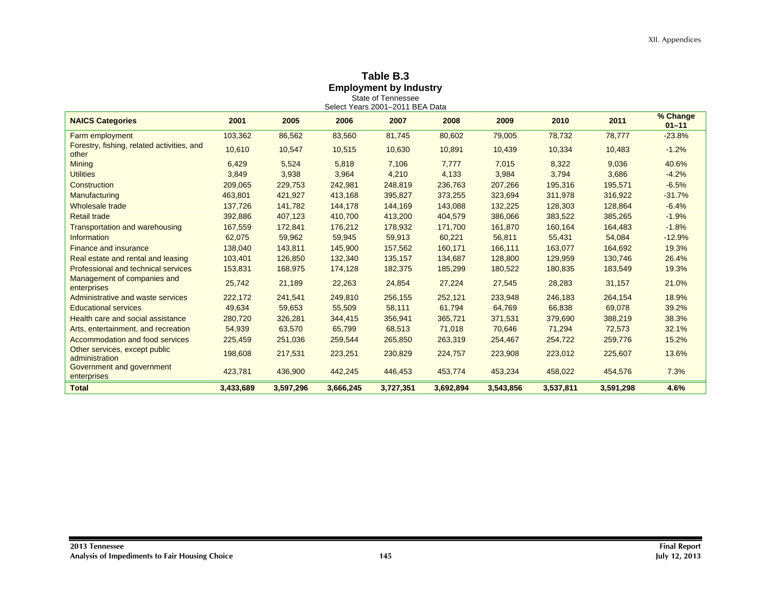## **Table B.3 Employment by Industry**  State of Tennessee

| <b>NAICS Categories</b>                             | 2001      | 2005      | 2006      | 2007      | 2008      | 2009      | 2010      | 2011      | % Change<br>$01 - 11$ |
|-----------------------------------------------------|-----------|-----------|-----------|-----------|-----------|-----------|-----------|-----------|-----------------------|
| Farm employment                                     | 103,362   | 86,562    | 83,560    | 81,745    | 80,602    | 79,005    | 78,732    | 78,777    | $-23.8%$              |
| Forestry, fishing, related activities, and<br>other | 10,610    | 10,547    | 10,515    | 10,630    | 10,891    | 10,439    | 10,334    | 10,483    | $-1.2%$               |
| <b>Mining</b>                                       | 6,429     | 5,524     | 5,818     | 7,106     | 7,777     | 7,015     | 8,322     | 9,036     | 40.6%                 |
| <b>Utilities</b>                                    | 3,849     | 3,938     | 3,964     | 4,210     | 4,133     | 3,984     | 3,794     | 3,686     | $-4.2%$               |
| Construction                                        | 209,065   | 229,753   | 242,981   | 248,819   | 236,763   | 207,266   | 195,316   | 195,571   | $-6.5%$               |
| Manufacturing                                       | 463,801   | 421,927   | 413,168   | 395,827   | 373,255   | 323,694   | 311,978   | 316,922   | $-31.7%$              |
| Wholesale trade                                     | 137,726   | 141,782   | 144,178   | 144,169   | 143,088   | 132,225   | 128,303   | 128,864   | $-6.4%$               |
| <b>Retail trade</b>                                 | 392,886   | 407,123   | 410,700   | 413,200   | 404,579   | 386,066   | 383,522   | 385,265   | $-1.9%$               |
| <b>Transportation and warehousing</b>               | 167,559   | 172,841   | 176,212   | 178,932   | 171,700   | 161,870   | 160,164   | 164,483   | $-1.8%$               |
| Information                                         | 62,075    | 59,962    | 59,945    | 59,913    | 60,221    | 56,811    | 55,431    | 54,084    | $-12.9%$              |
| <b>Finance and insurance</b>                        | 138,040   | 143,811   | 145,900   | 157,562   | 160,171   | 166,111   | 163,077   | 164,692   | 19.3%                 |
| Real estate and rental and leasing                  | 103,401   | 126,850   | 132,340   | 135,157   | 134,687   | 128,800   | 129,959   | 130,746   | 26.4%                 |
| <b>Professional and technical services</b>          | 153,831   | 168,975   | 174,128   | 182,375   | 185,299   | 180,522   | 180,835   | 183,549   | 19.3%                 |
| Management of companies and<br>enterprises          | 25,742    | 21,189    | 22,263    | 24,854    | 27,224    | 27,545    | 28,283    | 31,157    | 21.0%                 |
| Administrative and waste services                   | 222,172   | 241,541   | 249,810   | 256,155   | 252,121   | 233,948   | 246,183   | 264,154   | 18.9%                 |
| <b>Educational services</b>                         | 49,634    | 59,653    | 55,509    | 58,111    | 61,794    | 64,769    | 66,838    | 69,078    | 39.2%                 |
| Health care and social assistance                   | 280,720   | 326,281   | 344,415   | 356,941   | 365,721   | 371,531   | 379,690   | 388,219   | 38.3%                 |
| Arts, entertainment, and recreation                 | 54,939    | 63,570    | 65,799    | 68,513    | 71,018    | 70,646    | 71,294    | 72,573    | 32.1%                 |
| Accommodation and food services                     | 225,459   | 251,036   | 259,544   | 265,850   | 263,319   | 254,467   | 254,722   | 259,776   | 15.2%                 |
| Other services, except public<br>administration     | 198,608   | 217,531   | 223,251   | 230,829   | 224,757   | 223,908   | 223,012   | 225,607   | 13.6%                 |
| Government and government<br>enterprises            | 423,781   | 436,900   | 442,245   | 446,453   | 453,774   | 453,234   | 458,022   | 454,576   | 7.3%                  |
| <b>Total</b>                                        | 3,433,689 | 3,597,296 | 3,666,245 | 3,727,351 | 3,692,894 | 3,543,856 | 3,537,811 | 3,591,298 | 4.6%                  |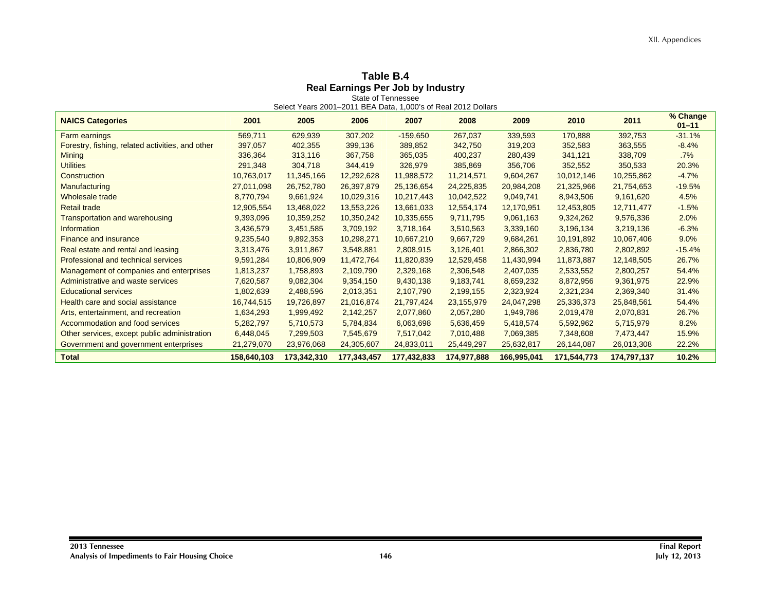## **Table B.4**

|                                                  |             |             |             |             | Select Years 2001-2011 BEA Data, 1,000's of Real 2012 Dollars |             |             |             |                       |
|--------------------------------------------------|-------------|-------------|-------------|-------------|---------------------------------------------------------------|-------------|-------------|-------------|-----------------------|
| <b>NAICS Categories</b>                          | 2001        | 2005        | 2006        | 2007        | 2008                                                          | 2009        | 2010        | 2011        | % Change<br>$01 - 11$ |
| <b>Farm earnings</b>                             | 569,711     | 629,939     | 307,202     | $-159,650$  | 267,037                                                       | 339.593     | 170,888     | 392,753     | $-31.1%$              |
| Forestry, fishing, related activities, and other | 397.057     | 402,355     | 399,136     | 389,852     | 342,750                                                       | 319,203     | 352,583     | 363,555     | $-8.4%$               |
| <b>Mining</b>                                    | 336,364     | 313,116     | 367,758     | 365,035     | 400,237                                                       | 280,439     | 341,121     | 338,709     | .7%                   |
| <b>Utilities</b>                                 | 291,348     | 304,718     | 344,419     | 326,979     | 385,869                                                       | 356,706     | 352,552     | 350,533     | 20.3%                 |
| Construction                                     | 10,763,017  | 11,345,166  | 12,292,628  | 11,988,572  | 11,214,571                                                    | 9,604,267   | 10,012,146  | 10,255,862  | $-4.7%$               |
| <b>Manufacturing</b>                             | 27,011,098  | 26,752,780  | 26,397,879  | 25,136,654  | 24,225,835                                                    | 20,984,208  | 21,325,966  | 21,754,653  | $-19.5%$              |
| Wholesale trade                                  | 8,770,794   | 9,661,924   | 10,029,316  | 10,217,443  | 10,042,522                                                    | 9,049,741   | 8,943,506   | 9,161,620   | 4.5%                  |
| <b>Retail trade</b>                              | 12,905,554  | 13,468,022  | 13,553,226  | 13,661,033  | 12,554,174                                                    | 12,170,951  | 12,453,805  | 12,711,477  | $-1.5%$               |
| <b>Transportation and warehousing</b>            | 9,393,096   | 10,359,252  | 10,350,242  | 10,335,655  | 9,711,795                                                     | 9,061,163   | 9,324,262   | 9,576,336   | 2.0%                  |
| Information                                      | 3,436,579   | 3,451,585   | 3,709,192   | 3,718,164   | 3,510,563                                                     | 3,339,160   | 3,196,134   | 3,219,136   | $-6.3%$               |
| <b>Finance and insurance</b>                     | 9,235,540   | 9,892,353   | 10,298,271  | 10,667,210  | 9,667,729                                                     | 9,684,261   | 10,191,892  | 10,067,406  | 9.0%                  |
| Real estate and rental and leasing               | 3,313,476   | 3,911,867   | 3,548,881   | 2,808,915   | 3,126,401                                                     | 2,866,302   | 2,836,780   | 2,802,892   | $-15.4%$              |
| <b>Professional and technical services</b>       | 9,591,284   | 10,806,909  | 11,472,764  | 11,820,839  | 12,529,458                                                    | 11,430,994  | 11,873,887  | 12,148,505  | 26.7%                 |
| Management of companies and enterprises          | 1,813,237   | 1,758,893   | 2,109,790   | 2,329,168   | 2,306,548                                                     | 2,407,035   | 2,533,552   | 2,800,257   | 54.4%                 |
| Administrative and waste services                | 7,620,587   | 9,082,304   | 9,354,150   | 9,430,138   | 9,183,741                                                     | 8,659,232   | 8,872,956   | 9,361,975   | 22.9%                 |
| <b>Educational services</b>                      | 1,802,639   | 2,488,596   | 2,013,351   | 2,107,790   | 2,199,155                                                     | 2,323,924   | 2,321,234   | 2,369,340   | 31.4%                 |
| Health care and social assistance                | 16,744,515  | 19,726,897  | 21,016,874  | 21,797,424  | 23,155,979                                                    | 24,047,298  | 25,336,373  | 25,848,561  | 54.4%                 |
| Arts, entertainment, and recreation              | 1,634,293   | 1,999,492   | 2,142,257   | 2,077,860   | 2,057,280                                                     | 1,949,786   | 2,019,478   | 2,070,831   | 26.7%                 |
| Accommodation and food services                  | 5,282,797   | 5,710,573   | 5,784,834   | 6,063,698   | 5,636,459                                                     | 5,418,574   | 5,592,962   | 5,715,979   | 8.2%                  |
| Other services, except public administration     | 6,448,045   | 7,299,503   | 7,545,679   | 7,517,042   | 7,010,488                                                     | 7,069,385   | 7,348,608   | 7,473,447   | 15.9%                 |
| Government and government enterprises            | 21,279,070  | 23,976,068  | 24,305,607  | 24,833,011  | 25,449,297                                                    | 25,632,817  | 26,144,087  | 26,013,308  | 22.2%                 |
| <b>Total</b>                                     | 158,640,103 | 173,342,310 | 177,343,457 | 177,432,833 | 174,977,888                                                   | 166,995,041 | 171,544,773 | 174,797,137 | 10.2%                 |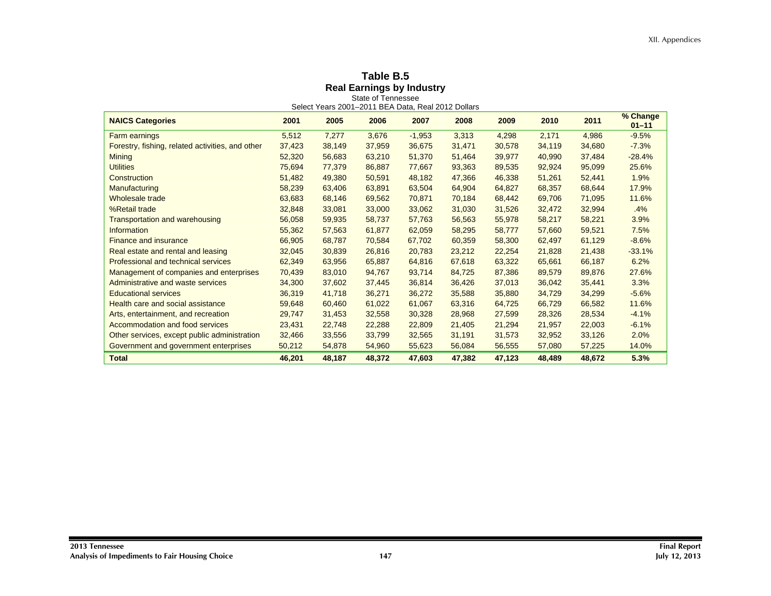# **Table B.5<br>
<b>Real Earnings by Industry**<br>
State of Tennessee<br>
Select Years 2001–2011 BEA Data, Real 2012 Dollars

| 2011<br><b>NAICS Categories</b><br>2001<br>2005<br>2006<br>2007<br>2008<br>2009<br>2010<br>5,512<br>7,277<br>3,676<br>$-1,953$<br>3,313<br>4,298<br>2,171<br>4,986<br><b>Farm earnings</b> | % Change<br>$01 - 11$<br>$-9.5%$ |
|--------------------------------------------------------------------------------------------------------------------------------------------------------------------------------------------|----------------------------------|
|                                                                                                                                                                                            |                                  |
|                                                                                                                                                                                            |                                  |
| Forestry, fishing, related activities, and other<br>38,149<br>37,959<br>36,675<br>31,471<br>37,423<br>30,578<br>34,119<br>34,680                                                           | $-7.3%$                          |
| <b>Mining</b><br>56,683<br>63,210<br>51,370<br>51,464<br>40,990<br>52,320<br>39,977<br>37,484                                                                                              | $-28.4%$                         |
| <b>Utilities</b><br>86,887<br>77,667<br>75,694<br>77,379<br>93,363<br>89,535<br>92,924<br>95,099                                                                                           | 25.6%                            |
| 49,380<br>50,591<br>48,182<br>Construction<br>51,482<br>47,366<br>46,338<br>51,261<br>52,441                                                                                               | 1.9%                             |
| 64,904<br>Manufacturing<br>63,891<br>63,504<br>64,827<br>68,357<br>68,644<br>58,239<br>63,406                                                                                              | 17.9%                            |
| Wholesale trade<br>63,683<br>68,146<br>69,562<br>70,871<br>70,184<br>68,442<br>69,706<br>71,095                                                                                            | 11.6%                            |
| %Retail trade<br>33,000<br>33,062<br>31,030<br>32,994<br>32,848<br>33,081<br>31,526<br>32,472                                                                                              | .4%                              |
| <b>Transportation and warehousing</b><br>56,058<br>59,935<br>58,737<br>57,763<br>56,563<br>58,221<br>55,978<br>58,217                                                                      | 3.9%                             |
| 57,563<br>61,877<br>62,059<br>58,295<br>Information<br>55,362<br>58,777<br>57,660<br>59,521                                                                                                | 7.5%                             |
| <b>Finance and insurance</b><br>68,787<br>70,584<br>67,702<br>66,905<br>60,359<br>58,300<br>61,129<br>62,497                                                                               | $-8.6%$                          |
| 26,816<br>20,783<br>Real estate and rental and leasing<br>32,045<br>30,839<br>23,212<br>22,254<br>21.828<br>21,438                                                                         | $-33.1%$                         |
| <b>Professional and technical services</b><br>63,956<br>65,887<br>64,816<br>62,349<br>67.618<br>63,322<br>65.661<br>66,187                                                                 | 6.2%                             |
| Management of companies and enterprises<br>83,010<br>94,767<br>93,714<br>84,725<br>87,386<br>70,439<br>89,579<br>89,876                                                                    | 27.6%                            |
| Administrative and waste services<br>34,300<br>37,602<br>37,445<br>36,814<br>36,426<br>37,013<br>36,042<br>35,441                                                                          | 3.3%                             |
| 41,718<br>36,271<br>36,272<br><b>Educational services</b><br>36,319<br>35,588<br>35,880<br>34,729<br>34,299                                                                                | $-5.6%$                          |
| Health care and social assistance<br>61,022<br>61,067<br>63,316<br>59,648<br>60,460<br>64,725<br>66,729<br>66,582                                                                          | 11.6%                            |
| 32,558<br>30,328<br>Arts, entertainment, and recreation<br>29,747<br>31,453<br>28,968<br>27,599<br>28,326<br>28,534                                                                        | $-4.1%$                          |
| Accommodation and food services<br>22,748<br>22,288<br>22,809<br>23,431<br>21,405<br>21,294<br>21,957<br>22,003                                                                            | $-6.1%$                          |
| 33,556<br>33,799<br>32,565<br>32,952<br>33,126<br>Other services, except public administration<br>32,466<br>31,191<br>31,573                                                               | 2.0%                             |
| 55,623<br>Government and government enterprises<br>50,212<br>54,878<br>54,960<br>56,084<br>56,555<br>57,080<br>57,225                                                                      | 14.0%                            |
| <b>Total</b><br>48,187<br>48,372<br>48,672<br>46.201<br>47.603<br>47.382<br>47,123<br>48.489                                                                                               | 5.3%                             |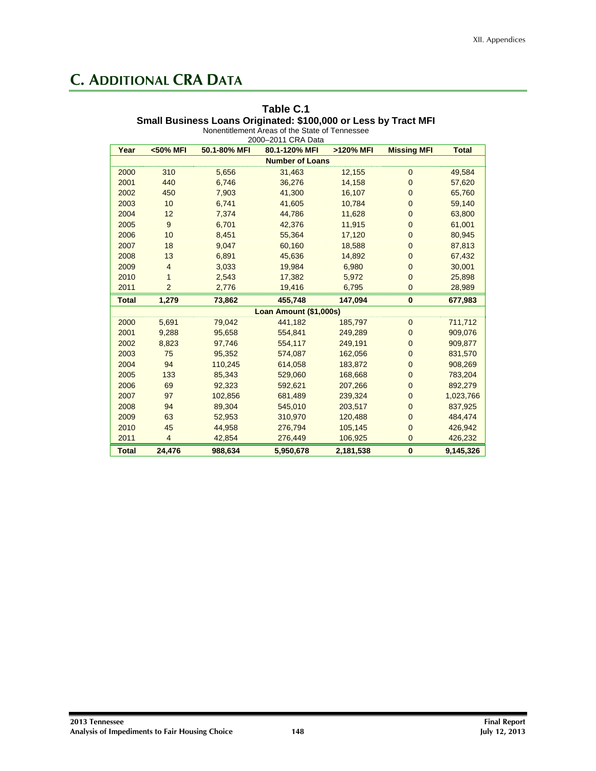## **C. ADDITIONAL CRA DATA**

#### **Table C.1 Small Business Loans Originated: \$100,000 or Less by Tract MFI**  Nonentitlement Areas of the State of Tennessee

| Year         | <50% MFI       | 50.1-80% MFI | 2000-2011 CRA Data<br>80.1-120% MFI | >120% MFI | <b>Missing MFI</b> | <b>Total</b> |
|--------------|----------------|--------------|-------------------------------------|-----------|--------------------|--------------|
|              |                |              | <b>Number of Loans</b>              |           |                    |              |
| 2000         | 310            | 5,656        | 31,463                              | 12,155    | $\mathbf 0$        | 49,584       |
| 2001         | 440            | 6,746        | 36,276                              | 14,158    | $\mathbf 0$        | 57,620       |
| 2002         | 450            | 7,903        | 41,300                              | 16,107    | $\overline{0}$     | 65,760       |
| 2003         | 10             | 6,741        | 41,605                              | 10,784    | $\mathbf 0$        | 59,140       |
| 2004         | 12             | 7,374        | 44,786                              | 11,628    | $\mathbf 0$        | 63,800       |
| 2005         | 9              | 6,701        | 42,376                              | 11,915    | $\mathbf 0$        | 61,001       |
| 2006         | 10             | 8,451        |                                     |           | $\mathbf{0}$       | 80,945       |
| 2007         | 18             | 9,047        | 55,364<br>60,160                    | 17,120    | $\mathbf 0$        |              |
| 2008         |                |              |                                     | 18,588    |                    | 87,813       |
|              | 13             | 6,891        | 45,636                              | 14,892    | $\mathbf 0$        | 67,432       |
| 2009         | $\overline{4}$ | 3,033        | 19,984                              | 6,980     | $\mathbf 0$        | 30,001       |
| 2010         | $\mathbf{1}$   | 2,543        | 17,382                              | 5,972     | $\mathbf 0$        | 25,898       |
| 2011         | $\overline{2}$ | 2,776        | 19,416                              | 6,795     | $\mathbf 0$        | 28,989       |
| <b>Total</b> | 1,279          | 73,862       | 455,748                             | 147,094   | $\bf{0}$           | 677,983      |
|              |                |              | Loan Amount (\$1,000s)              |           |                    |              |
| 2000         | 5,691          | 79,042       | 441,182                             | 185,797   | $\mathbf 0$        | 711,712      |
| 2001         | 9,288          | 95,658       | 554,841                             | 249,289   | $\mathbf 0$        | 909,076      |
| 2002         | 8,823          | 97,746       | 554,117                             | 249,191   | $\mathbf 0$        | 909,877      |
| 2003         | 75             | 95,352       | 574,087                             | 162,056   | $\mathbf 0$        | 831,570      |
| 2004         | 94             | 110,245      | 614,058                             | 183,872   | $\mathbf{0}$       | 908,269      |
| 2005         | 133            | 85,343       | 529,060                             | 168,668   | $\mathbf 0$        | 783,204      |
| 2006         | 69             | 92,323       | 592,621                             | 207,266   | $\mathbf{0}$       | 892,279      |
| 2007         | 97             | 102,856      | 681,489                             | 239,324   | $\mathbf 0$        | 1,023,766    |
| 2008         | 94             | 89,304       | 545,010                             | 203,517   | $\mathbf 0$        | 837,925      |
| 2009         | 63             | 52,953       | 310,970                             | 120,488   | $\mathbf 0$        | 484,474      |
| 2010         | 45             | 44,958       | 276,794                             | 105,145   | $\mathbf 0$        | 426,942      |
| 2011         | $\overline{4}$ | 42,854       | 276,449                             | 106,925   | $\mathbf 0$        | 426,232      |
| <b>Total</b> | 24,476         | 988,634      | 5,950,678                           | 2,181,538 | $\bf{0}$           | 9,145,326    |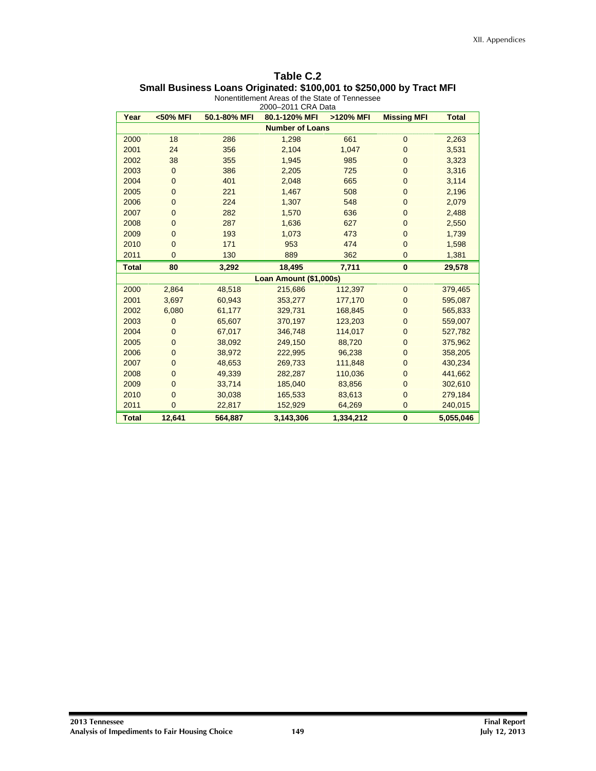| Table C.2                                                            |
|----------------------------------------------------------------------|
| Small Business Loans Originated: \$100,001 to \$250,000 by Tract MFI |

| Year         | <50% MFI               | 50.1-80% MFI | 80.1-120% MFI          | >120% MFI | <b>Missing MFI</b> | <b>Total</b> |  |  |  |  |
|--------------|------------------------|--------------|------------------------|-----------|--------------------|--------------|--|--|--|--|
|              | <b>Number of Loans</b> |              |                        |           |                    |              |  |  |  |  |
| 2000         | 18                     | 286          | 1,298                  | 661       | $\mathbf 0$        | 2,263        |  |  |  |  |
| 2001         | 24                     | 356          | 2,104                  | 1,047     | $\mathbf 0$        | 3,531        |  |  |  |  |
| 2002         | 38                     | 355          | 1,945                  | 985       | $\mathbf 0$        | 3,323        |  |  |  |  |
| 2003         | $\overline{0}$         | 386          | 2,205                  | 725       | $\overline{0}$     | 3,316        |  |  |  |  |
| 2004         | $\mathbf{0}$           | 401          | 2,048                  | 665       | $\mathbf{0}$       | 3,114        |  |  |  |  |
| 2005         | $\overline{0}$         | 221          | 1,467                  | 508       | $\mathbf{0}$       | 2,196        |  |  |  |  |
| 2006         | $\mathbf{0}$           | 224          | 1,307                  | 548       | $\mathbf{0}$       | 2,079        |  |  |  |  |
| 2007         | $\mathbf 0$            | 282          | 1,570                  | 636       | $\mathbf 0$        | 2,488        |  |  |  |  |
| 2008         | $\mathbf 0$            | 287          | 1,636                  | 627       | $\mathbf 0$        | 2,550        |  |  |  |  |
| 2009         | $\overline{0}$         | 193          | 1,073                  | 473       | $\overline{0}$     | 1,739        |  |  |  |  |
| 2010         | $\mathbf 0$            | 171          | 953                    | 474       | $\overline{0}$     | 1,598        |  |  |  |  |
| 2011         | $\overline{0}$         | 130          | 889                    | 362       | $\mathbf{0}$       | 1,381        |  |  |  |  |
| <b>Total</b> | 80                     | 3,292        | 18,495                 | 7,711     | $\bf{0}$           | 29,578       |  |  |  |  |
|              |                        |              | Loan Amount (\$1,000s) |           |                    |              |  |  |  |  |
| 2000         | 2,864                  | 48,518       | 215,686                | 112,397   | $\mathbf{0}$       | 379,465      |  |  |  |  |
| 2001         | 3,697                  | 60,943       | 353,277                | 177,170   | $\mathbf{0}$       | 595,087      |  |  |  |  |
| 2002         | 6,080                  | 61,177       | 329,731                | 168,845   | $\overline{0}$     | 565,833      |  |  |  |  |
| 2003         | $\mathbf{0}$           | 65,607       | 370,197                | 123,203   | $\mathbf 0$        | 559,007      |  |  |  |  |
| 2004         | $\overline{0}$         | 67,017       | 346,748                | 114,017   | $\mathbf{0}$       | 527,782      |  |  |  |  |
| 2005         | $\mathbf 0$            | 38,092       | 249,150                | 88,720    | $\mathbf 0$        | 375,962      |  |  |  |  |
| 2006         | $\overline{0}$         | 38,972       | 222,995                | 96,238    | $\mathbf 0$        | 358,205      |  |  |  |  |
| 2007         | $\overline{0}$         | 48,653       | 269,733                | 111,848   | $\mathbf 0$        | 430,234      |  |  |  |  |
| 2008         | $\overline{0}$         | 49,339       | 282,287                | 110,036   | $\mathbf{0}$       | 441,662      |  |  |  |  |
| 2009         | $\mathbf{0}$           | 33,714       | 185,040                | 83,856    | $\overline{0}$     | 302,610      |  |  |  |  |
| 2010         | $\mathbf 0$            | 30,038       | 165,533                | 83,613    | $\overline{0}$     | 279,184      |  |  |  |  |
| 2011         | $\overline{0}$         | 22,817       | 152,929                | 64,269    | $\overline{0}$     | 240,015      |  |  |  |  |
| <b>Total</b> | 12,641                 | 564,887      | 3,143,306              | 1,334,212 | $\bf{0}$           | 5,055,046    |  |  |  |  |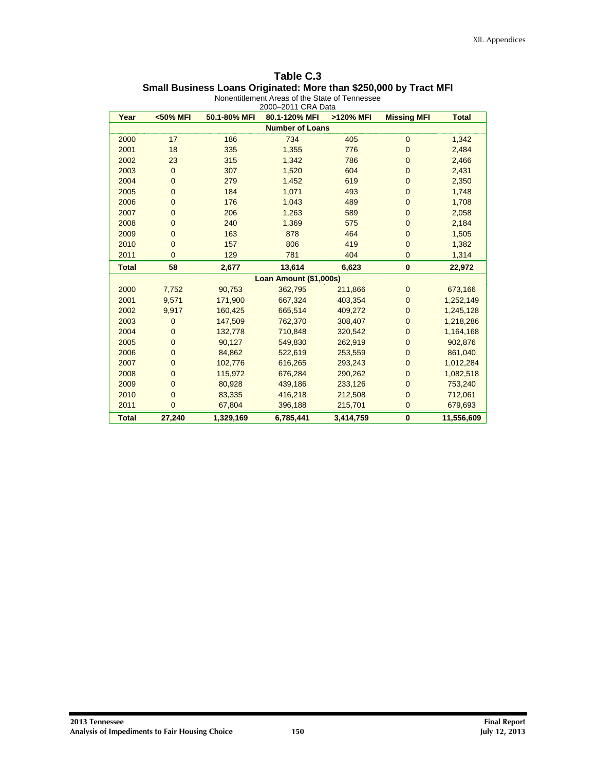| Table C.3                                                         |
|-------------------------------------------------------------------|
| Small Business Loans Originated: More than \$250,000 by Tract MFI |
| Alexandrian and America of the Otetra of Tenensuers               |

| Year                   | <50% MFI       | 50.1-80% MFI | 2000-2011 CRA Data<br>80.1-120% MFI | >120% MFI | <b>Missing MFI</b> | <b>Total</b> |  |  |
|------------------------|----------------|--------------|-------------------------------------|-----------|--------------------|--------------|--|--|
| <b>Number of Loans</b> |                |              |                                     |           |                    |              |  |  |
| 2000                   | 17             | 186          | 734                                 | 405       | $\mathbf 0$        | 1,342        |  |  |
| 2001                   | 18             | 335          | 1,355                               | 776       | $\overline{0}$     | 2,484        |  |  |
| 2002                   | 23             | 315          | 1,342                               | 786       | $\overline{0}$     | 2,466        |  |  |
| 2003                   | $\overline{0}$ | 307          | 1,520                               | 604       | $\overline{0}$     | 2,431        |  |  |
| 2004                   | $\mathbf{0}$   | 279          | 1,452                               | 619       | $\mathbf 0$        | 2,350        |  |  |
| 2005                   | $\mathbf 0$    | 184          | 1,071                               | 493       | $\mathbf 0$        | 1,748        |  |  |
| 2006                   | $\mathbf{0}$   | 176          | 1,043                               | 489       | $\mathbf 0$        | 1,708        |  |  |
| 2007                   | $\mathbf 0$    | 206          | 1,263                               | 589       | $\overline{0}$     | 2,058        |  |  |
| 2008                   | $\mathbf 0$    | 240          | 1,369                               | 575       | $\mathbf 0$        | 2,184        |  |  |
| 2009                   | $\mathbf{0}$   | 163          | 878                                 | 464       | $\overline{0}$     | 1,505        |  |  |
| 2010                   | $\overline{0}$ | 157          | 806                                 | 419       | $\overline{0}$     | 1,382        |  |  |
| 2011                   | $\overline{0}$ | 129          | 781                                 | 404       | $\overline{0}$     | 1,314        |  |  |
| <b>Total</b>           | 58             | 2,677        | 13,614                              | 6,623     | $\bf{0}$           | 22,972       |  |  |
|                        |                |              | Loan Amount (\$1,000s)              |           |                    |              |  |  |
| 2000                   | 7,752          | 90,753       | 362,795                             | 211,866   | $\overline{0}$     | 673,166      |  |  |
| 2001                   | 9,571          | 171,900      | 667,324                             | 403,354   | $\overline{0}$     | 1,252,149    |  |  |
| 2002                   | 9,917          | 160,425      | 665,514                             | 409,272   | $\mathbf 0$        | 1,245,128    |  |  |
| 2003                   | $\mathbf{0}$   | 147,509      | 762,370                             | 308,407   | $\overline{0}$     | 1,218,286    |  |  |
| 2004                   | $\overline{0}$ | 132,778      | 710,848                             | 320,542   | $\overline{0}$     | 1,164,168    |  |  |
| 2005                   | $\mathbf{0}$   | 90,127       | 549,830                             | 262,919   | $\mathbf 0$        | 902,876      |  |  |
| 2006                   | $\overline{0}$ | 84,862       | 522.619                             | 253,559   | $\overline{0}$     | 861,040      |  |  |
| 2007                   | $\mathbf{0}$   | 102,776      | 616,265                             | 293,243   | $\mathbf 0$        | 1,012,284    |  |  |
| 2008                   | $\overline{0}$ | 115,972      | 676,284                             | 290,262   | $\overline{0}$     | 1,082,518    |  |  |
| 2009                   | $\overline{0}$ | 80,928       | 439,186                             | 233,126   | $\overline{0}$     | 753,240      |  |  |
| 2010                   | $\mathbf{0}$   | 83,335       | 416,218                             | 212,508   | $\overline{0}$     | 712,061      |  |  |
| 2011                   | $\overline{0}$ | 67,804       | 396,188                             | 215,701   | $\overline{0}$     | 679,693      |  |  |
| <b>Total</b>           | 27,240         | 1,329,169    | 6,785,441                           | 3,414,759 | $\mathbf{0}$       | 11,556,609   |  |  |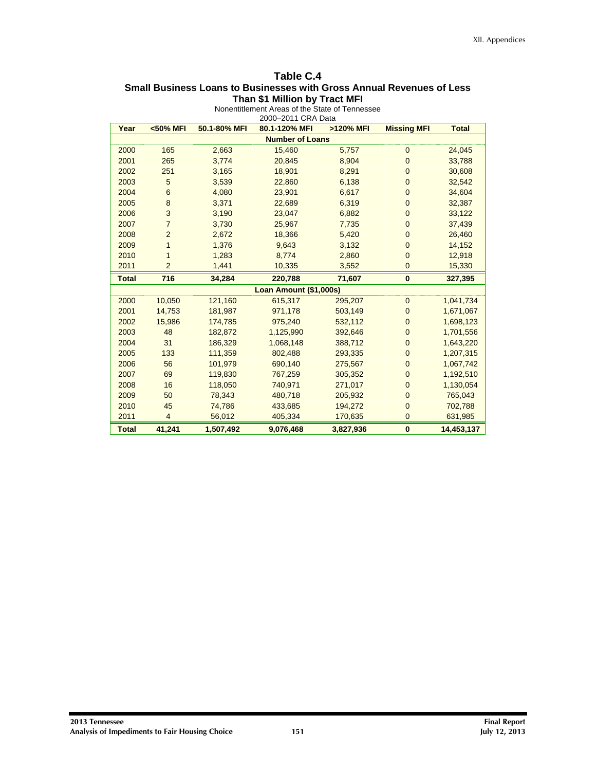#### **Table C.4 Small Business Loans to Businesses with Gross Annual Revenues of Less Than \$1 Million by Tract MFI**

| Year                   | <50% MFI       | 50.1-80% MFI | 80.1-120% MFI          | >120% MFI | <b>Missing MFI</b> | <b>Total</b> |  |  |  |
|------------------------|----------------|--------------|------------------------|-----------|--------------------|--------------|--|--|--|
| <b>Number of Loans</b> |                |              |                        |           |                    |              |  |  |  |
| 2000                   | 165            | 2,663        | 15,460                 | 5,757     | $\mathbf{0}$       | 24,045       |  |  |  |
| 2001                   | 265            | 3,774        | 20,845                 | 8,904     | $\mathbf{0}$       | 33,788       |  |  |  |
| 2002                   | 251            | 3,165        | 18,901                 | 8,291     | $\overline{0}$     | 30,608       |  |  |  |
| 2003                   | 5              | 3,539        | 22,860                 | 6,138     | $\overline{0}$     | 32,542       |  |  |  |
| 2004                   | 6              | 4,080        | 23,901                 | 6,617     | $\mathbf 0$        | 34,604       |  |  |  |
| 2005                   | $\bf8$         | 3,371        | 22,689                 | 6,319     | $\mathbf{0}$       | 32,387       |  |  |  |
| 2006                   | 3              | 3,190        | 23,047                 | 6,882     | $\mathbf{0}$       | 33,122       |  |  |  |
| 2007                   | $\overline{7}$ | 3,730        | 25,967                 | 7,735     | $\mathbf{0}$       | 37,439       |  |  |  |
| 2008                   | $\overline{2}$ | 2,672        | 18,366                 | 5,420     | $\mathbf{0}$       | 26,460       |  |  |  |
| 2009                   | 1              | 1,376        | 9,643                  | 3,132     | $\mathbf{0}$       | 14,152       |  |  |  |
| 2010                   | 1              | 1,283        | 8,774                  | 2,860     | $\overline{0}$     | 12,918       |  |  |  |
| 2011                   | $\overline{2}$ | 1,441        | 10,335                 | 3,552     | $\mathbf{0}$       | 15,330       |  |  |  |
| <b>Total</b>           | 716            | 34,284       | 220,788                | 71,607    | $\mathbf{0}$       | 327,395      |  |  |  |
|                        |                |              | Loan Amount (\$1,000s) |           |                    |              |  |  |  |
| 2000                   | 10,050         | 121,160      | 615,317                | 295,207   | $\mathbf{0}$       | 1,041,734    |  |  |  |
| 2001                   | 14,753         | 181,987      | 971,178                | 503,149   | $\mathbf{0}$       | 1,671,067    |  |  |  |
| 2002                   | 15,986         | 174,785      | 975,240                | 532,112   | $\overline{0}$     | 1,698,123    |  |  |  |
| 2003                   | 48             | 182,872      | 1,125,990              | 392,646   | $\mathbf{0}$       | 1,701,556    |  |  |  |
| 2004                   | 31             | 186,329      | 1,068,148              | 388,712   | $\mathbf{0}$       | 1,643,220    |  |  |  |
| 2005                   | 133            | 111,359      | 802,488                | 293,335   | $\mathbf{0}$       | 1,207,315    |  |  |  |
| 2006                   | 56             | 101,979      | 690,140                | 275,567   | $\mathbf{0}$       | 1,067,742    |  |  |  |
| 2007                   | 69             | 119,830      | 767,259                | 305,352   | $\mathbf{0}$       | 1,192,510    |  |  |  |
| 2008                   | 16             | 118,050      | 740,971                | 271,017   | $\mathbf 0$        | 1,130,054    |  |  |  |
| 2009                   | 50             | 78,343       | 480,718                | 205,932   | $\mathbf{0}$       | 765,043      |  |  |  |
| 2010                   | 45             | 74,786       | 433,685                | 194,272   | $\mathbf{0}$       | 702,788      |  |  |  |
| 2011                   | $\overline{4}$ | 56,012       | 405,334                | 170,635   | $\mathbf 0$        | 631,985      |  |  |  |
| <b>Total</b>           | 41,241         | 1,507,492    | 9,076,468              | 3,827,936 | $\bf{0}$           | 14,453,137   |  |  |  |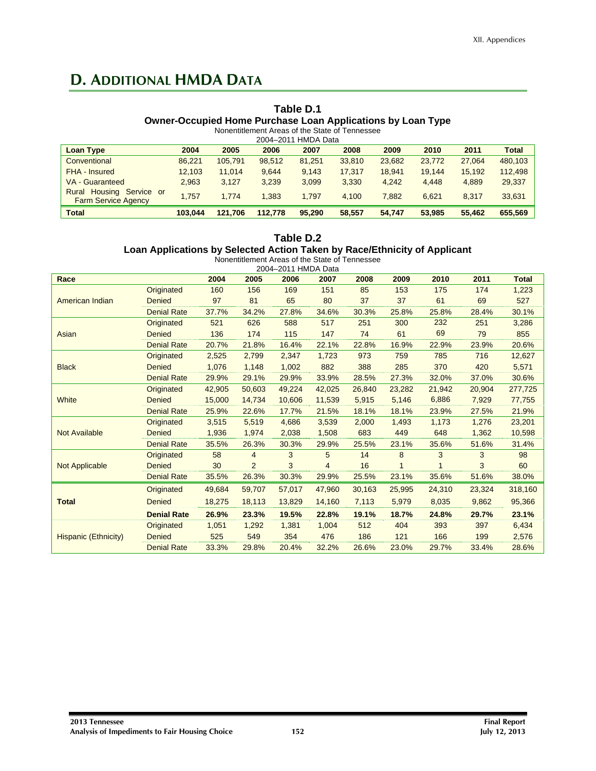## **D. ADDITIONAL HMDA DATA**

#### **Table D.1 Owner-Occupied Home Purchase Loan Applications by Loan Type**  Nonentitlement Areas of the State of Tennessee

| 2004-2011 HMDA Data                                       |         |         |         |        |        |        |        |        |              |
|-----------------------------------------------------------|---------|---------|---------|--------|--------|--------|--------|--------|--------------|
| <b>Loan Type</b>                                          | 2004    | 2005    | 2006    | 2007   | 2008   | 2009   | 2010   | 2011   | <b>Total</b> |
| Conventional                                              | 86.221  | 105.791 | 98.512  | 81.251 | 33,810 | 23,682 | 23.772 | 27.064 | 480,103      |
| FHA - Insured                                             | 12,103  | 11.014  | 9.644   | 9,143  | 17.317 | 18.941 | 19.144 | 15.192 | 112,498      |
| VA - Guaranteed                                           | 2.963   | 3.127   | 3.239   | 3,099  | 3.330  | 4.242  | 4.448  | 4.889  | 29,337       |
| Housing Service or<br>Rural<br><b>Farm Service Agency</b> | 1.757   | 1.774   | 1.383   | 1.797  | 4.100  | 7.882  | 6.621  | 8.317  | 33,631       |
| <b>Total</b>                                              | 103.044 | 121.706 | 112,778 | 95.290 | 58,557 | 54.747 | 53,985 | 55,462 | 655,569      |

#### **Table D.2**

### **Loan Applications by Selected Action Taken by Race/Ethnicity of Applicant**

|                        |                    |        |                | 2004-2011 HMDA Data |        |        |        |        |        |              |
|------------------------|--------------------|--------|----------------|---------------------|--------|--------|--------|--------|--------|--------------|
| Race                   |                    | 2004   | 2005           | 2006                | 2007   | 2008   | 2009   | 2010   | 2011   | <b>Total</b> |
|                        | Originated         | 160    | 156            | 169                 | 151    | 85     | 153    | 175    | 174    | 1,223        |
| <b>American Indian</b> | Denied             | 97     | 81             | 65                  | 80     | 37     | 37     | 61     | 69     | 527          |
|                        | <b>Denial Rate</b> | 37.7%  | 34.2%          | 27.8%               | 34.6%  | 30.3%  | 25.8%  | 25.8%  | 28.4%  | 30.1%        |
|                        | Originated         | 521    | 626            | 588                 | 517    | 251    | 300    | 232    | 251    | 3,286        |
| Asian                  | Denied             | 136    | 174            | 115                 | 147    | 74     | 61     | 69     | 79     | 855          |
|                        | <b>Denial Rate</b> | 20.7%  | 21.8%          | 16.4%               | 22.1%  | 22.8%  | 16.9%  | 22.9%  | 23.9%  | 20.6%        |
|                        | Originated         | 2,525  | 2,799          | 2,347               | 1,723  | 973    | 759    | 785    | 716    | 12,627       |
| <b>Black</b>           | <b>Denied</b>      | 1,076  | 1,148          | 1,002               | 882    | 388    | 285    | 370    | 420    | 5,571        |
|                        | <b>Denial Rate</b> | 29.9%  | 29.1%          | 29.9%               | 33.9%  | 28.5%  | 27.3%  | 32.0%  | 37.0%  | 30.6%        |
|                        | Originated         | 42,905 | 50,603         | 49,224              | 42,025 | 26,840 | 23,282 | 21,942 | 20,904 | 277,725      |
| White                  | <b>Denied</b>      | 15,000 | 14,734         | 10,606              | 11,539 | 5,915  | 5,146  | 6,886  | 7,929  | 77,755       |
|                        | <b>Denial Rate</b> | 25.9%  | 22.6%          | 17.7%               | 21.5%  | 18.1%  | 18.1%  | 23.9%  | 27.5%  | 21.9%        |
|                        | Originated         | 3,515  | 5,519          | 4,686               | 3,539  | 2,000  | 1,493  | 1,173  | 1,276  | 23,201       |
| <b>Not Available</b>   | <b>Denied</b>      | 1,936  | 1,974          | 2,038               | 1,508  | 683    | 449    | 648    | 1,362  | 10,598       |
|                        | <b>Denial Rate</b> | 35.5%  | 26.3%          | 30.3%               | 29.9%  | 25.5%  | 23.1%  | 35.6%  | 51.6%  | 31.4%        |
|                        | Originated         | 58     | $\overline{4}$ | 3                   | 5      | 14     | 8      | 3      | 3      | 98           |
| Not Applicable         | Denied             | 30     | 2              | 3                   | 4      | 16     | 1      |        | 3      | 60           |
|                        | <b>Denial Rate</b> | 35.5%  | 26.3%          | 30.3%               | 29.9%  | 25.5%  | 23.1%  | 35.6%  | 51.6%  | 38.0%        |
|                        | Originated         | 49,684 | 59,707         | 57,017              | 47,960 | 30,163 | 25,995 | 24,310 | 23,324 | 318,160      |
| <b>Total</b>           | <b>Denied</b>      | 18,275 | 18,113         | 13,829              | 14,160 | 7,113  | 5,979  | 8,035  | 9,862  | 95,366       |
|                        | <b>Denial Rate</b> | 26.9%  | 23.3%          | 19.5%               | 22.8%  | 19.1%  | 18.7%  | 24.8%  | 29.7%  | 23.1%        |
|                        | Originated         | 1,051  | 1,292          | 1,381               | 1,004  | 512    | 404    | 393    | 397    | 6,434        |
| Hispanic (Ethnicity)   | <b>Denied</b>      | 525    | 549            | 354                 | 476    | 186    | 121    | 166    | 199    | 2,576        |
|                        | <b>Denial Rate</b> | 33.3%  | 29.8%          | 20.4%               | 32.2%  | 26.6%  | 23.0%  | 29.7%  | 33.4%  | 28.6%        |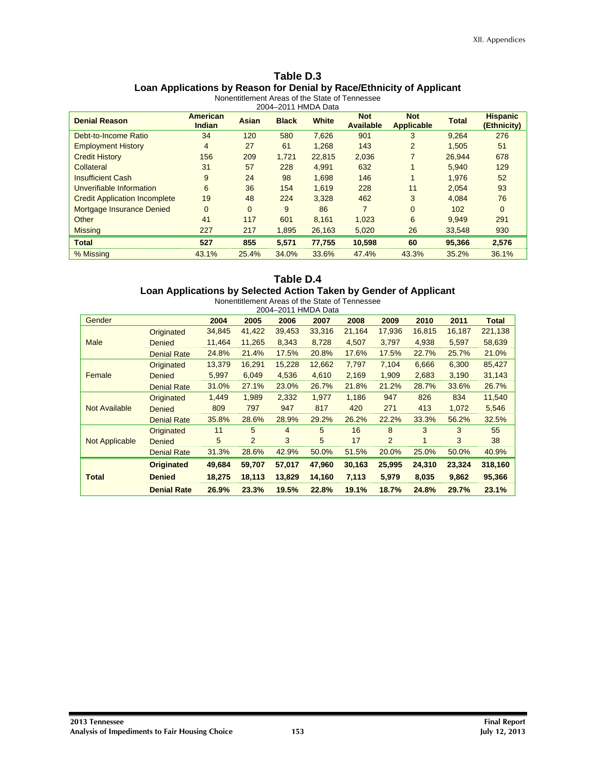#### **Table D.3 Loan Applications by Reason for Denial by Race/Ethnicity of Applicant**  Nonentitlement Areas of the State of Tennessee

|                                      |                                  |          | 2004-2011 HMDA Data |              |                                |                                 |              |                                |
|--------------------------------------|----------------------------------|----------|---------------------|--------------|--------------------------------|---------------------------------|--------------|--------------------------------|
| <b>Denial Reason</b>                 | <b>American</b><br><b>Indian</b> | Asian    | <b>Black</b>        | <b>White</b> | <b>Not</b><br><b>Available</b> | <b>Not</b><br><b>Applicable</b> | <b>Total</b> | <b>Hispanic</b><br>(Ethnicity) |
| Debt-to-Income Ratio                 | 34                               | 120      | 580                 | 7,626        | 901                            | 3                               | 9,264        | 276                            |
| <b>Employment History</b>            | $\overline{4}$                   | 27       | 61                  | 1.268        | 143                            | $\overline{2}$                  | 1.505        | 51                             |
| <b>Credit History</b>                | 156                              | 209      | 1,721               | 22,815       | 2,036                          | $\overline{7}$                  | 26.944       | 678                            |
| Collateral                           | 31                               | 57       | 228                 | 4.991        | 632                            |                                 | 5.940        | 129                            |
| <b>Insufficient Cash</b>             | 9                                | 24       | 98                  | 1.698        | 146                            |                                 | 1.976        | 52                             |
| Unverifiable Information             | 6                                | 36       | 154                 | 1.619        | 228                            | 11                              | 2.054        | 93                             |
| <b>Credit Application Incomplete</b> | 19                               | 48       | 224                 | 3.328        | 462                            | 3                               | 4,084        | 76                             |
| Mortgage Insurance Denied            | $\overline{0}$                   | $\Omega$ | 9                   | 86           | $\overline{7}$                 | $\mathbf{0}$                    | 102          | $\mathbf{0}$                   |
| Other                                | 41                               | 117      | 601                 | 8,161        | 1,023                          | 6                               | 9,949        | 291                            |
| <b>Missing</b>                       | 227                              | 217      | 1.895               | 26,163       | 5,020                          | 26                              | 33.548       | 930                            |
| <b>Total</b>                         | 527                              | 855      | 5,571               | 77.755       | 10,598                         | 60                              | 95,366       | 2,576                          |
| % Missing                            | 43.1%                            | 25.4%    | 34.0%               | 33.6%        | 47.4%                          | 43.3%                           | 35.2%        | 36.1%                          |

### **Table D.4 Loan Applications by Selected Action Taken by Gender of Applicant**

| Nonentitlement Areas of the State of Tennessee |                    |        |                |        |        |        |                |        |        |              |
|------------------------------------------------|--------------------|--------|----------------|--------|--------|--------|----------------|--------|--------|--------------|
| 2004-2011 HMDA Data                            |                    |        |                |        |        |        |                |        |        |              |
| Gender                                         |                    | 2004   | 2005           | 2006   | 2007   | 2008   | 2009           | 2010   | 2011   | <b>Total</b> |
|                                                | Originated         | 34,845 | 41,422         | 39,453 | 33,316 | 21,164 | 17,936         | 16,815 | 16,187 | 221,138      |
| <b>Male</b>                                    | <b>Denied</b>      | 11,464 | 11,265         | 8,343  | 8,728  | 4,507  | 3,797          | 4,938  | 5,597  | 58,639       |
|                                                | <b>Denial Rate</b> | 24.8%  | 21.4%          | 17.5%  | 20.8%  | 17.6%  | 17.5%          | 22.7%  | 25.7%  | 21.0%        |
|                                                | Originated         | 13,379 | 16,291         | 15,228 | 12,662 | 7,797  | 7,104          | 6,666  | 6,300  | 85,427       |
| Female                                         | Denied             | 5,997  | 6,049          | 4,536  | 4,610  | 2,169  | 1,909          | 2,683  | 3,190  | 31,143       |
|                                                | <b>Denial Rate</b> | 31.0%  | 27.1%          | 23.0%  | 26.7%  | 21.8%  | 21.2%          | 28.7%  | 33.6%  | 26.7%        |
|                                                | Originated         | 1,449  | 1,989          | 2,332  | 1,977  | 1,186  | 947            | 826    | 834    | 11,540       |
| Not Available                                  | <b>Denied</b>      | 809    | 797            | 947    | 817    | 420    | 271            | 413    | 1,072  | 5,546        |
|                                                | <b>Denial Rate</b> | 35.8%  | 28.6%          | 28.9%  | 29.2%  | 26.2%  | 22.2%          | 33.3%  | 56.2%  | 32.5%        |
|                                                | Originated         | 11     | 5              | 4      | 5      | 16     | 8              | 3      | 3      | 55           |
| Not Applicable                                 | Denied             | 5      | $\overline{2}$ | 3      | 5      | 17     | $\overline{2}$ | 1      | 3      | 38           |
|                                                | <b>Denial Rate</b> | 31.3%  | 28.6%          | 42.9%  | 50.0%  | 51.5%  | 20.0%          | 25.0%  | 50.0%  | 40.9%        |
|                                                | <b>Originated</b>  | 49,684 | 59,707         | 57,017 | 47,960 | 30,163 | 25,995         | 24,310 | 23,324 | 318,160      |
| <b>Total</b>                                   | <b>Denied</b>      | 18,275 | 18,113         | 13,829 | 14,160 | 7,113  | 5,979          | 8,035  | 9,862  | 95,366       |
|                                                | <b>Denial Rate</b> | 26.9%  | 23.3%          | 19.5%  | 22.8%  | 19.1%  | 18.7%          | 24.8%  | 29.7%  | 23.1%        |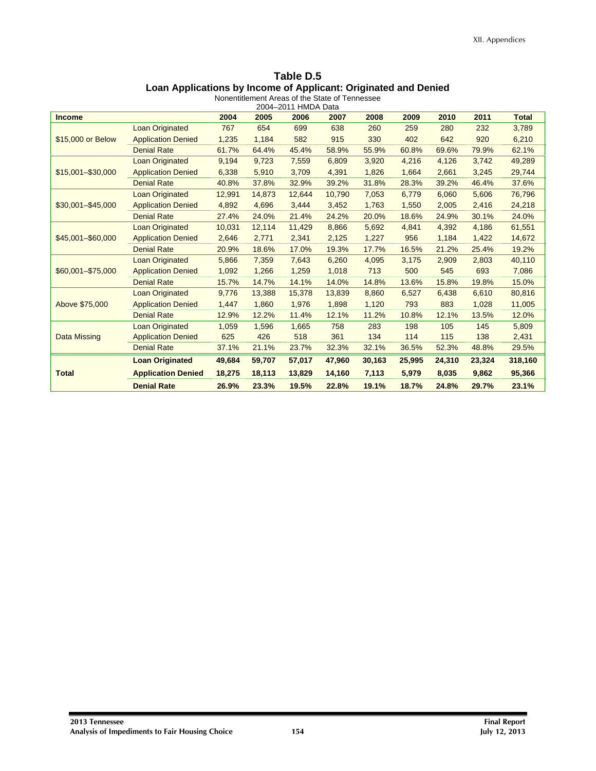| Table D.5                                                       |
|-----------------------------------------------------------------|
| Loan Applications by Income of Applicant: Originated and Denied |
| Nonentitlement Areas of the State of Tennessee                  |

| THEIR ATEAS OF THE STATE OF TH |  |  |
|--------------------------------|--|--|
| $2004-2011$ HMDA Data          |  |  |

|                           | 2004   | 2005   | 2006   | 2007   | 2008   | 2009   | 2010   | 2011   | <b>Total</b>        |
|---------------------------|--------|--------|--------|--------|--------|--------|--------|--------|---------------------|
| <b>Loan Originated</b>    | 767    | 654    | 699    | 638    | 260    | 259    | 280    | 232    | 3,789               |
| <b>Application Denied</b> | 1,235  | 1,184  | 582    | 915    | 330    | 402    | 642    | 920    | 6,210               |
| <b>Denial Rate</b>        | 61.7%  | 64.4%  | 45.4%  | 58.9%  | 55.9%  | 60.8%  | 69.6%  | 79.9%  | 62.1%               |
| <b>Loan Originated</b>    | 9,194  | 9,723  | 7,559  | 6,809  | 3,920  | 4,216  | 4,126  | 3,742  | 49,289              |
| <b>Application Denied</b> | 6,338  | 5,910  | 3,709  | 4,391  | 1,826  | 1,664  | 2,661  | 3,245  | 29,744              |
| <b>Denial Rate</b>        | 40.8%  | 37.8%  | 32.9%  | 39.2%  | 31.8%  | 28.3%  | 39.2%  | 46.4%  | 37.6%               |
| Loan Originated           | 12,991 | 14,873 | 12,644 | 10,790 | 7,053  | 6,779  | 6,060  | 5,606  | 76,796              |
| <b>Application Denied</b> | 4,892  | 4,696  | 3,444  | 3,452  | 1,763  | 1,550  | 2,005  | 2,416  | 24,218              |
| <b>Denial Rate</b>        | 27.4%  | 24.0%  | 21.4%  | 24.2%  | 20.0%  | 18.6%  | 24.9%  | 30.1%  | 24.0%               |
| <b>Loan Originated</b>    | 10,031 | 12,114 | 11,429 | 8,866  | 5,692  | 4,841  | 4,392  | 4,186  | 61,551              |
| <b>Application Denied</b> | 2,646  | 2,771  | 2,341  | 2,125  | 1,227  | 956    | 1,184  | 1,422  | 14,672              |
| <b>Denial Rate</b>        | 20.9%  | 18.6%  | 17.0%  | 19.3%  | 17.7%  | 16.5%  | 21.2%  | 25.4%  | 19.2%               |
| <b>Loan Originated</b>    | 5,866  | 7,359  | 7,643  | 6,260  | 4,095  | 3,175  | 2,909  | 2,803  | 40,110              |
| <b>Application Denied</b> | 1,092  | 1,266  | 1,259  | 1,018  | 713    | 500    | 545    | 693    | 7,086               |
| <b>Denial Rate</b>        | 15.7%  | 14.7%  | 14.1%  | 14.0%  | 14.8%  | 13.6%  | 15.8%  | 19.8%  | 15.0%               |
| <b>Loan Originated</b>    | 9,776  | 13,388 | 15,378 | 13,839 | 8,860  | 6,527  | 6,438  | 6,610  | 80,816              |
| <b>Application Denied</b> | 1,447  | 1,860  | 1,976  | 1,898  | 1,120  | 793    | 883    | 1,028  | 11,005              |
| <b>Denial Rate</b>        | 12.9%  | 12.2%  | 11.4%  | 12.1%  | 11.2%  | 10.8%  | 12.1%  | 13.5%  | 12.0%               |
| <b>Loan Originated</b>    | 1,059  | 1,596  | 1,665  | 758    | 283    | 198    | 105    | 145    | 5,809               |
| <b>Application Denied</b> | 625    | 426    | 518    | 361    | 134    | 114    | 115    | 138    | 2,431               |
| <b>Denial Rate</b>        | 37.1%  | 21.1%  | 23.7%  | 32.3%  | 32.1%  | 36.5%  | 52.3%  | 48.8%  | 29.5%               |
| <b>Loan Originated</b>    | 49,684 | 59,707 | 57,017 | 47,960 | 30,163 | 25,995 | 24,310 | 23,324 | 318,160             |
| <b>Application Denied</b> | 18,275 | 18,113 | 13,829 | 14,160 | 7,113  | 5,979  | 8,035  | 9,862  | 95,366              |
| <b>Denial Rate</b>        | 26.9%  | 23.3%  | 19.5%  | 22.8%  | 19.1%  | 18.7%  | 24.8%  | 29.7%  | 23.1%               |
|                           |        |        |        |        |        |        |        |        | 2004-2011 HMDA Data |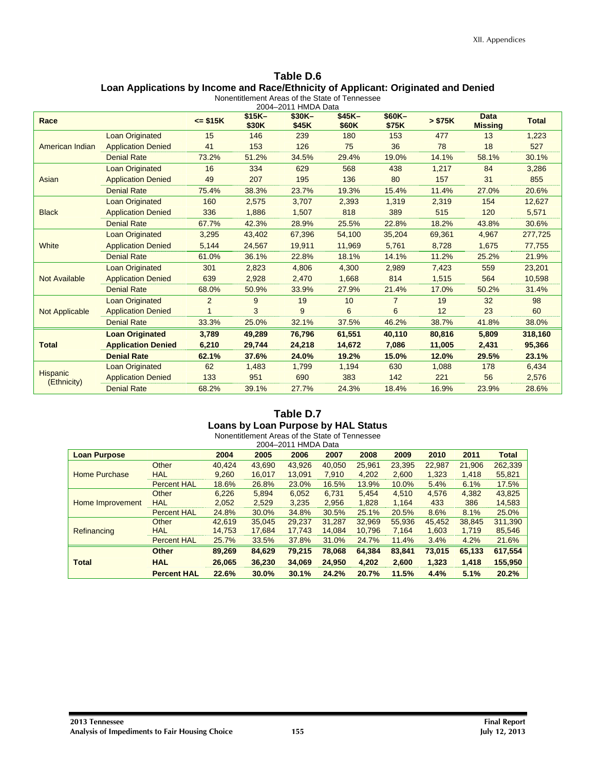## **Table D.6 Loan Applications by Income and Race/Ethnicity of Applicant: Originated and Denied**

|                                |                           |                |                  | 2004-2011 HMDA Data |                  |                 |         |                               |              |
|--------------------------------|---------------------------|----------------|------------------|---------------------|------------------|-----------------|---------|-------------------------------|--------------|
| Race                           |                           | $= $15K$       | $$15K-$<br>\$30K | $$30K-$<br>\$45K    | $$45K-$<br>\$60K | \$60K-<br>\$75K | > \$75K | <b>Data</b><br><b>Missing</b> | <b>Total</b> |
|                                | <b>Loan Originated</b>    | 15             | 146              | 239                 | 180              | 153             | 477     | 13                            | 1,223        |
| American Indian                | <b>Application Denied</b> | 41             | 153              | 126                 | 75               | 36              | 78      | 18                            | 527          |
|                                | <b>Denial Rate</b>        | 73.2%          | 51.2%            | 34.5%               | 29.4%            | 19.0%           | 14.1%   | 58.1%                         | 30.1%        |
|                                | <b>Loan Originated</b>    | 16             | 334              | 629                 | 568              | 438             | 1,217   | 84                            | 3,286        |
| Asian                          | <b>Application Denied</b> | 49             | 207              | 195                 | 136              | 80              | 157     | 31                            | 855          |
|                                | <b>Denial Rate</b>        | 75.4%          | 38.3%            | 23.7%               | 19.3%            | 15.4%           | 11.4%   | 27.0%                         | 20.6%        |
|                                | <b>Loan Originated</b>    | 160            | 2,575            | 3,707               | 2,393            | 1,319           | 2,319   | 154                           | 12,627       |
| <b>Black</b>                   | <b>Application Denied</b> | 336            | 1,886            | 1,507               | 818              | 389             | 515     | 120                           | 5,571        |
|                                | <b>Denial Rate</b>        | 67.7%          | 42.3%            | 28.9%               | 25.5%            | 22.8%           | 18.2%   | 43.8%                         | 30.6%        |
|                                | <b>Loan Originated</b>    | 3,295          | 43,402           | 67,396              | 54,100           | 35,204          | 69,361  | 4,967                         | 277,725      |
| White                          | <b>Application Denied</b> | 5,144          | 24,567           | 19,911              | 11,969           | 5,761           | 8,728   | 1,675                         | 77,755       |
|                                | <b>Denial Rate</b>        | 61.0%          | 36.1%            | 22.8%               | 18.1%            | 14.1%           | 11.2%   | 25.2%                         | 21.9%        |
|                                | <b>Loan Originated</b>    | 301            | 2,823            | 4,806               | 4,300            | 2,989           | 7,423   | 559                           | 23,201       |
| <b>Not Available</b>           | <b>Application Denied</b> | 639            | 2,928            | 2,470               | 1,668            | 814             | 1,515   | 564                           | 10,598       |
|                                | <b>Denial Rate</b>        | 68.0%          | 50.9%            | 33.9%               | 27.9%            | 21.4%           | 17.0%   | 50.2%                         | 31.4%        |
|                                | <b>Loan Originated</b>    | $\overline{2}$ | 9                | 19                  | 10               | $\overline{7}$  | 19      | 32                            | 98           |
| <b>Not Applicable</b>          | <b>Application Denied</b> |                | 3                | 9                   | 6                | 6               | 12      | 23                            | 60           |
|                                | <b>Denial Rate</b>        | 33.3%          | 25.0%            | 32.1%               | 37.5%            | 46.2%           | 38.7%   | 41.8%                         | 38.0%        |
|                                | <b>Loan Originated</b>    | 3,789          | 49,289           | 76,796              | 61,551           | 40,110          | 80,816  | 5,809                         | 318,160      |
| <b>Total</b>                   | <b>Application Denied</b> | 6,210          | 29,744           | 24,218              | 14,672           | 7,086           | 11,005  | 2,431                         | 95,366       |
|                                | <b>Denial Rate</b>        | 62.1%          | 37.6%            | 24.0%               | 19.2%            | 15.0%           | 12.0%   | 29.5%                         | 23.1%        |
|                                | <b>Loan Originated</b>    | 62             | 1,483            | 1,799               | 1,194            | 630             | 1,088   | 178                           | 6,434        |
| <b>Hispanic</b><br>(Ethnicity) | <b>Application Denied</b> | 133            | 951              | 690                 | 383              | 142             | 221     | 56                            | 2,576        |
|                                | <b>Denial Rate</b>        | 68.2%          | 39.1%            | 27.7%               | 24.3%            | 18.4%           | 16.9%   | 23.9%                         | 28.6%        |

## **Table D.7 Loans by Loan Purpose by HAL Status**

| Nonentitlement Areas of the State of Tennessee |                    |        |        |        |        |        |        |        |        |              |
|------------------------------------------------|--------------------|--------|--------|--------|--------|--------|--------|--------|--------|--------------|
| 2004-2011 HMDA Data                            |                    |        |        |        |        |        |        |        |        |              |
| <b>Loan Purpose</b>                            |                    | 2004   | 2005   | 2006   | 2007   | 2008   | 2009   | 2010   | 2011   | <b>Total</b> |
|                                                | Other              | 40.424 | 43.690 | 43.926 | 40.050 | 25,961 | 23,395 | 22,987 | 21.906 | 262,339      |
| Home Purchase                                  | <b>HAL</b>         | 9,260  | 16.017 | 13.091 | 7,910  | 4.202  | 2.600  | 1.323  | 1.418  | 55,821       |
|                                                | <b>Percent HAL</b> | 18.6%  | 26.8%  | 23.0%  | 16.5%  | 13.9%  | 10.0%  | 5.4%   | 6.1%   | 17.5%        |
|                                                | Other              | 6,226  | 5,894  | 6,052  | 6,731  | 5,454  | 4,510  | 4,576  | 4,382  | 43,825       |
| Home Improvement                               | <b>HAL</b>         | 2,052  | 2.529  | 3.235  | 2.956  | 1.828  | 1.164  | 433    | 386    | 14,583       |
|                                                | <b>Percent HAL</b> | 24.8%  | 30.0%  | 34.8%  | 30.5%  | 25.1%  | 20.5%  | 8.6%   | 8.1%   | 25.0%        |
|                                                | Other              | 42.619 | 35.045 | 29.237 | 31.287 | 32.969 | 55.936 | 45.452 | 38.845 | 311.390      |
| Refinancing                                    | <b>HAL</b>         | 14.753 | 17,684 | 17.743 | 14.084 | 10.796 | 7,164  | 1,603  | 1,719  | 85,546       |
|                                                | <b>Percent HAL</b> | 25.7%  | 33.5%  | 37.8%  | 31.0%  | 24.7%  | 11.4%  | 3.4%   | 4.2%   | 21.6%        |
|                                                | <b>Other</b>       | 89.269 | 84,629 | 79,215 | 78,068 | 64,384 | 83.841 | 73,015 | 65,133 | 617,554      |
| <b>Total</b>                                   | <b>HAL</b>         | 26.065 | 36,230 | 34.069 | 24,950 | 4,202  | 2.600  | 1,323  | 1,418  | 155,950      |
|                                                | <b>Percent HAL</b> | 22.6%  | 30.0%  | 30.1%  | 24.2%  | 20.7%  | 11.5%  | 4.4%   | 5.1%   | 20.2%        |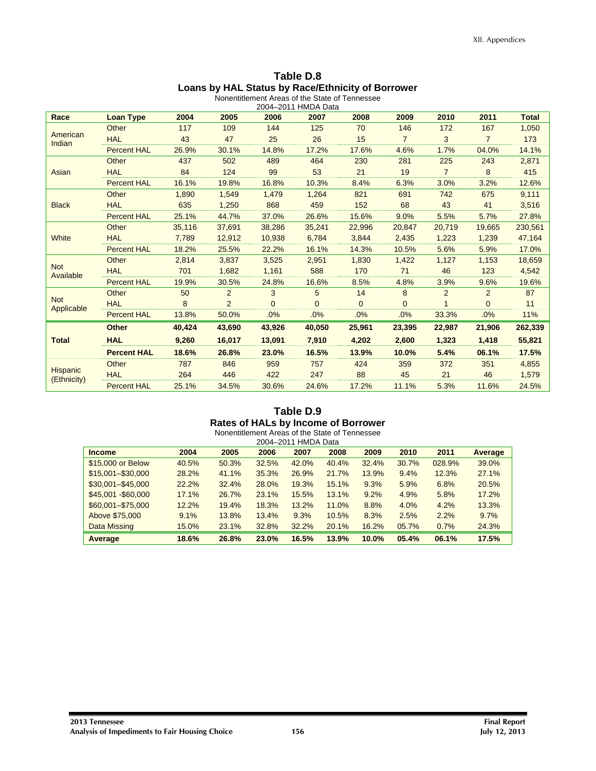| Table D.8                                         |
|---------------------------------------------------|
| Loans by HAL Status by Race/Ethnicity of Borrower |
| Nonentitlement Areas of the State of Tennessee    |

| FINNCING IN ALCAS OF THE STATE OF TENNER |  |
|------------------------------------------|--|
| 2004-2011 HMDA Data                      |  |

| Race                     | <b>Loan Type</b>   | 2004   | 2005           | 2006     | 2007 2011 HWD ND CLU<br>2007 | 2008     | 2009           | 2010           | 2011           | <b>Total</b> |
|--------------------------|--------------------|--------|----------------|----------|------------------------------|----------|----------------|----------------|----------------|--------------|
|                          | Other              | 117    | 109            | 144      | 125                          | 70       | 146            | 172            | 167            | 1,050        |
| American<br>Indian       | <b>HAL</b>         | 43     | 47             | 25       | 26                           | 15       | $\overline{7}$ | 3              | $\overline{7}$ | 173          |
|                          | <b>Percent HAL</b> | 26.9%  | 30.1%          | 14.8%    | 17.2%                        | 17.6%    | 4.6%           | 1.7%           | 04.0%          | 14.1%        |
|                          | Other              | 437    | 502            | 489      | 464                          | 230      | 281            | 225            | 243            | 2,871        |
| Asian                    | <b>HAL</b>         | 84     | 124            | 99       | 53                           | 21       | 19             | $\overline{7}$ | 8              | 415          |
|                          | <b>Percent HAL</b> | 16.1%  | 19.8%          | 16.8%    | 10.3%                        | 8.4%     | 6.3%           | 3.0%           | 3.2%           | 12.6%        |
|                          | Other              | 1.890  | 1,549          | 1,479    | 1,264                        | 821      | 691            | 742            | 675            | 9,111        |
| <b>Black</b>             | <b>HAL</b>         | 635    | 1,250          | 868      | 459                          | 152      | 68             | 43             | 41             | 3,516        |
|                          | <b>Percent HAL</b> | 25.1%  | 44.7%          | 37.0%    | 26.6%                        | 15.6%    | 9.0%           | 5.5%           | 5.7%           | 27.8%        |
|                          | Other              | 35,116 | 37,691         | 38,286   | 35,241                       | 22,996   | 20,847         | 20,719         | 19,665         | 230,561      |
| <b>White</b>             | <b>HAL</b>         | 7,789  | 12,912         | 10,938   | 6,784                        | 3,844    | 2,435          | 1,223          | 1,239          | 47,164       |
|                          | <b>Percent HAL</b> | 18.2%  | 25.5%          | 22.2%    | 16.1%                        | 14.3%    | 10.5%          | 5.6%           | 5.9%           | 17.0%        |
|                          | Other              | 2.814  | 3,837          | 3,525    | 2,951                        | 1,830    | 1,422          | 1,127          | 1,153          | 18,659       |
| <b>Not</b><br>Available  | <b>HAL</b>         | 701    | 1,682          | 1,161    | 588                          | 170      | 71             | 46             | 123            | 4,542        |
|                          | <b>Percent HAL</b> | 19.9%  | 30.5%          | 24.8%    | 16.6%                        | 8.5%     | 4.8%           | 3.9%           | 9.6%           | 19.6%        |
|                          | Other              | 50     | 2              | 3        | 5                            | 14       | 8              | 2              | $\overline{2}$ | 87           |
| <b>Not</b><br>Applicable | <b>HAL</b>         | 8      | $\overline{2}$ | $\Omega$ | $\overline{0}$               | $\Omega$ | $\Omega$       |                | $\overline{0}$ | 11           |
|                          | <b>Percent HAL</b> | 13.8%  | 50.0%          | .0%      | .0%                          | .0%      | .0%            | 33.3%          | .0%            | 11%          |
|                          | <b>Other</b>       | 40,424 | 43,690         | 43,926   | 40,050                       | 25,961   | 23,395         | 22,987         | 21,906         | 262,339      |
| <b>Total</b>             | <b>HAL</b>         | 9,260  | 16,017         | 13,091   | 7,910                        | 4,202    | 2,600          | 1,323          | 1,418          | 55,821       |
|                          | <b>Percent HAL</b> | 18.6%  | 26.8%          | 23.0%    | 16.5%                        | 13.9%    | 10.0%          | 5.4%           | 06.1%          | 17.5%        |
|                          | Other              | 787    | 846            | 959      | 757                          | 424      | 359            | 372            | 351            | 4,855        |
| <b>Hispanic</b>          | <b>HAL</b>         | 264    | 446            | 422      | 247                          | 88       | 45             | 21             | 46             | 1,579        |
| (Ethnicity)              | <b>Percent HAL</b> | 25.1%  | 34.5%          | 30.6%    | 24.6%                        | 17.2%    | 11.1%          | 5.3%           | 11.6%          | 24.5%        |

## **Table D.9 Rates of HALs by Income of Borrower**

|                     |       |       | Nonentitlement Areas of the State of Tennessee | 2004-2011 HMDA Data |       |       |       |        |         |
|---------------------|-------|-------|------------------------------------------------|---------------------|-------|-------|-------|--------|---------|
| <b>Income</b>       | 2004  | 2005  | 2006                                           | 2007                | 2008  | 2009  | 2010  | 2011   | Average |
| \$15,000 or Below   | 40.5% | 50.3% | 32.5%                                          | 42.0%               | 40.4% | 32.4% | 30.7% | 028.9% | 39.0%   |
| \$15,001-\$30,000   | 28.2% | 41.1% | 35.3%                                          | 26.9%               | 21.7% | 13.9% | 9.4%  | 12.3%  | 27.1%   |
| $$30,001 - $45,000$ | 22.2% | 32.4% | 28.0%                                          | 19.3%               | 15.1% | 9.3%  | 5.9%  | 6.8%   | 20.5%   |
| \$45,001 - \$60,000 | 17.1% | 26.7% | 23.1%                                          | 15.5%               | 13.1% | 9.2%  | 4.9%  | 5.8%   | 17.2%   |
| \$60,001-\$75,000   | 12.2% | 19.4% | 18.3%                                          | 13.2%               | 11.0% | 8.8%  | 4.0%  | 4.2%   | 13.3%   |
| Above \$75,000      | 9.1%  | 13.8% | 13.4%                                          | 9.3%                | 10.5% | 8.3%  | 2.5%  | 2.2%   | 9.7%    |
| Data Missing        | 15.0% | 23.1% | 32.8%                                          | 32.2%               | 20.1% | 16.2% | 05.7% | 0.7%   | 24.3%   |
| Average             | 18.6% | 26.8% | 23.0%                                          | 16.5%               | 13.9% | 10.0% | 05.4% | 06.1%  | 17.5%   |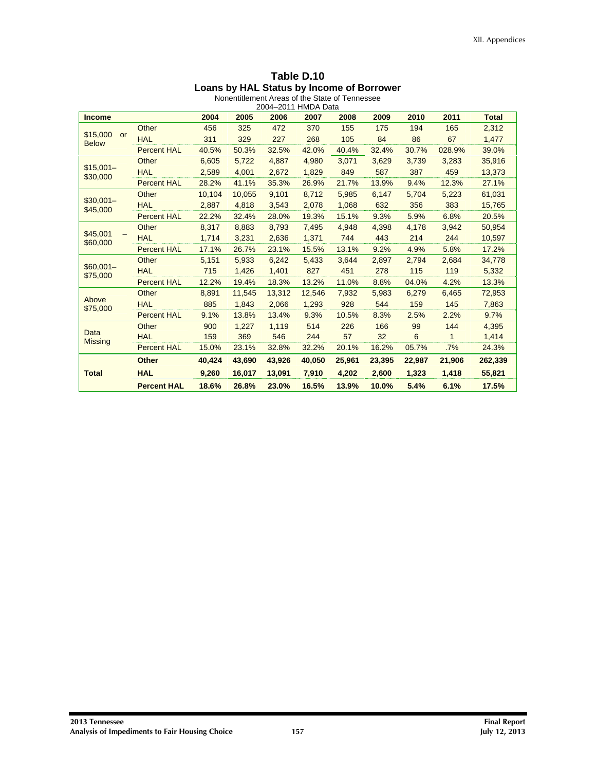|                                       |                    |        | Nonentitiement Areas of the State of Tennessee<br>2004-2011 HMDA Data |        |        |        |        |        |        |              |
|---------------------------------------|--------------------|--------|-----------------------------------------------------------------------|--------|--------|--------|--------|--------|--------|--------------|
| <b>Income</b>                         |                    | 2004   | 2005                                                                  | 2006   | 2007   | 2008   | 2009   | 2010   | 2011   | <b>Total</b> |
|                                       | Other              | 456    | 325                                                                   | 472    | 370    | 155    | 175    | 194    | 165    | 2,312        |
| \$15,000<br><b>or</b><br><b>Below</b> | <b>HAL</b>         | 311    | 329                                                                   | 227    | 268    | 105    | 84     | 86     | 67     | 1,477        |
|                                       | <b>Percent HAL</b> | 40.5%  | 50.3%                                                                 | 32.5%  | 42.0%  | 40.4%  | 32.4%  | 30.7%  | 028.9% | 39.0%        |
|                                       | Other              | 6.605  | 5.722                                                                 | 4.887  | 4.980  | 3,071  | 3,629  | 3,739  | 3,283  | 35,916       |
| $$15,001-$<br>\$30,000                | <b>HAL</b>         | 2,589  | 4,001                                                                 | 2,672  | 1,829  | 849    | 587    | 387    | 459    | 13,373       |
|                                       | <b>Percent HAL</b> | 28.2%  | 41.1%                                                                 | 35.3%  | 26.9%  | 21.7%  | 13.9%  | 9.4%   | 12.3%  | 27.1%        |
|                                       | Other              | 10,104 | 10,055                                                                | 9,101  | 8,712  | 5,985  | 6,147  | 5,704  | 5,223  | 61,031       |
| $$30.001-$<br>\$45,000                | <b>HAL</b>         | 2,887  | 4,818                                                                 | 3,543  | 2,078  | 1,068  | 632    | 356    | 383    | 15,765       |
|                                       | <b>Percent HAL</b> | 22.2%  | 32.4%                                                                 | 28.0%  | 19.3%  | 15.1%  | 9.3%   | 5.9%   | 6.8%   | 20.5%        |
|                                       | Other              | 8,317  | 8.883                                                                 | 8,793  | 7,495  | 4,948  | 4,398  | 4,178  | 3,942  | 50,954       |
| \$45,001<br>\$60,000                  | <b>HAL</b>         | 1,714  | 3,231                                                                 | 2,636  | 1,371  | 744    | 443    | 214    | 244    | 10,597       |
|                                       | <b>Percent HAL</b> | 17.1%  | 26.7%                                                                 | 23.1%  | 15.5%  | 13.1%  | 9.2%   | 4.9%   | 5.8%   | 17.2%        |
|                                       | Other              | 5,151  | 5,933                                                                 | 6,242  | 5,433  | 3.644  | 2.897  | 2.794  | 2.684  | 34,778       |
| $$60,001-$<br>\$75,000                | <b>HAL</b>         | 715    | 1,426                                                                 | 1,401  | 827    | 451    | 278    | 115    | 119    | 5,332        |
|                                       | <b>Percent HAL</b> | 12.2%  | 19.4%                                                                 | 18.3%  | 13.2%  | 11.0%  | 8.8%   | 04.0%  | 4.2%   | 13.3%        |
|                                       | Other              | 8,891  | 11,545                                                                | 13,312 | 12,546 | 7,932  | 5,983  | 6,279  | 6,465  | 72,953       |
| Above<br>\$75,000                     | <b>HAL</b>         | 885    | 1,843                                                                 | 2,066  | 1,293  | 928    | 544    | 159    | 145    | 7,863        |
|                                       | <b>Percent HAL</b> | 9.1%   | 13.8%                                                                 | 13.4%  | 9.3%   | 10.5%  | 8.3%   | 2.5%   | 2.2%   | 9.7%         |
|                                       | Other              | 900    | 1,227                                                                 | 1,119  | 514    | 226    | 166    | 99     | 144    | 4,395        |
| Data<br><b>Missing</b>                | <b>HAL</b>         | 159    | 369                                                                   | 546    | 244    | 57     | 32     | 6      | 1      | 1,414        |
|                                       | <b>Percent HAL</b> | 15.0%  | 23.1%                                                                 | 32.8%  | 32.2%  | 20.1%  | 16.2%  | 05.7%  | .7%    | 24.3%        |
|                                       | <b>Other</b>       | 40,424 | 43,690                                                                | 43,926 | 40,050 | 25,961 | 23,395 | 22,987 | 21,906 | 262,339      |
| <b>Total</b>                          | <b>HAL</b>         | 9,260  | 16,017                                                                | 13,091 | 7,910  | 4,202  | 2,600  | 1,323  | 1,418  | 55,821       |
|                                       | <b>Percent HAL</b> | 18.6%  | 26.8%                                                                 | 23.0%  | 16.5%  | 13.9%  | 10.0%  | 5.4%   | 6.1%   | 17.5%        |

|  | Table D.10 |  |                                           |  |
|--|------------|--|-------------------------------------------|--|
|  |            |  | Loans by HAL Status by Income of Borrower |  |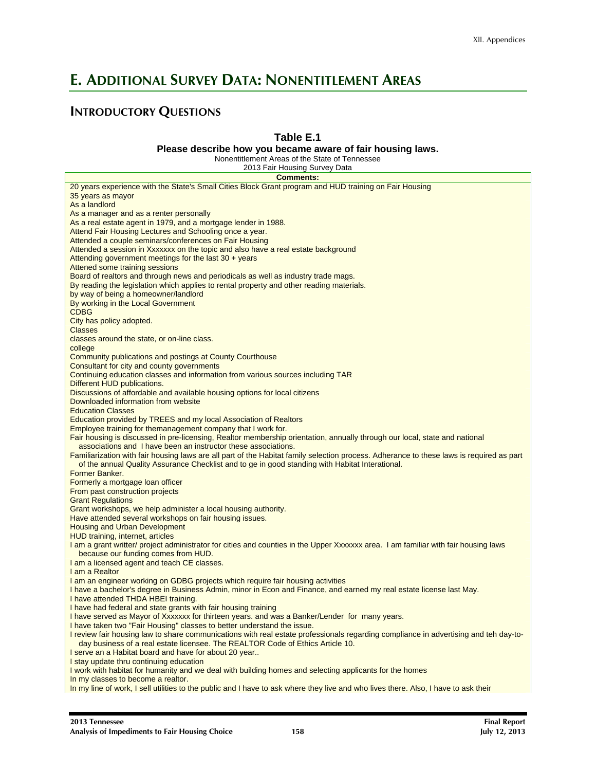## **E. ADDITIONAL SURVEY DATA: NONENTITLEMENT AREAS**

## **INTRODUCTORY QUESTIONS**

### **Table E.1**

#### **Please describe how you became aware of fair housing laws.**

Nonentitlement Areas of the State of Tennessee

| <b>Comments:</b>                                                                                                                         |
|------------------------------------------------------------------------------------------------------------------------------------------|
| 20 years experience with the State's Small Cities Block Grant program and HUD training on Fair Housing                                   |
| 35 years as mayor                                                                                                                        |
| As a landlord                                                                                                                            |
| As a manager and as a renter personally                                                                                                  |
| As a real estate agent in 1979, and a mortgage lender in 1988.                                                                           |
| Attend Fair Housing Lectures and Schooling once a year.                                                                                  |
| Attended a couple seminars/conferences on Fair Housing                                                                                   |
| Attended a session in Xxxxxxx on the topic and also have a real estate background                                                        |
| Attending government meetings for the last $30 + \text{years}$                                                                           |
| Attened some training sessions                                                                                                           |
| Board of realtors and through news and periodicals as well as industry trade mags.                                                       |
| By reading the legislation which applies to rental property and other reading materials.                                                 |
| by way of being a homeowner/landlord                                                                                                     |
| By working in the Local Government                                                                                                       |
| <b>CDBG</b>                                                                                                                              |
| City has policy adopted.                                                                                                                 |
| <b>Classes</b>                                                                                                                           |
| classes around the state, or on-line class.                                                                                              |
| college                                                                                                                                  |
| Community publications and postings at County Courthouse                                                                                 |
| Consultant for city and county governments                                                                                               |
| Continuing education classes and information from various sources including TAR                                                          |
| Different HUD publications.                                                                                                              |
| Discussions of affordable and available housing options for local citizens                                                               |
| Downloaded information from website                                                                                                      |
| <b>Education Classes</b>                                                                                                                 |
| Education provided by TREES and my local Association of Realtors                                                                         |
| Employee training for themanagement company that I work for.                                                                             |
| Fair housing is discussed in pre-licensing, Realtor membership orientation, annually through our local, state and national               |
| associations and I have been an instructor these associations.                                                                           |
| Familiarization with fair housing laws are all part of the Habitat family selection process. Adherance to these laws is required as part |
| of the annual Quality Assurance Checklist and to ge in good standing with Habitat Interational.                                          |
| Former Banker.                                                                                                                           |
| Formerly a mortgage loan officer                                                                                                         |
| From past construction projects                                                                                                          |
| <b>Grant Regulations</b>                                                                                                                 |
| Grant workshops, we help administer a local housing authority.                                                                           |
| Have attended several workshops on fair housing issues.                                                                                  |
| <b>Housing and Urban Development</b>                                                                                                     |
| HUD training, internet, articles                                                                                                         |
| I am a grant writter/ project administrator for cities and counties in the Upper Xxxxxxx area. I am familiar with fair housing laws      |
| because our funding comes from HUD.                                                                                                      |
| I am a licensed agent and teach CE classes.                                                                                              |
| I am a Realtor                                                                                                                           |
| I am an engineer working on GDBG projects which require fair housing activities                                                          |
| I have a bachelor's degree in Business Admin, minor in Econ and Finance, and earned my real estate license last May.                     |
| I have attended THDA HBEI training.                                                                                                      |
| I have had federal and state grants with fair housing training                                                                           |
| I have served as Mayor of Xxxxxxx for thirteen years. and was a Banker/Lender for many years.                                            |
| I have taken two "Fair Housing" classes to better understand the issue.                                                                  |
| I review fair housing law to share communications with real estate professionals regarding compliance in advertising and teh day-to-     |
| day business of a real estate licensee. The REALTOR Code of Ethics Article 10.                                                           |
| I serve an a Habitat board and have for about 20 year                                                                                    |
| I stay update thru continuing education                                                                                                  |
| I work with habitat for humanity and we deal with building homes and selecting applicants for the homes                                  |
| In my classes to become a realtor.                                                                                                       |
| In my line of work, I sell utilities to the public and I have to ask where they live and who lives there. Also, I have to ask their      |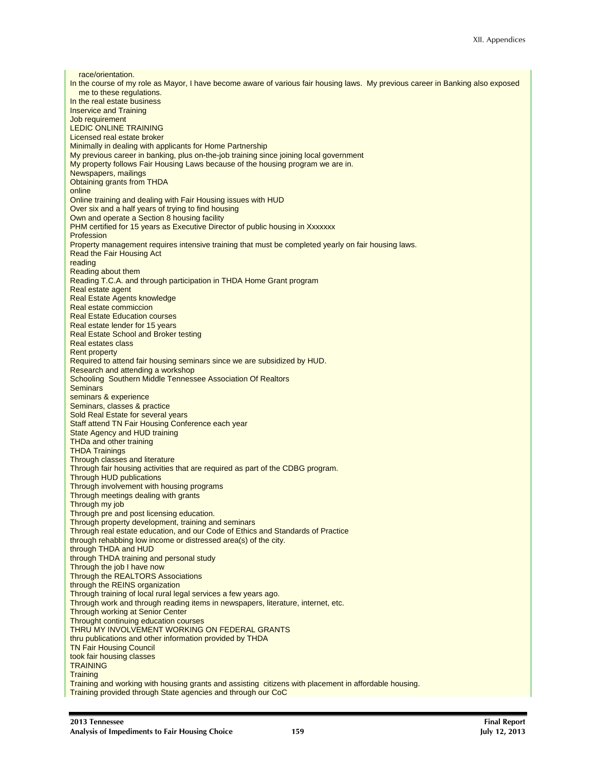race/orientation. In the course of my role as Mayor, I have become aware of various fair housing laws. My previous career in Banking also exposed me to these regulations. In the real estate business Inservice and Training Job requirement LEDIC ONLINE TRAINING Licensed real estate broker Minimally in dealing with applicants for Home Partnership My previous career in banking, plus on-the-job training since joining local government My property follows Fair Housing Laws because of the housing program we are in. Newspapers, mailings Obtaining grants from THDA online Online training and dealing with Fair Housing issues with HUD Over six and a half years of trying to find housing Own and operate a Section 8 housing facility PHM certified for 15 years as Executive Director of public housing in Xxxxxxx Profession Property management requires intensive training that must be completed yearly on fair housing laws. Read the Fair Housing Act reading Reading about them Reading T.C.A. and through participation in THDA Home Grant program Real estate agent Real Estate Agents knowledge Real estate commiccion Real Estate Education courses Real estate lender for 15 years Real Estate School and Broker testing Real estates class Rent property Required to attend fair housing seminars since we are subsidized by HUD. Research and attending a workshop Schooling Southern Middle Tennessee Association Of Realtors **Seminars** seminars & experience Seminars, classes & practice Sold Real Estate for several years Staff attend TN Fair Housing Conference each year State Agency and HUD training THDa and other training THDA Trainings Through classes and literature Through fair housing activities that are required as part of the CDBG program. Through HUD publications Through involvement with housing programs Through meetings dealing with grants Through my job Through pre and post licensing education. Through property development, training and seminars Through real estate education, and our Code of Ethics and Standards of Practice through rehabbing low income or distressed area(s) of the city. through THDA and HUD through THDA training and personal study Through the job I have now Through the REALTORS Associations through the REINS organization Through training of local rural legal services a few years ago. Through work and through reading items in newspapers, literature, internet, etc. Through working at Senior Center Throught continuing education courses THRU MY INVOLVEMENT WORKING ON FEDERAL GRANTS thru publications and other information provided by THDA TN Fair Housing Council took fair housing classes **TRAINING Training** Training and working with housing grants and assisting citizens with placement in affordable housing. Training provided through State agencies and through our CoC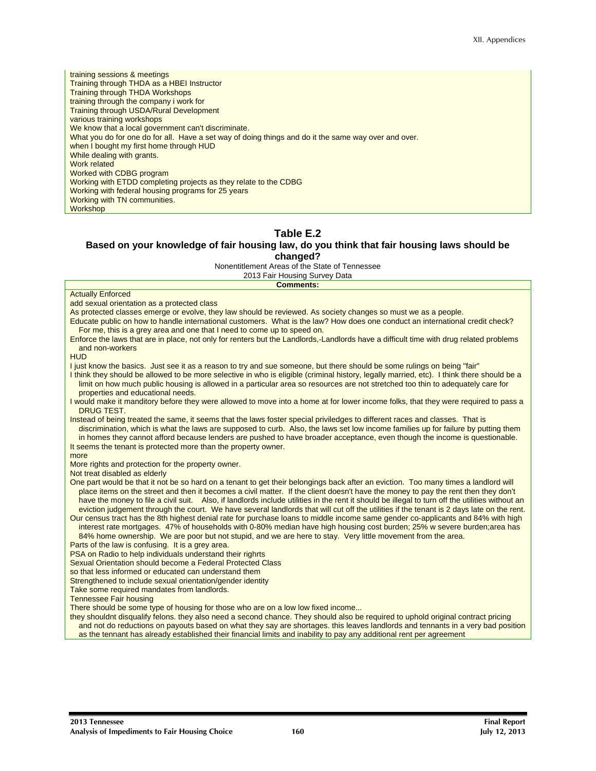training sessions & meetings Training through THDA as a HBEI Instructor Training through THDA Workshops training through the company i work for Training through USDA/Rural Development various training workshops We know that a local government can't discriminate. What you do for one do for all. Have a set way of doing things and do it the same way over and over. when I bought my first home through HUD While dealing with grants. Work related Worked with CDBG program Working with ETDD completing projects as they relate to the CDBG Working with federal housing programs for 25 years Working with TN communities. **Workshop** 

## **Table E.2**

#### **Based on your knowledge of fair housing law, do you think that fair housing laws should be changed?**

Nonentitlement Areas of the State of Tennessee

2013 Fair Housing Survey Data

#### **Comments:**

#### **Actually Enforced**

|  |  |  | add sexual orientation as a protected class |
|--|--|--|---------------------------------------------|
|--|--|--|---------------------------------------------|

As protected classes emerge or evolve, they law should be reviewed. As society changes so must we as a people.

- Educate public on how to handle international customers. What is the law? How does one conduct an international credit check? For me, this is a grey area and one that I need to come up to speed on.
- Enforce the laws that are in place, not only for renters but the Landlords,-Landlords have a difficult time with drug related problems and non-workers
- HUD

I just know the basics. Just see it as a reason to try and sue someone, but there should be some rulings on being "fair" I think they should be allowed to be more selective in who is eligible (criminal history, legally married, etc). I think there should be a limit on how much public housing is allowed in a particular area so resources are not stretched too thin to adequately care for

properties and educational needs.

I would make it manditory before they were allowed to move into a home at for lower income folks, that they were required to pass a DRUG TEST.

Instead of being treated the same, it seems that the laws foster special priviledges to different races and classes. That is discrimination, which is what the laws are supposed to curb. Also, the laws set low income families up for failure by putting them in homes they cannot afford because lenders are pushed to have broader acceptance, even though the income is questionable.

It seems the tenant is protected more than the property owner.

#### more

More rights and protection for the property owner.

Not treat disabled as elderly

One part would be that it not be so hard on a tenant to get their belongings back after an eviction. Too many times a landlord will place items on the street and then it becomes a civil matter. If the client doesn't have the money to pay the rent then they don't have the money to file a civil suit. Also, if landlords include utilities in the rent it should be illegal to turn off the utilities without an eviction judgement through the court. We have several landlords that will cut off the utilities if the tenant is 2 days late on the rent.

Our census tract has the 8th highest denial rate for purchase loans to middle income same gender co-applicants and 84% with high interest rate mortgages. 47% of households with 0-80% median have high housing cost burden; 25% w severe burden;area has 84% home ownership. We are poor but not stupid, and we are here to stay. Very little movement from the area.

Parts of the law is confusing. It is a grey area.

PSA on Radio to help individuals understand their righrts

Sexual Orientation should become a Federal Protected Class

so that less informed or educated can understand them

Strengthened to include sexual orientation/gender identity

Take some required mandates from landlords.

Tennessee Fair housing

There should be some type of housing for those who are on a low low fixed income...

they shouldnt disqualify felons. they also need a second chance. They should also be required to uphold original contract pricing and not do reductions on payouts based on what they say are shortages. this leaves landlords and tennants in a very bad position as the tennant has already established their financial limits and inability to pay any additional rent per agreement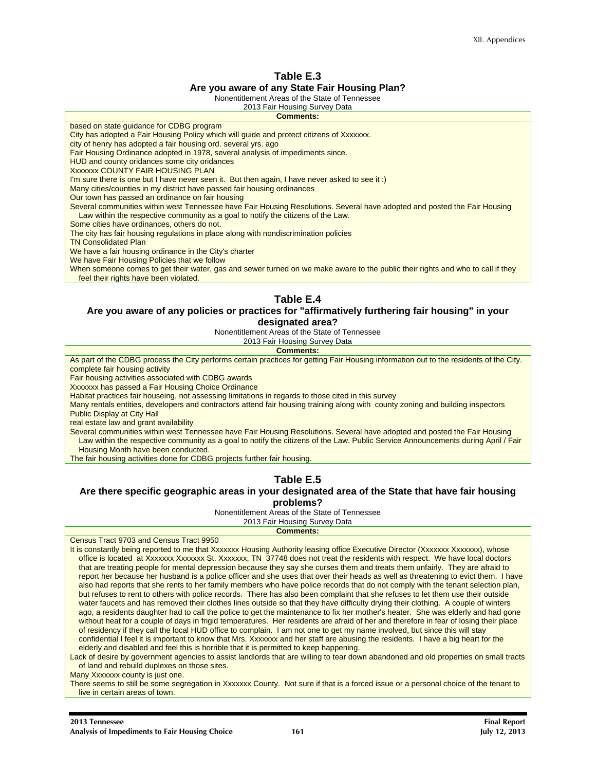#### **Table E.3 Are you aware of any State Fair Housing Plan?**

Nonentitlement Areas of the State of Tennessee

#### 2013 Fair Housing Survey Data

#### **Comments:**

based on state guidance for CDBG program

City has adopted a Fair Housing Policy which will guide and protect citizens of Xxxxxxx.

city of henry has adopted a fair housing ord. several yrs. ago

Fair Housing Ordinance adopted in 1978, several analysis of impediments since.

HUD and county oridances some city oridances

Xxxxxxx COUNTY FAIR HOUSING PLAN

I'm sure there is one but I have never seen it. But then again, I have never asked to see it :)

Many cities/counties in my district have passed fair housing ordinances

Our town has passed an ordinance on fair housing

Several communities within west Tennessee have Fair Housing Resolutions. Several have adopted and posted the Fair Housing Law within the respective community as a goal to notify the citizens of the Law.

Some cities have ordinances, others do not.

The city has fair housing regulations in place along with nondiscrimination policies

TN Consolidated Plan

We have a fair housing ordinance in the City's charter

We have Fair Housing Policies that we follow

When someone comes to get their water, gas and sewer turned on we make aware to the public their rights and who to call if they feel their rights have been violated.

#### **Table E.4**

#### **Are you aware of any policies or practices for "affirmatively furthering fair housing" in your designated area?**

Nonentitlement Areas of the State of Tennessee

2013 Fair Housing Survey Data

**Comments:** 

As part of the CDBG process the City performs certain practices for getting Fair Housing information out to the residents of the City. complete fair housing activity

Fair housing activities associated with CDBG awards

Xxxxxxx has passed a Fair Housing Choice Ordinance

Habitat practices fair houseing, not assessing limitations in regards to those cited in this survey

Many rentals entities, developers and contractors attend fair housing training along with county zoning and building inspectors Public Display at City Hall

real estate law and grant availability

Several communities within west Tennessee have Fair Housing Resolutions. Several have adopted and posted the Fair Housing Law within the respective community as a goal to notify the citizens of the Law. Public Service Announcements during April / Fair Housing Month have been conducted.

The fair housing activities done for CDBG projects further fair housing.

#### **Table E.5**

#### **Are there specific geographic areas in your designated area of the State that have fair housing problems?**

Nonentitlement Areas of the State of Tennessee

| 2019 Lall Troughly Outvey Data                                                                                                        |
|---------------------------------------------------------------------------------------------------------------------------------------|
| <b>Comments:</b>                                                                                                                      |
| Census Tract 9703 and Census Tract 9950                                                                                               |
| It is constantly being reported to me that Xxxxxxx Housing Authority leasing office Executive Director (Xxxxxxx Xxxxxxx), whose       |
| office is located at Xxxxxxx Xxxxxxx St. Xxxxxxx, TN 37748 does not treat the residents with respect. We have local doctors           |
| that are treating people for mental depression because they say she curses them and treats them unfairly. They are afraid to          |
| report her because her husband is a police officer and she uses that over their heads as well as threatening to evict them. I have    |
| also had reports that she rents to her family members who have police records that do not comply with the tenant selection plan,      |
| but refuses to rent to others with police records. There has also been complaint that she refuses to let them use their outside       |
| water faucets and has removed their clothes lines outside so that they have difficulty drying their clothing. A couple of winters     |
| ago, a residents daughter had to call the police to get the maintenance to fix her mother's heater. She was elderly and had gone      |
| without heat for a couple of days in frigid temperatures. Her residents are afraid of her and therefore in fear of losing their place |
| of residency if they call the local HUD office to complain. I am not one to get my name involved, but since this will stay            |
| confidential I feel it is important to know that Mrs. Xxxxxxx and her staff are abusing the residents. I have a big heart for the     |
| elderly and disabled and feel this is horrible that it is permitted to keep happening.                                                |
| Lack of desire by government agencies to assist landlords that are willing to tear down abandoned and old properties on small tracts  |
| of land and rebuild duplexes on those sites.                                                                                          |
|                                                                                                                                       |

Many Xxxxxxx county is just one.

There seems to still be some segregation in Xxxxxxx County. Not sure if that is a forced issue or a personal choice of the tenant to live in certain areas of town.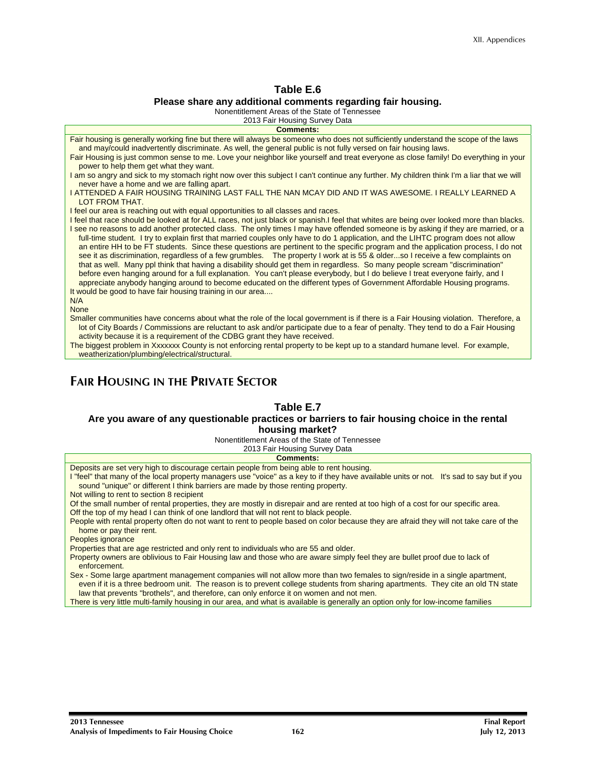#### **Table E.6 Please share any additional comments regarding fair housing.**

Nonentitlement Areas of the State of Tennessee

2013 Fair Housing Survey Data

| <b>Comments:</b>                                                                                                                                                                                                                                                                                                                                                                                                                                                                                                                                                                                                                                                                                                                                                                                                                                                                                                                                                                                                                                                                     |
|--------------------------------------------------------------------------------------------------------------------------------------------------------------------------------------------------------------------------------------------------------------------------------------------------------------------------------------------------------------------------------------------------------------------------------------------------------------------------------------------------------------------------------------------------------------------------------------------------------------------------------------------------------------------------------------------------------------------------------------------------------------------------------------------------------------------------------------------------------------------------------------------------------------------------------------------------------------------------------------------------------------------------------------------------------------------------------------|
| Fair housing is generally working fine but there will always be someone who does not sufficiently understand the scope of the laws<br>and may/could inadvertently discriminate. As well, the general public is not fully versed on fair housing laws.                                                                                                                                                                                                                                                                                                                                                                                                                                                                                                                                                                                                                                                                                                                                                                                                                                |
| Fair Housing is just common sense to me. Love your neighbor like yourself and treat everyone as close family! Do everything in your<br>power to help them get what they want.                                                                                                                                                                                                                                                                                                                                                                                                                                                                                                                                                                                                                                                                                                                                                                                                                                                                                                        |
| I am so angry and sick to my stomach right now over this subject I can't continue any further. My children think I'm a liar that we will<br>never have a home and we are falling apart.                                                                                                                                                                                                                                                                                                                                                                                                                                                                                                                                                                                                                                                                                                                                                                                                                                                                                              |
| I ATTENDED A FAIR HOUSING TRAINING LAST FALL THE NAN MCAY DID AND IT WAS AWESOME. I REALLY LEARNED A<br>LOT FROM THAT.                                                                                                                                                                                                                                                                                                                                                                                                                                                                                                                                                                                                                                                                                                                                                                                                                                                                                                                                                               |
| I feel our area is reaching out with equal opportunities to all classes and races.                                                                                                                                                                                                                                                                                                                                                                                                                                                                                                                                                                                                                                                                                                                                                                                                                                                                                                                                                                                                   |
| I feel that race should be looked at for ALL races, not just black or spanish.I feel that whites are being over looked more than blacks.<br>I see no reasons to add another protected class. The only times I may have offended someone is by asking if they are married, or a<br>full-time student. I try to explain first that married couples only have to do 1 application, and the LIHTC program does not allow<br>an entire HH to be FT students. Since these questions are pertinent to the specific program and the application process, I do not<br>see it as discrimination, regardless of a few grumbles. The property I work at is 55 & olderso I receive a few complaints on<br>that as well. Many ppl think that having a disability should get them in regardless. So many people scream "discrimination"<br>before even hanging around for a full explanation. You can't please everybody, but I do believe I treat everyone fairly, and I<br>appreciate anybody hanging around to become educated on the different types of Government Affordable Housing programs. |
| It would be good to have fair housing training in our area                                                                                                                                                                                                                                                                                                                                                                                                                                                                                                                                                                                                                                                                                                                                                                                                                                                                                                                                                                                                                           |
| N/A                                                                                                                                                                                                                                                                                                                                                                                                                                                                                                                                                                                                                                                                                                                                                                                                                                                                                                                                                                                                                                                                                  |
| <b>None</b>                                                                                                                                                                                                                                                                                                                                                                                                                                                                                                                                                                                                                                                                                                                                                                                                                                                                                                                                                                                                                                                                          |
| Smaller communities have concerns about what the role of the local government is if there is a Fair Housing violation. Therefore, a<br>lot of City Boards / Commissions are reluctant to ask and/or participate due to a fear of penalty. They tend to do a Fair Housing<br>activity because it is a requirement of the CDBG grant they have received.                                                                                                                                                                                                                                                                                                                                                                                                                                                                                                                                                                                                                                                                                                                               |
| The biggest problem in Xxxxxxx County is not enforcing rental property to be kept up to a standard humane level. For example,<br>weatherization/plumbing/electrical/structural.                                                                                                                                                                                                                                                                                                                                                                                                                                                                                                                                                                                                                                                                                                                                                                                                                                                                                                      |
|                                                                                                                                                                                                                                                                                                                                                                                                                                                                                                                                                                                                                                                                                                                                                                                                                                                                                                                                                                                                                                                                                      |

## **FAIR HOUSING IN THE PRIVATE SECTOR**

#### **Table E.7**

#### **Are you aware of any questionable practices or barriers to fair housing choice in the rental housing market?**

Nonentitlement Areas of the State of Tennessee

| 2013 Fair Housing Survey Data                                                                                                                                                                                                                                  |
|----------------------------------------------------------------------------------------------------------------------------------------------------------------------------------------------------------------------------------------------------------------|
| <b>Comments:</b>                                                                                                                                                                                                                                               |
| Deposits are set very high to discourage certain people from being able to rent housing.                                                                                                                                                                       |
| I "feel" that many of the local property managers use "voice" as a key to if they have available units or not. It's sad to say but if you                                                                                                                      |
| sound "unique" or different I think barriers are made by those renting property.                                                                                                                                                                               |
| Not willing to rent to section 8 recipient                                                                                                                                                                                                                     |
| Of the small number of rental properties, they are mostly in disrepair and are rented at too high of a cost for our specific area.                                                                                                                             |
| Off the top of my head I can think of one landlord that will not rent to black people.                                                                                                                                                                         |
| People with rental property often do not want to rent to people based on color because they are afraid they will not take care of the<br>home or pay their rent.                                                                                               |
| Peoples ignorance                                                                                                                                                                                                                                              |
| Properties that are age restricted and only rent to individuals who are 55 and older.                                                                                                                                                                          |
| Property owners are oblivious to Fair Housing law and those who are aware simply feel they are bullet proof due to lack of<br>enforcement.                                                                                                                     |
| Sex - Some large apartment management companies will not allow more than two females to sign/reside in a single apartment,<br>even if it is a three bedroom unit. The reason is to prevent college students from sharing apartments. They cite an old TN state |

law that prevents "brothels", and therefore, can only enforce it on women and not men. There is very little multi-family housing in our area, and what is available is generally an option only for low-income families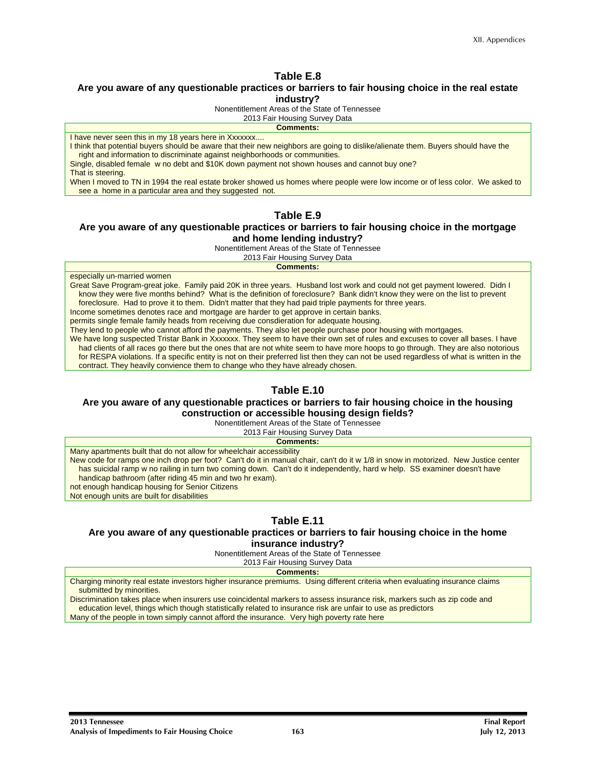#### **Are you aware of any questionable practices or barriers to fair housing choice in the real estate industry?**

Nonentitlement Areas of the State of Tennessee

2013 Fair Housing Survey Data

**Comments:** 

I have never seen this in my 18 years here in Xxxxxx....

I think that potential buyers should be aware that their new neighbors are going to dislike/alienate them. Buyers should have the right and information to discriminate against neighborhoods or communities.

Single, disabled female w no debt and \$10K down payment not shown houses and cannot buy one? That is steering.

When I moved to TN in 1994 the real estate broker showed us homes where people were low income or of less color. We asked to see a home in a particular area and they suggested not.

#### **Table E.9**

#### **Are you aware of any questionable practices or barriers to fair housing choice in the mortgage and home lending industry?**

Nonentitlement Areas of the State of Tennessee

2013 Fair Housing Survey Data

**Comments:** 

especially un-married women

Great Save Program-great joke. Family paid 20K in three years. Husband lost work and could not get payment lowered. Didn I know they were five months behind? What is the definition of foreclosure? Bank didn't know they were on the list to prevent foreclosure. Had to prove it to them. Didn't matter that they had paid triple payments for three years.

Income sometimes denotes race and mortgage are harder to get approve in certain banks.

permits single female family heads from receiving due consdieration for adequate housing.

They lend to people who cannot afford the payments. They also let people purchase poor housing with mortgages.

We have long suspected Tristar Bank in Xxxxxxx. They seem to have their own set of rules and excuses to cover all bases. I have had clients of all races go there but the ones that are not white seem to have more hoops to go through. They are also notorious for RESPA violations. If a specific entity is not on their preferred list then they can not be used regardless of what is written in the contract. They heavily convience them to change who they have already chosen.

#### **Table E.10**

#### **Are you aware of any questionable practices or barriers to fair housing choice in the housing construction or accessible housing design fields?**

Nonentitlement Areas of the State of Tennessee

2013 Fair Housing Survey Data

**Comments:** 

Many apartments built that do not allow for wheelchair accessibility New code for ramps one inch drop per foot? Can't do it in manual chair, can't do it w 1/8 in snow in motorized. New Justice center has suicidal ramp w no railing in turn two coming down. Can't do it independently, hard w help. SS examiner doesn't have handicap bathroom (after riding 45 min and two hr exam). not enough handicap housing for Senior Citizens

Not enough units are built for disabilities

## **Table E.11**

#### **Are you aware of any questionable practices or barriers to fair housing choice in the home insurance industry?**

Nonentitlement Areas of the State of Tennessee

2013 Fair Housing Survey Data

**Comments:** 

Charging minority real estate investors higher insurance premiums. Using different criteria when evaluating insurance claims submitted by minorities.

Discrimination takes place when insurers use coincidental markers to assess insurance risk, markers such as zip code and education level, things which though statistically related to insurance risk are unfair to use as predictors Many of the people in town simply cannot afford the insurance. Very high poverty rate here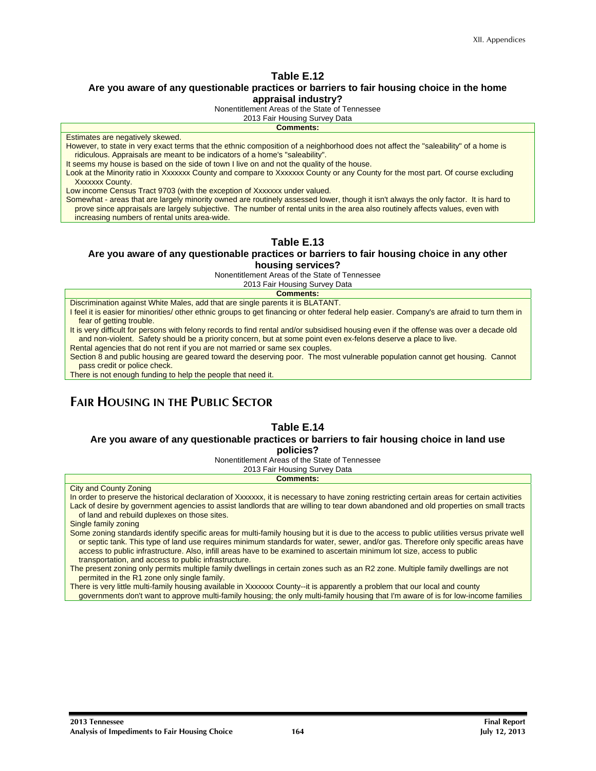#### **Are you aware of any questionable practices or barriers to fair housing choice in the home appraisal industry?**

Nonentitlement Areas of the State of Tennessee

2013 Fair Housing Survey Data

**Comments:**  Estimates are negatively skewed. However, to state in very exact terms that the ethnic composition of a neighborhood does not affect the "saleability" of a home is ridiculous. Appraisals are meant to be indicators of a home's "saleability".

It seems my house is based on the side of town I live on and not the quality of the house.

Look at the Minority ratio in Xxxxxxx County and compare to Xxxxxxx County or any County for the most part. Of course excluding Xxxxxxx County.

Low income Census Tract 9703 (with the exception of Xxxxxxx under valued.

Somewhat - areas that are largely minority owned are routinely assessed lower, though it isn't always the only factor. It is hard to prove since appraisals are largely subjective. The number of rental units in the area also routinely affects values, even with increasing numbers of rental units area-wide.

#### **Table E.13**

#### **Are you aware of any questionable practices or barriers to fair housing choice in any other housing services?**

Nonentitlement Areas of the State of Tennessee

2013 Fair Housing Survey Data

**Comments:** 

Discrimination against White Males, add that are single parents it is BLATANT.

I feel it is easier for minorities/ other ethnic groups to get financing or ohter federal help easier. Company's are afraid to turn them in fear of getting trouble.

It is very difficult for persons with felony records to find rental and/or subsidised housing even if the offense was over a decade old and non-violent. Safety should be a priority concern, but at some point even ex-felons deserve a place to live.

Rental agencies that do not rent if you are not married or same sex couples.

Section 8 and public housing are geared toward the deserving poor. The most vulnerable population cannot get housing. Cannot pass credit or police check.

There is not enough funding to help the people that need it.

## **FAIR HOUSING IN THE PUBLIC SECTOR**

#### **Table E.14**

#### **Are you aware of any questionable practices or barriers to fair housing choice in land use policies?**

Nonentitlement Areas of the State of Tennessee

2013 Fair Housing Survey Data

#### **Comments:**

City and County Zoning

In order to preserve the historical declaration of Xxxxxxx, it is necessary to have zoning restricting certain areas for certain activities Lack of desire by government agencies to assist landlords that are willing to tear down abandoned and old properties on small tracts of land and rebuild duplexes on those sites.

Single family zoning

Some zoning standards identify specific areas for multi-family housing but it is due to the access to public utilities versus private well or septic tank. This type of land use requires minimum standards for water, sewer, and/or gas. Therefore only specific areas have access to public infrastructure. Also, infill areas have to be examined to ascertain minimum lot size, access to public transportation, and access to public infrastructure.

The present zoning only permits multiple family dwellings in certain zones such as an R2 zone. Multiple family dwellings are not permited in the R1 zone only single family.

There is very little multi-family housing available in Xxxxxxx County--it is apparently a problem that our local and county

governments don't want to approve multi-family housing; the only multi-family housing that I'm aware of is for low-income families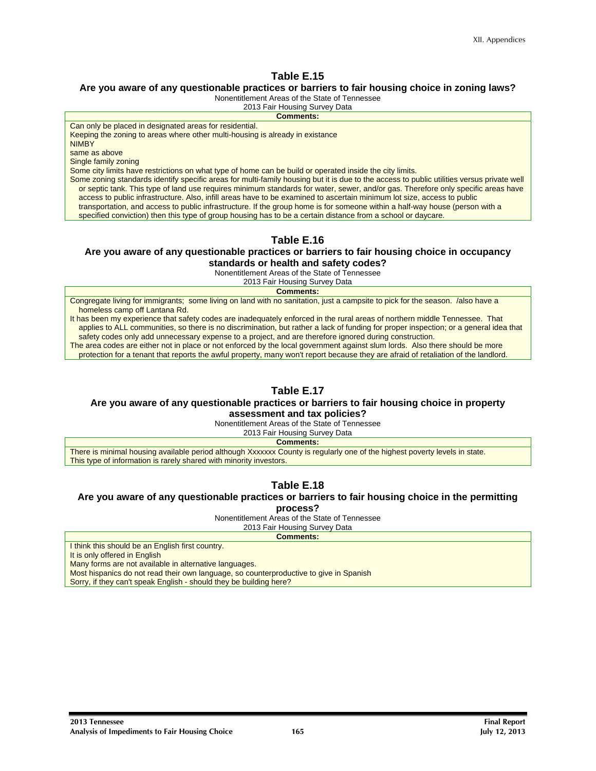#### **Are you aware of any questionable practices or barriers to fair housing choice in zoning laws?**

Nonentitlement Areas of the State of Tennessee

2013 Fair Housing Survey Data

**Comments:**  Can only be placed in designated areas for residential. Keeping the zoning to areas where other multi-housing is already in existance NIMBY same as above Single family zoning Some city limits have restrictions on what type of home can be build or operated inside the city limits. Some zoning standards identify specific areas for multi-family housing but it is due to the access to public utilities versus private well or septic tank. This type of land use requires minimum standards for water, sewer, and/or gas. Therefore only specific areas have access to public infrastructure. Also, infill areas have to be examined to ascertain minimum lot size, access to public transportation, and access to public infrastructure. If the group home is for someone within a half-way house (person with a specified conviction) then this type of group housing has to be a certain distance from a school or daycare.

#### **Table E.16**

#### **Are you aware of any questionable practices or barriers to fair housing choice in occupancy standards or health and safety codes?**

Nonentitlement Areas of the State of Tennessee

2013 Fair Housing Survey Data

**Comments:** 

Congregate living for immigrants; some living on land with no sanitation, just a campsite to pick for the season. /also have a homeless camp off Lantana Rd.

It has been my experience that safety codes are inadequately enforced in the rural areas of northern middle Tennessee. That applies to ALL communities, so there is no discrimination, but rather a lack of funding for proper inspection; or a general idea that safety codes only add unnecessary expense to a project, and are therefore ignored during construction.

The area codes are either not in place or not enforced by the local government against slum lords. Also there should be more

protection for a tenant that reports the awful property, many won't report because they are afraid of retaliation of the landlord.

## **Table E.17**

## **Are you aware of any questionable practices or barriers to fair housing choice in property**

**assessment and tax policies?**  Nonentitlement Areas of the State of Tennessee

2013 Fair Housing Survey Data

**Comments:** 

There is minimal housing available period although Xxxxxxx County is regularly one of the highest poverty levels in state. This type of information is rarely shared with minority investors.

#### **Table E.18**

#### **Are you aware of any questionable practices or barriers to fair housing choice in the permitting**

**process?** 

Nonentitlement Areas of the State of Tennessee

2013 Fair Housing Survey Data

**Comments:** 

I think this should be an English first country.

It is only offered in English

Many forms are not available in alternative languages.

Most hispanics do not read their own language, so counterproductive to give in Spanish

Sorry, if they can't speak English - should they be building here?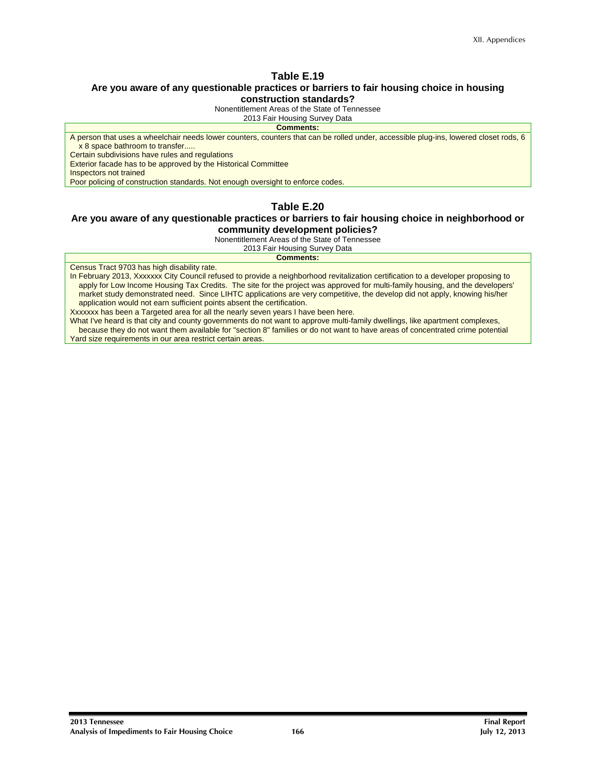## **Are you aware of any questionable practices or barriers to fair housing choice in housing**

**construction standards?**  Nonentitlement Areas of the State of Tennessee

2013 Fair Housing Survey Data

#### **Comments:**

A person that uses a wheelchair needs lower counters, counters that can be rolled under, accessible plug-ins, lowered closet rods, 6 x 8 space bathroom to transfer.....

Certain subdivisions have rules and regulations

Exterior facade has to be approved by the Historical Committee

Inspectors not trained

Poor policing of construction standards. Not enough oversight to enforce codes.

#### **Table E.20**

#### **Are you aware of any questionable practices or barriers to fair housing choice in neighborhood or community development policies?**

Nonentitlement Areas of the State of Tennessee

2013 Fair Housing Survey Data **Comments:** 

Census Tract 9703 has high disability rate.

In February 2013, Xxxxxxx City Council refused to provide a neighborhood revitalization certification to a developer proposing to apply for Low Income Housing Tax Credits. The site for the project was approved for multi-family housing, and the developers' market study demonstrated need. Since LIHTC applications are very competitive, the develop did not apply, knowing his/her application would not earn sufficient points absent the certification.

Xxxxxxx has been a Targeted area for all the nearly seven years I have been here.

What I've heard is that city and county governments do not want to approve multi-family dwellings, like apartment complexes, because they do not want them available for "section 8" families or do not want to have areas of concentrated crime potential Yard size requirements in our area restrict certain areas.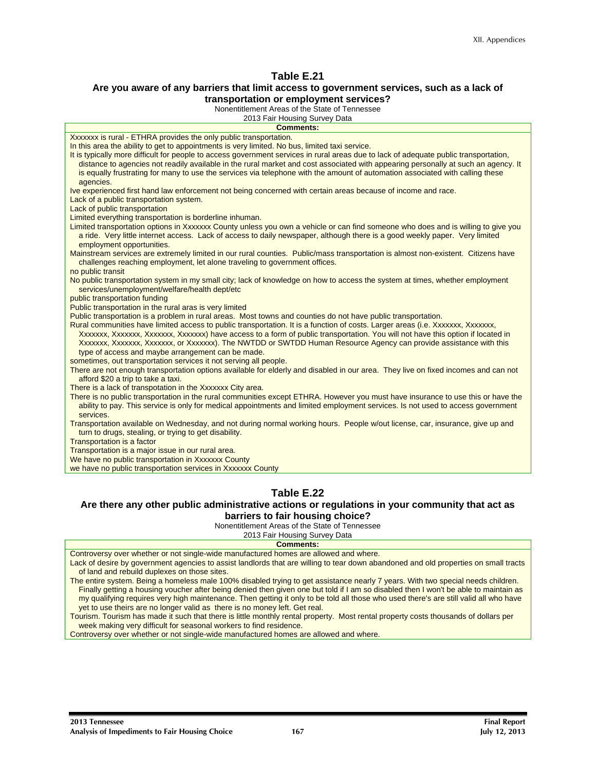#### **Are you aware of any barriers that limit access to government services, such as a lack of transportation or employment services?**

Nonentitlement Areas of the State of Tennessee

| <b>Comments:</b><br>Xxxxxxx is rural - ETHRA provides the only public transportation.<br>In this area the ability to get to appointments is very limited. No bus, limited taxi service.<br>It is typically more difficult for people to access government services in rural areas due to lack of adequate public transportation,<br>distance to agencies not readily available in the rural market and cost associated with appearing personally at such an agency. It<br>is equally frustrating for many to use the services via telephone with the amount of automation associated with calling these<br>agencies.<br>Ive experienced first hand law enforcement not being concerned with certain areas because of income and race.<br>Lack of a public transportation system.<br>Lack of public transportation<br>Limited everything transportation is borderline inhuman.<br>Limited transportation options in Xxxxxxx County unless you own a vehicle or can find someone who does and is willing to give you<br>a ride. Very little internet access. Lack of access to daily newspaper, although there is a good weekly paper. Very limited<br>employment opportunities.<br>Mainstream services are extremely limited in our rural counties. Public/mass transportation is almost non-existent. Citizens have<br>challenges reaching employment, let alone traveling to government offices.<br>no public transit<br>No public transportation system in my small city; lack of knowledge on how to access the system at times, whether employment<br>services/unemployment/welfare/health dept/etc<br>public transportation funding<br>Public transportation in the rural aras is very limited<br>Public transportation is a problem in rural areas. Most towns and counties do not have public transportation.<br>Rural communities have limited access to public transportation. It is a function of costs. Larger areas (i.e. Xxxxxxx, Xxxxxxx,<br>Xxxxxxx, Xxxxxxx, Xxxxxxx, Xxxxxxx) have access to a form of public transportation. You will not have this option if located in<br>Xxxxxxx, Xxxxxxx, Xxxxxxx, or Xxxxxxx). The NWTDD or SWTDD Human Resource Agency can provide assistance with this<br>type of access and maybe arrangement can be made.<br>sometimes, out transportation services it not serving all people.<br>There are not enough transportation options available for elderly and disabled in our area. They live on fixed incomes and can not<br>afford \$20 a trip to take a taxi.<br>There is a lack of transpotation in the Xxxxxxx City area.<br>There is no public transportation in the rural communities except ETHRA. However you must have insurance to use this or have the<br>ability to pay. This service is only for medical appointments and limited employment services. Is not used to access government<br>services.<br>Transportation available on Wednesday, and not during normal working hours. People w/out license, car, insurance, give up and<br>turn to drugs, stealing, or trying to get disability.<br>Transportation is a factor<br>Transportation is a major issue in our rural area.<br>We have no public transportation in Xxxxxxx County<br>we have no public transportation services in Xxxxxxx County | <u>NUMERIMENTE ALEAS OF THE STATE OF FEMILESSEE </u><br>2013 Fair Housing Survey Data |
|----------------------------------------------------------------------------------------------------------------------------------------------------------------------------------------------------------------------------------------------------------------------------------------------------------------------------------------------------------------------------------------------------------------------------------------------------------------------------------------------------------------------------------------------------------------------------------------------------------------------------------------------------------------------------------------------------------------------------------------------------------------------------------------------------------------------------------------------------------------------------------------------------------------------------------------------------------------------------------------------------------------------------------------------------------------------------------------------------------------------------------------------------------------------------------------------------------------------------------------------------------------------------------------------------------------------------------------------------------------------------------------------------------------------------------------------------------------------------------------------------------------------------------------------------------------------------------------------------------------------------------------------------------------------------------------------------------------------------------------------------------------------------------------------------------------------------------------------------------------------------------------------------------------------------------------------------------------------------------------------------------------------------------------------------------------------------------------------------------------------------------------------------------------------------------------------------------------------------------------------------------------------------------------------------------------------------------------------------------------------------------------------------------------------------------------------------------------------------------------------------------------------------------------------------------------------------------------------------------------------------------------------------------------------------------------------------------------------------------------------------------------------------------------------------------------------------------------------------------------------------------------------------------------------------------------------------------------------------------------------------------------------------------------------------------------------------------------------------------------------------------------------------------------------------------------------------------------------------------------------------------------------------|---------------------------------------------------------------------------------------|
|                                                                                                                                                                                                                                                                                                                                                                                                                                                                                                                                                                                                                                                                                                                                                                                                                                                                                                                                                                                                                                                                                                                                                                                                                                                                                                                                                                                                                                                                                                                                                                                                                                                                                                                                                                                                                                                                                                                                                                                                                                                                                                                                                                                                                                                                                                                                                                                                                                                                                                                                                                                                                                                                                                                                                                                                                                                                                                                                                                                                                                                                                                                                                                                                                                                                            |                                                                                       |
|                                                                                                                                                                                                                                                                                                                                                                                                                                                                                                                                                                                                                                                                                                                                                                                                                                                                                                                                                                                                                                                                                                                                                                                                                                                                                                                                                                                                                                                                                                                                                                                                                                                                                                                                                                                                                                                                                                                                                                                                                                                                                                                                                                                                                                                                                                                                                                                                                                                                                                                                                                                                                                                                                                                                                                                                                                                                                                                                                                                                                                                                                                                                                                                                                                                                            |                                                                                       |
|                                                                                                                                                                                                                                                                                                                                                                                                                                                                                                                                                                                                                                                                                                                                                                                                                                                                                                                                                                                                                                                                                                                                                                                                                                                                                                                                                                                                                                                                                                                                                                                                                                                                                                                                                                                                                                                                                                                                                                                                                                                                                                                                                                                                                                                                                                                                                                                                                                                                                                                                                                                                                                                                                                                                                                                                                                                                                                                                                                                                                                                                                                                                                                                                                                                                            |                                                                                       |
|                                                                                                                                                                                                                                                                                                                                                                                                                                                                                                                                                                                                                                                                                                                                                                                                                                                                                                                                                                                                                                                                                                                                                                                                                                                                                                                                                                                                                                                                                                                                                                                                                                                                                                                                                                                                                                                                                                                                                                                                                                                                                                                                                                                                                                                                                                                                                                                                                                                                                                                                                                                                                                                                                                                                                                                                                                                                                                                                                                                                                                                                                                                                                                                                                                                                            |                                                                                       |
|                                                                                                                                                                                                                                                                                                                                                                                                                                                                                                                                                                                                                                                                                                                                                                                                                                                                                                                                                                                                                                                                                                                                                                                                                                                                                                                                                                                                                                                                                                                                                                                                                                                                                                                                                                                                                                                                                                                                                                                                                                                                                                                                                                                                                                                                                                                                                                                                                                                                                                                                                                                                                                                                                                                                                                                                                                                                                                                                                                                                                                                                                                                                                                                                                                                                            |                                                                                       |
|                                                                                                                                                                                                                                                                                                                                                                                                                                                                                                                                                                                                                                                                                                                                                                                                                                                                                                                                                                                                                                                                                                                                                                                                                                                                                                                                                                                                                                                                                                                                                                                                                                                                                                                                                                                                                                                                                                                                                                                                                                                                                                                                                                                                                                                                                                                                                                                                                                                                                                                                                                                                                                                                                                                                                                                                                                                                                                                                                                                                                                                                                                                                                                                                                                                                            |                                                                                       |
|                                                                                                                                                                                                                                                                                                                                                                                                                                                                                                                                                                                                                                                                                                                                                                                                                                                                                                                                                                                                                                                                                                                                                                                                                                                                                                                                                                                                                                                                                                                                                                                                                                                                                                                                                                                                                                                                                                                                                                                                                                                                                                                                                                                                                                                                                                                                                                                                                                                                                                                                                                                                                                                                                                                                                                                                                                                                                                                                                                                                                                                                                                                                                                                                                                                                            |                                                                                       |
|                                                                                                                                                                                                                                                                                                                                                                                                                                                                                                                                                                                                                                                                                                                                                                                                                                                                                                                                                                                                                                                                                                                                                                                                                                                                                                                                                                                                                                                                                                                                                                                                                                                                                                                                                                                                                                                                                                                                                                                                                                                                                                                                                                                                                                                                                                                                                                                                                                                                                                                                                                                                                                                                                                                                                                                                                                                                                                                                                                                                                                                                                                                                                                                                                                                                            |                                                                                       |
|                                                                                                                                                                                                                                                                                                                                                                                                                                                                                                                                                                                                                                                                                                                                                                                                                                                                                                                                                                                                                                                                                                                                                                                                                                                                                                                                                                                                                                                                                                                                                                                                                                                                                                                                                                                                                                                                                                                                                                                                                                                                                                                                                                                                                                                                                                                                                                                                                                                                                                                                                                                                                                                                                                                                                                                                                                                                                                                                                                                                                                                                                                                                                                                                                                                                            |                                                                                       |
|                                                                                                                                                                                                                                                                                                                                                                                                                                                                                                                                                                                                                                                                                                                                                                                                                                                                                                                                                                                                                                                                                                                                                                                                                                                                                                                                                                                                                                                                                                                                                                                                                                                                                                                                                                                                                                                                                                                                                                                                                                                                                                                                                                                                                                                                                                                                                                                                                                                                                                                                                                                                                                                                                                                                                                                                                                                                                                                                                                                                                                                                                                                                                                                                                                                                            |                                                                                       |
|                                                                                                                                                                                                                                                                                                                                                                                                                                                                                                                                                                                                                                                                                                                                                                                                                                                                                                                                                                                                                                                                                                                                                                                                                                                                                                                                                                                                                                                                                                                                                                                                                                                                                                                                                                                                                                                                                                                                                                                                                                                                                                                                                                                                                                                                                                                                                                                                                                                                                                                                                                                                                                                                                                                                                                                                                                                                                                                                                                                                                                                                                                                                                                                                                                                                            |                                                                                       |
|                                                                                                                                                                                                                                                                                                                                                                                                                                                                                                                                                                                                                                                                                                                                                                                                                                                                                                                                                                                                                                                                                                                                                                                                                                                                                                                                                                                                                                                                                                                                                                                                                                                                                                                                                                                                                                                                                                                                                                                                                                                                                                                                                                                                                                                                                                                                                                                                                                                                                                                                                                                                                                                                                                                                                                                                                                                                                                                                                                                                                                                                                                                                                                                                                                                                            |                                                                                       |
|                                                                                                                                                                                                                                                                                                                                                                                                                                                                                                                                                                                                                                                                                                                                                                                                                                                                                                                                                                                                                                                                                                                                                                                                                                                                                                                                                                                                                                                                                                                                                                                                                                                                                                                                                                                                                                                                                                                                                                                                                                                                                                                                                                                                                                                                                                                                                                                                                                                                                                                                                                                                                                                                                                                                                                                                                                                                                                                                                                                                                                                                                                                                                                                                                                                                            |                                                                                       |
|                                                                                                                                                                                                                                                                                                                                                                                                                                                                                                                                                                                                                                                                                                                                                                                                                                                                                                                                                                                                                                                                                                                                                                                                                                                                                                                                                                                                                                                                                                                                                                                                                                                                                                                                                                                                                                                                                                                                                                                                                                                                                                                                                                                                                                                                                                                                                                                                                                                                                                                                                                                                                                                                                                                                                                                                                                                                                                                                                                                                                                                                                                                                                                                                                                                                            |                                                                                       |
|                                                                                                                                                                                                                                                                                                                                                                                                                                                                                                                                                                                                                                                                                                                                                                                                                                                                                                                                                                                                                                                                                                                                                                                                                                                                                                                                                                                                                                                                                                                                                                                                                                                                                                                                                                                                                                                                                                                                                                                                                                                                                                                                                                                                                                                                                                                                                                                                                                                                                                                                                                                                                                                                                                                                                                                                                                                                                                                                                                                                                                                                                                                                                                                                                                                                            |                                                                                       |
|                                                                                                                                                                                                                                                                                                                                                                                                                                                                                                                                                                                                                                                                                                                                                                                                                                                                                                                                                                                                                                                                                                                                                                                                                                                                                                                                                                                                                                                                                                                                                                                                                                                                                                                                                                                                                                                                                                                                                                                                                                                                                                                                                                                                                                                                                                                                                                                                                                                                                                                                                                                                                                                                                                                                                                                                                                                                                                                                                                                                                                                                                                                                                                                                                                                                            |                                                                                       |
|                                                                                                                                                                                                                                                                                                                                                                                                                                                                                                                                                                                                                                                                                                                                                                                                                                                                                                                                                                                                                                                                                                                                                                                                                                                                                                                                                                                                                                                                                                                                                                                                                                                                                                                                                                                                                                                                                                                                                                                                                                                                                                                                                                                                                                                                                                                                                                                                                                                                                                                                                                                                                                                                                                                                                                                                                                                                                                                                                                                                                                                                                                                                                                                                                                                                            |                                                                                       |
|                                                                                                                                                                                                                                                                                                                                                                                                                                                                                                                                                                                                                                                                                                                                                                                                                                                                                                                                                                                                                                                                                                                                                                                                                                                                                                                                                                                                                                                                                                                                                                                                                                                                                                                                                                                                                                                                                                                                                                                                                                                                                                                                                                                                                                                                                                                                                                                                                                                                                                                                                                                                                                                                                                                                                                                                                                                                                                                                                                                                                                                                                                                                                                                                                                                                            |                                                                                       |
|                                                                                                                                                                                                                                                                                                                                                                                                                                                                                                                                                                                                                                                                                                                                                                                                                                                                                                                                                                                                                                                                                                                                                                                                                                                                                                                                                                                                                                                                                                                                                                                                                                                                                                                                                                                                                                                                                                                                                                                                                                                                                                                                                                                                                                                                                                                                                                                                                                                                                                                                                                                                                                                                                                                                                                                                                                                                                                                                                                                                                                                                                                                                                                                                                                                                            |                                                                                       |
|                                                                                                                                                                                                                                                                                                                                                                                                                                                                                                                                                                                                                                                                                                                                                                                                                                                                                                                                                                                                                                                                                                                                                                                                                                                                                                                                                                                                                                                                                                                                                                                                                                                                                                                                                                                                                                                                                                                                                                                                                                                                                                                                                                                                                                                                                                                                                                                                                                                                                                                                                                                                                                                                                                                                                                                                                                                                                                                                                                                                                                                                                                                                                                                                                                                                            |                                                                                       |
|                                                                                                                                                                                                                                                                                                                                                                                                                                                                                                                                                                                                                                                                                                                                                                                                                                                                                                                                                                                                                                                                                                                                                                                                                                                                                                                                                                                                                                                                                                                                                                                                                                                                                                                                                                                                                                                                                                                                                                                                                                                                                                                                                                                                                                                                                                                                                                                                                                                                                                                                                                                                                                                                                                                                                                                                                                                                                                                                                                                                                                                                                                                                                                                                                                                                            |                                                                                       |
|                                                                                                                                                                                                                                                                                                                                                                                                                                                                                                                                                                                                                                                                                                                                                                                                                                                                                                                                                                                                                                                                                                                                                                                                                                                                                                                                                                                                                                                                                                                                                                                                                                                                                                                                                                                                                                                                                                                                                                                                                                                                                                                                                                                                                                                                                                                                                                                                                                                                                                                                                                                                                                                                                                                                                                                                                                                                                                                                                                                                                                                                                                                                                                                                                                                                            |                                                                                       |
|                                                                                                                                                                                                                                                                                                                                                                                                                                                                                                                                                                                                                                                                                                                                                                                                                                                                                                                                                                                                                                                                                                                                                                                                                                                                                                                                                                                                                                                                                                                                                                                                                                                                                                                                                                                                                                                                                                                                                                                                                                                                                                                                                                                                                                                                                                                                                                                                                                                                                                                                                                                                                                                                                                                                                                                                                                                                                                                                                                                                                                                                                                                                                                                                                                                                            |                                                                                       |
|                                                                                                                                                                                                                                                                                                                                                                                                                                                                                                                                                                                                                                                                                                                                                                                                                                                                                                                                                                                                                                                                                                                                                                                                                                                                                                                                                                                                                                                                                                                                                                                                                                                                                                                                                                                                                                                                                                                                                                                                                                                                                                                                                                                                                                                                                                                                                                                                                                                                                                                                                                                                                                                                                                                                                                                                                                                                                                                                                                                                                                                                                                                                                                                                                                                                            |                                                                                       |
|                                                                                                                                                                                                                                                                                                                                                                                                                                                                                                                                                                                                                                                                                                                                                                                                                                                                                                                                                                                                                                                                                                                                                                                                                                                                                                                                                                                                                                                                                                                                                                                                                                                                                                                                                                                                                                                                                                                                                                                                                                                                                                                                                                                                                                                                                                                                                                                                                                                                                                                                                                                                                                                                                                                                                                                                                                                                                                                                                                                                                                                                                                                                                                                                                                                                            |                                                                                       |
|                                                                                                                                                                                                                                                                                                                                                                                                                                                                                                                                                                                                                                                                                                                                                                                                                                                                                                                                                                                                                                                                                                                                                                                                                                                                                                                                                                                                                                                                                                                                                                                                                                                                                                                                                                                                                                                                                                                                                                                                                                                                                                                                                                                                                                                                                                                                                                                                                                                                                                                                                                                                                                                                                                                                                                                                                                                                                                                                                                                                                                                                                                                                                                                                                                                                            |                                                                                       |
|                                                                                                                                                                                                                                                                                                                                                                                                                                                                                                                                                                                                                                                                                                                                                                                                                                                                                                                                                                                                                                                                                                                                                                                                                                                                                                                                                                                                                                                                                                                                                                                                                                                                                                                                                                                                                                                                                                                                                                                                                                                                                                                                                                                                                                                                                                                                                                                                                                                                                                                                                                                                                                                                                                                                                                                                                                                                                                                                                                                                                                                                                                                                                                                                                                                                            |                                                                                       |
|                                                                                                                                                                                                                                                                                                                                                                                                                                                                                                                                                                                                                                                                                                                                                                                                                                                                                                                                                                                                                                                                                                                                                                                                                                                                                                                                                                                                                                                                                                                                                                                                                                                                                                                                                                                                                                                                                                                                                                                                                                                                                                                                                                                                                                                                                                                                                                                                                                                                                                                                                                                                                                                                                                                                                                                                                                                                                                                                                                                                                                                                                                                                                                                                                                                                            |                                                                                       |
|                                                                                                                                                                                                                                                                                                                                                                                                                                                                                                                                                                                                                                                                                                                                                                                                                                                                                                                                                                                                                                                                                                                                                                                                                                                                                                                                                                                                                                                                                                                                                                                                                                                                                                                                                                                                                                                                                                                                                                                                                                                                                                                                                                                                                                                                                                                                                                                                                                                                                                                                                                                                                                                                                                                                                                                                                                                                                                                                                                                                                                                                                                                                                                                                                                                                            |                                                                                       |

## **Table E.22**

#### **Are there any other public administrative actions or regulations in your community that act as barriers to fair housing choice?**

Nonentitlement Areas of the State of Tennessee

2013 Fair Housing Survey Data **Comments:** 

Controversy over whether or not single-wide manufactured homes are allowed and where.

Lack of desire by government agencies to assist landlords that are willing to tear down abandoned and old properties on small tracts of land and rebuild duplexes on those sites.

The entire system. Being a homeless male 100% disabled trying to get assistance nearly 7 years. With two special needs children. Finally getting a housing voucher after being denied then given one but told if I am so disabled then I won't be able to maintain as my qualifying requires very high maintenance. Then getting it only to be told all those who used there's are still valid all who have yet to use theirs are no longer valid as there is no money left. Get real.

Tourism. Tourism has made it such that there is little monthly rental property. Most rental property costs thousands of dollars per week making very difficult for seasonal workers to find residence.

Controversy over whether or not single-wide manufactured homes are allowed and where.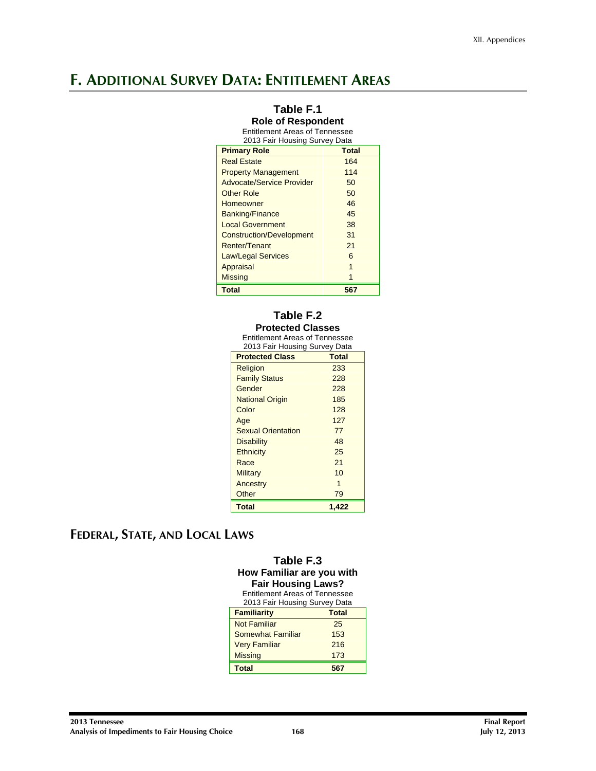## **F. ADDITIONAL SURVEY DATA: ENTITLEMENT AREAS**

#### **Table F.1 Role of Respondent**  Entitlement Areas of Tennessee 2013 Fair Housing Survey Data **Primary Role Total Total** Real Estate 164 **Property Management** 114 Advocate/Service Provider 50 Other Role 50 Homeowner 46 Banking/Finance 45<br>
Local Government 38 Local Government Construction/Development 31 Renter/Tenant 21 Law/Legal Services 6 Appraisal 1 Missing 1 and 1 and 1 and 1 and 1 and 1 and 1 and 1 and 1 and 1 and 1 and 1 and 1 and 1 and 1 and 1 and 1 and 1 and 1 and 1 and 1 and 1 and 1 and 1 and 1 and 1 and 1 and 1 and 1 and 1 and 1 and 1 and 1 and 1 and 1 and 1 an **Total 567**

#### **Table F.2 Protected Classes**

Entitlement Areas of Tennessee

| 2013 Fair Housing Survey Data |              |
|-------------------------------|--------------|
| <b>Protected Class</b>        | <b>Total</b> |
| Religion                      | 233          |
| <b>Family Status</b>          | 228          |
| Gender                        | 228          |
| <b>National Origin</b>        | 185          |
| Color                         | 128          |
| Age                           | 127          |
| <b>Sexual Orientation</b>     | 77           |
| <b>Disability</b>             | 48           |
| <b>Ethnicity</b>              | 25           |
| Race                          | 21           |
| <b>Military</b>               | 10           |
| Ancestry                      | 1            |
| Other                         | 79           |
| <b>Total</b>                  | 1,422        |

## **FEDERAL, STATE, AND LOCAL LAWS**

#### **Table F.3 How Familiar are you with Fair Housing Laws?**  Entitlement Areas of Tennessee

| <b>Familiarity</b>   | <b>Total</b> |
|----------------------|--------------|
| <b>Not Familiar</b>  | 25           |
| Somewhat Familiar    | 153          |
| <b>Very Familiar</b> | 216          |
| <b>Missing</b>       | 173          |
| <b>Total</b>         | 567          |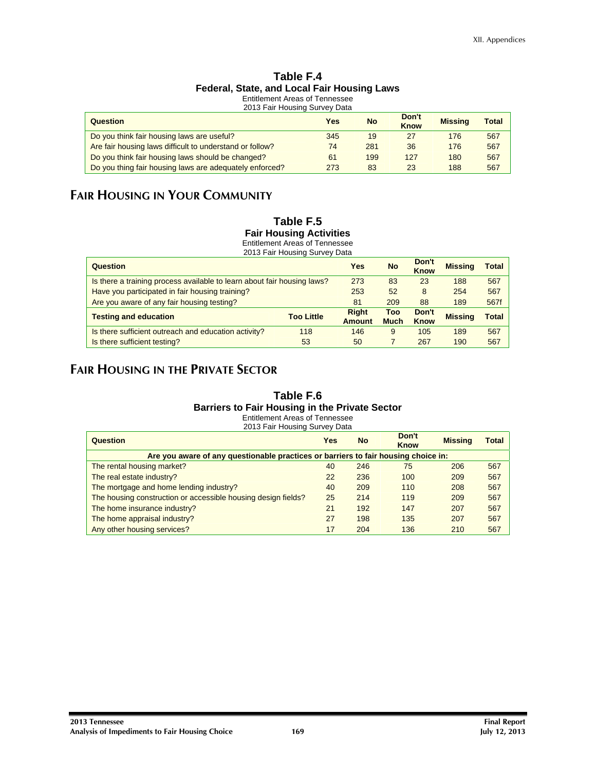#### **Table F.4 Federal, State, and Local Fair Housing Laws**  Entitlement Areas of Tennessee

2013 Fair Housing Survey Data

| Question                                                 | Yes | <b>No</b> | Don't<br><b>Know</b> | <b>Missing</b> | Total |
|----------------------------------------------------------|-----|-----------|----------------------|----------------|-------|
| Do you think fair housing laws are useful?               | 345 | 19        | 27                   | 176            | 567   |
| Are fair housing laws difficult to understand or follow? | 74  | 281       | 36                   | 176            | 567   |
| Do you think fair housing laws should be changed?        | 61  | 199       | 127                  | 180            | 567   |
| Do you thing fair housing laws are adequately enforced?  | 273 | 83        | 23                   | 188            | 567   |

## **FAIR HOUSING IN YOUR COMMUNITY**

#### **Table F.5 Fair Housing Activities**  Entitlement Areas of Tennessee

2013 Fair Housing Survey Data

| Question                                                                |                   | Yes                           | <b>No</b>          | Don't<br><b>Know</b> | <b>Missing</b> | Total        |
|-------------------------------------------------------------------------|-------------------|-------------------------------|--------------------|----------------------|----------------|--------------|
| Is there a training process available to learn about fair housing laws? |                   | 273                           | 83                 | 23                   | 188            | 567          |
| Have you participated in fair housing training?                         |                   | 253                           | 52                 | 8                    | 254            | 567          |
| Are you aware of any fair housing testing?                              |                   | 81                            | 209                | 88                   | 189            | 567f         |
| <b>Testing and education</b>                                            | <b>Too Little</b> | <b>Right</b><br><b>Amount</b> | Too<br><b>Much</b> | Don't<br>Know        | <b>Missing</b> | <b>Total</b> |
| Is there sufficient outreach and education activity?                    | 118               | 146                           | 9                  | 105                  | 189            | 567          |
| Is there sufficient testing?                                            | 53                | 50                            |                    | 267                  | 190            | 567          |

## **FAIR HOUSING IN THE PRIVATE SECTOR**

#### **Table F.6 Barriers to Fair Housing in the Private Sector**  Entitlement Areas of Tennessee

| Question                                                                           | Yes | <b>No</b> | Don't<br><b>Know</b> | <b>Missing</b> | Total |
|------------------------------------------------------------------------------------|-----|-----------|----------------------|----------------|-------|
| Are you aware of any questionable practices or barriers to fair housing choice in: |     |           |                      |                |       |
| The rental housing market?                                                         | 40  | 246       | 75                   | 206            | 567   |
| The real estate industry?                                                          | 22  | 236       | 100                  | 209            | 567   |
| The mortgage and home lending industry?                                            | 40  | 209       | 110                  | 208            | 567   |
| The housing construction or accessible housing design fields?                      | 25  | 214       | 119                  | 209            | 567   |
| The home insurance industry?                                                       | 21  | 192       | 147                  | 207            | 567   |
| The home appraisal industry?                                                       | 27  | 198       | 135                  | 207            | 567   |
| Any other housing services?                                                        | 17  | 204       | 136                  | 210            | 567   |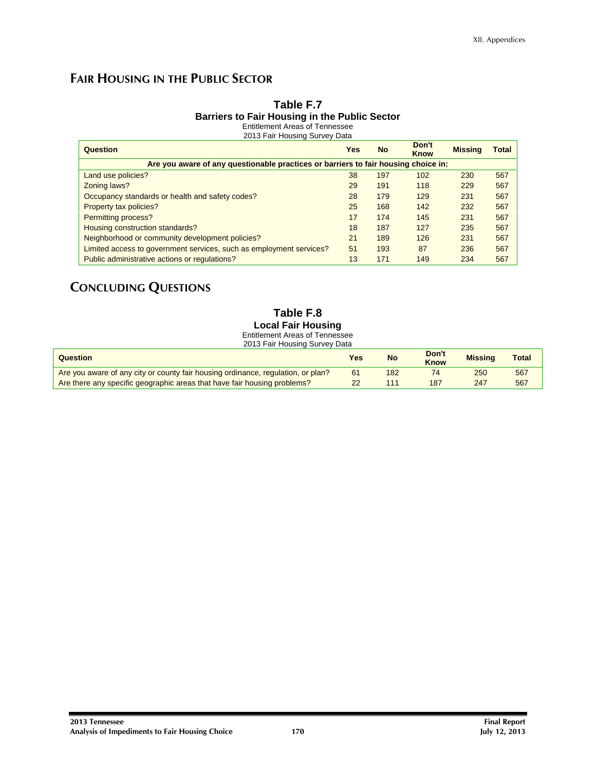## **FAIR HOUSING IN THE PUBLIC SECTOR**

## **Table F.7 Barriers to Fair Housing in the Public Sector**

Entitlement Areas of Tennessee 2013 Fair Housing Survey Data

| Question                                                                           | Yes | <b>No</b> | Don't<br><b>Know</b> | <b>Missing</b> | Total |
|------------------------------------------------------------------------------------|-----|-----------|----------------------|----------------|-------|
| Are you aware of any questionable practices or barriers to fair housing choice in: |     |           |                      |                |       |
| Land use policies?                                                                 | 38  | 197       | 102                  | 230            | 567   |
| Zoning laws?                                                                       | 29  | 191       | 118                  | 229            | 567   |
| Occupancy standards or health and safety codes?                                    | 28  | 179       | 129                  | 231            | 567   |
| Property tax policies?                                                             | 25  | 168       | 142                  | 232            | 567   |
| Permitting process?                                                                | 17  | 174       | 145                  | 231            | 567   |
| Housing construction standards?                                                    | 18  | 187       | 127                  | 235            | 567   |
| Neighborhood or community development policies?                                    | 21  | 189       | 126                  | 231            | 567   |
| Limited access to government services, such as employment services?                | 51  | 193       | 87                   | 236            | 567   |
| Public administrative actions or regulations?                                      | 13  | 171       | 149                  | 234            | 567   |

## **CONCLUDING QUESTIONS**

#### **Table F.8 Local Fair Housing**  Entitlement Areas of Tennessee

| 2013 Fair Housing Survey Data                                                    |     |           |                      |                |              |
|----------------------------------------------------------------------------------|-----|-----------|----------------------|----------------|--------------|
| Question                                                                         | Yes | <b>No</b> | Don't<br><b>Know</b> | <b>Missing</b> | <b>Total</b> |
| Are you aware of any city or county fair housing ordinance, regulation, or plan? | 61  | 182       | 74                   | 250            | 567          |
| Are there any specific geographic areas that have fair housing problems?         | 22  | 111       | 187                  | 247            | 567          |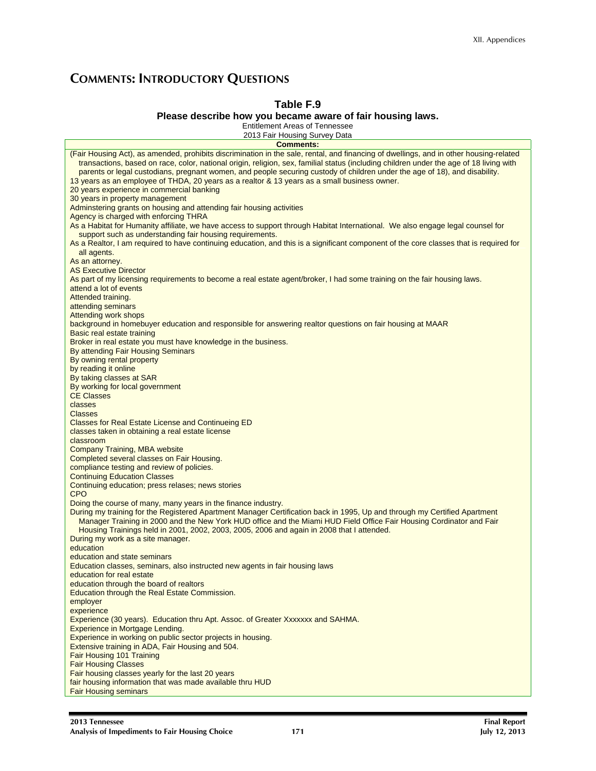## **COMMENTS: INTRODUCTORY QUESTIONS**

## **Table F.9**

#### **Please describe how you became aware of fair housing laws.**

Entitlement Areas of Tennessee 2013 Fair Housing Survey Data

| .<br><b>Comments:</b>                                                                                                                                                                                                                                                             |
|-----------------------------------------------------------------------------------------------------------------------------------------------------------------------------------------------------------------------------------------------------------------------------------|
| (Fair Housing Act), as amended, prohibits discrimination in the sale, rental, and financing of dwellings, and in other housing-related<br>transactions, based on race, color, national origin, religion, sex, familial status (including children under the age of 18 living with |
| parents or legal custodians, pregnant women, and people securing custody of children under the age of 18), and disability.<br>13 years as an employee of THDA, 20 years as a realtor & 13 years as a small business owner.                                                        |
| 20 years experience in commercial banking                                                                                                                                                                                                                                         |
| 30 years in property management                                                                                                                                                                                                                                                   |
| Adminstering grants on housing and attending fair housing activities                                                                                                                                                                                                              |
| Agency is charged with enforcing THRA<br>As a Habitat for Humanity affiliate, we have access to support through Habitat International. We also engage legal counsel for                                                                                                           |
| support such as understanding fair housing requirements.                                                                                                                                                                                                                          |
| As a Realtor, I am required to have continuing education, and this is a significant component of the core classes that is required for                                                                                                                                            |
| all agents.                                                                                                                                                                                                                                                                       |
| As an attorney.                                                                                                                                                                                                                                                                   |
| <b>AS Executive Director</b>                                                                                                                                                                                                                                                      |
| As part of my licensing requirements to become a real estate agent/broker, I had some training on the fair housing laws.                                                                                                                                                          |
| attend a lot of events<br>Attended training.                                                                                                                                                                                                                                      |
| attending seminars                                                                                                                                                                                                                                                                |
| Attending work shops                                                                                                                                                                                                                                                              |
| background in homebuyer education and responsible for answering realtor questions on fair housing at MAAR                                                                                                                                                                         |
| Basic real estate training                                                                                                                                                                                                                                                        |
| Broker in real estate you must have knowledge in the business.                                                                                                                                                                                                                    |
| By attending Fair Housing Seminars<br>By owning rental property                                                                                                                                                                                                                   |
| by reading it online                                                                                                                                                                                                                                                              |
| By taking classes at SAR                                                                                                                                                                                                                                                          |
| By working for local government                                                                                                                                                                                                                                                   |
| <b>CE Classes</b>                                                                                                                                                                                                                                                                 |
| classes                                                                                                                                                                                                                                                                           |
| <b>Classes</b><br>Classes for Real Estate License and Continueing ED                                                                                                                                                                                                              |
| classes taken in obtaining a real estate license                                                                                                                                                                                                                                  |
| classroom                                                                                                                                                                                                                                                                         |
| <b>Company Training, MBA website</b>                                                                                                                                                                                                                                              |
| Completed several classes on Fair Housing.                                                                                                                                                                                                                                        |
| compliance testing and review of policies.<br><b>Continuing Education Classes</b>                                                                                                                                                                                                 |
| Continuing education; press relases; news stories                                                                                                                                                                                                                                 |
| <b>CPO</b>                                                                                                                                                                                                                                                                        |
| Doing the course of many, many years in the finance industry.                                                                                                                                                                                                                     |
| During my training for the Registered Apartment Manager Certification back in 1995, Up and through my Certified Apartment                                                                                                                                                         |
| Manager Training in 2000 and the New York HUD office and the Miami HUD Field Office Fair Housing Cordinator and Fair<br>Housing Trainings held in 2001, 2002, 2003, 2005, 2006 and again in 2008 that I attended.                                                                 |
| During my work as a site manager.                                                                                                                                                                                                                                                 |
| education                                                                                                                                                                                                                                                                         |
| education and state seminars                                                                                                                                                                                                                                                      |
| Education classes, seminars, also instructed new agents in fair housing laws                                                                                                                                                                                                      |
| education for real estate                                                                                                                                                                                                                                                         |
| education through the board of realtors<br>Education through the Real Estate Commission.                                                                                                                                                                                          |
| employer                                                                                                                                                                                                                                                                          |
| experience                                                                                                                                                                                                                                                                        |
| Experience (30 years). Education thru Apt. Assoc. of Greater Xxxxxxx and SAHMA.                                                                                                                                                                                                   |
| Experience in Mortgage Lending.<br>Experience in working on public sector projects in housing.                                                                                                                                                                                    |
| Extensive training in ADA, Fair Housing and 504.                                                                                                                                                                                                                                  |
| Fair Housing 101 Training                                                                                                                                                                                                                                                         |
| <b>Fair Housing Classes</b>                                                                                                                                                                                                                                                       |
| Fair housing classes yearly for the last 20 years                                                                                                                                                                                                                                 |
| fair housing information that was made available thru HUD                                                                                                                                                                                                                         |
| <b>Fair Housing seminars</b>                                                                                                                                                                                                                                                      |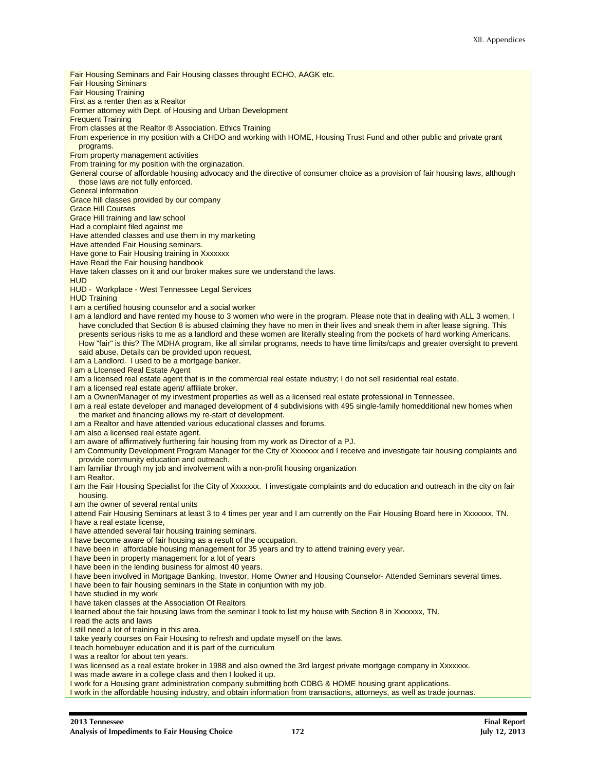Fair Housing Seminars and Fair Housing classes throught ECHO, AAGK etc. Fair Housing Siminars Fair Housing Training First as a renter then as a Realtor Former attorney with Dept. of Housing and Urban Development Frequent Training From classes at the Realtor ® Association. Ethics Training From experience in my position with a CHDO and working with HOME, Housing Trust Fund and other public and private grant programs. From property management activities From training for my position with the orginazation. General course of affordable housing advocacy and the directive of consumer choice as a provision of fair housing laws, although those laws are not fully enforced. General information Grace hill classes provided by our company Grace Hill Courses Grace Hill training and law school Had a complaint filed against me Have attended classes and use them in my marketing Have attended Fair Housing seminars. Have gone to Fair Housing training in Xxxxxxx Have Read the Fair housing handbook Have taken classes on it and our broker makes sure we understand the laws. HUD HUD - Workplace - West Tennessee Legal Services **HUD Training** I am a certified housing counselor and a social worker I am a landlord and have rented my house to 3 women who were in the program. Please note that in dealing with ALL 3 women, I have concluded that Section 8 is abused claiming they have no men in their lives and sneak them in after lease signing. This presents serious risks to me as a landlord and these women are literally stealing from the pockets of hard working Americans. How "fair" is this? The MDHA program, like all similar programs, needs to have time limits/caps and greater oversight to prevent said abuse. Details can be provided upon request. I am a Landlord. I used to be a mortgage banker. I am a LIcensed Real Estate Agent I am a licensed real estate agent that is in the commercial real estate industry; I do not sell residential real estate. I am a licensed real estate agent/ affiliate broker. I am a Owner/Manager of my investment properties as well as a licensed real estate professional in Tennessee. I am a real estate developer and managed development of 4 subdivisions with 495 single-family homedditional new homes when the market and financing allows my re-start of development. I am a Realtor and have attended various educational classes and forums. I am also a licensed real estate agent. I am aware of affirmatively furthering fair housing from my work as Director of a PJ. I am Community Development Program Manager for the City of Xxxxxxx and I receive and investigate fair housing complaints and provide community education and outreach. I am familiar through my job and involvement with a non-profit housing organization I am Realtor. I am the Fair Housing Specialist for the City of Xxxxxxx. I investigate complaints and do education and outreach in the city on fair housing. I am the owner of several rental units I attend Fair Housing Seminars at least 3 to 4 times per year and I am currently on the Fair Housing Board here in Xxxxxxx, TN. I have a real estate license, I have attended several fair housing training seminars. I have become aware of fair housing as a result of the occupation. I have been in affordable housing management for 35 years and try to attend training every year. I have been in property management for a lot of years I have been in the lending business for almost 40 years. I have been involved in Mortgage Banking, Investor, Home Owner and Housing Counselor- Attended Seminars several times. I have been to fair housing seminars in the State in conjuntion with my job. I have studied in my work I have taken classes at the Association Of Realtors I learned about the fair housing laws from the seminar I took to list my house with Section 8 in Xxxxxxx, TN. I read the acts and laws I still need a lot of training in this area. I take yearly courses on Fair Housing to refresh and update myself on the laws. I teach homebuyer education and it is part of the curriculum I was a realtor for about ten years. I was licensed as a real estate broker in 1988 and also owned the 3rd largest private mortgage company in Xxxxxxx. I was made aware in a college class and then I looked it up. I work for a Housing grant administration company submitting both CDBG & HOME housing grant applications. I work in the affordable housing industry, and obtain information from transactions, attorneys, as well as trade journas.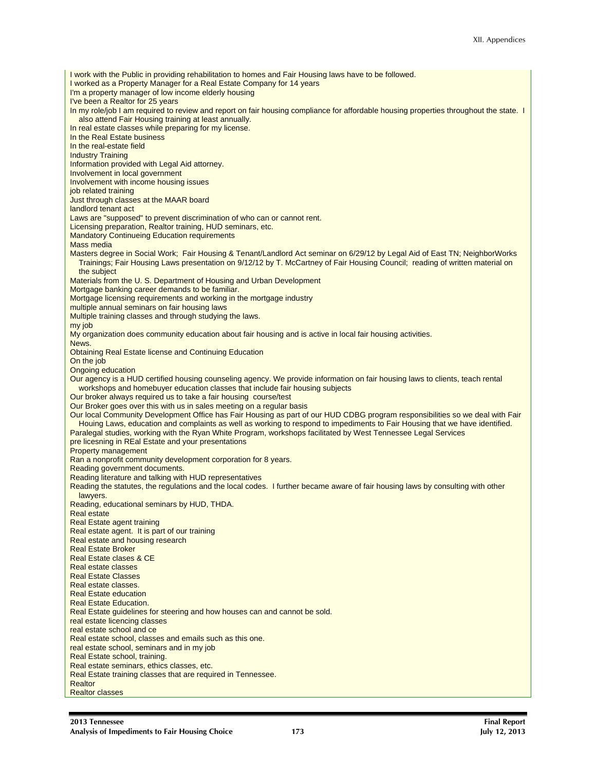I work with the Public in providing rehabilitation to homes and Fair Housing laws have to be followed. I worked as a Property Manager for a Real Estate Company for 14 years I'm a property manager of low income elderly housing I've been a Realtor for 25 years In my role/job I am required to review and report on fair housing compliance for affordable housing properties throughout the state. I also attend Fair Housing training at least annually. In real estate classes while preparing for my license. In the Real Estate business In the real-estate field Industry Training Information provided with Legal Aid attorney. Involvement in local government Involvement with income housing issues job related training Just through classes at the MAAR board landlord tenant act Laws are "supposed" to prevent discrimination of who can or cannot rent. Licensing preparation, Realtor training, HUD seminars, etc. Mandatory Continueing Education requirements Mass media Masters degree in Social Work; Fair Housing & Tenant/Landlord Act seminar on 6/29/12 by Legal Aid of East TN; NeighborWorks Trainings; Fair Housing Laws presentation on 9/12/12 by T. McCartney of Fair Housing Council; reading of written material on the subject Materials from the U. S. Department of Housing and Urban Development Mortgage banking career demands to be familiar. Mortgage licensing requirements and working in the mortgage industry multiple annual seminars on fair housing laws Multiple training classes and through studying the laws. my job My organization does community education about fair housing and is active in local fair housing activities. News. Obtaining Real Estate license and Continuing Education On the job Ongoing education Our agency is a HUD certified housing counseling agency. We provide information on fair housing laws to clients, teach rental workshops and homebuyer education classes that include fair housing subjects Our broker always required us to take a fair housing course/test Our Broker goes over this with us in sales meeting on a regular basis Our local Community Development Office has Fair Housing as part of our HUD CDBG program responsibilities so we deal with Fair Houing Laws, education and complaints as well as working to respond to impediments to Fair Housing that we have identified. Paralegal studies, working with the Ryan White Program, workshops facilitated by West Tennessee Legal Services pre licesning in REal Estate and your presentations Property management Ran a nonprofit community development corporation for 8 years. Reading government documents. Reading literature and talking with HUD representatives Reading the statutes, the regulations and the local codes. I further became aware of fair housing laws by consulting with other lawyers. Reading, educational seminars by HUD, THDA. Real estate Real Estate agent training Real estate agent. It is part of our training Real estate and housing research Real Estate Broker Real Estate clases & CE Real estate classes Real Estate Classes Real estate classes. Real Estate education Real Estate Education. Real Estate guidelines for steering and how houses can and cannot be sold. real estate licencing classes real estate school and ce Real estate school, classes and emails such as this one. real estate school, seminars and in my job Real Estate school, training. Real estate seminars, ethics classes, etc. Real Estate training classes that are required in Tennessee. Realtor Realtor classes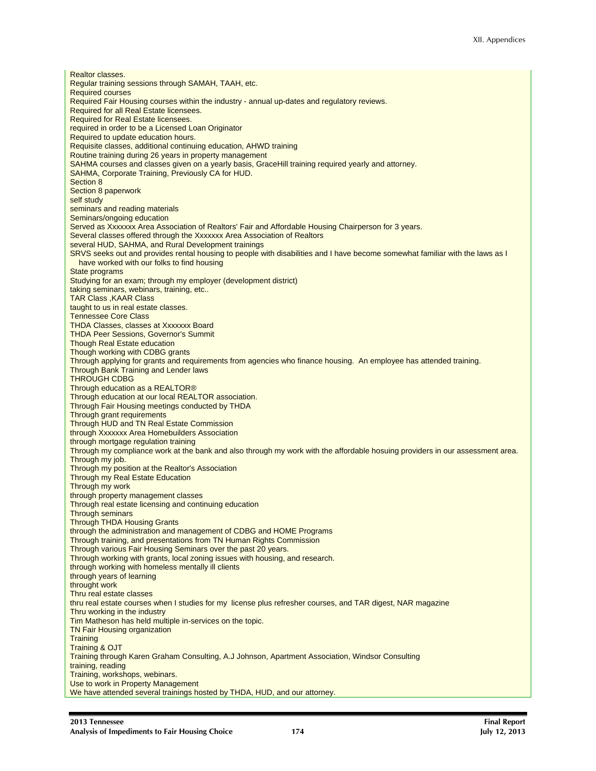Realtor classes. Regular training sessions through SAMAH, TAAH, etc. Required courses Required Fair Housing courses within the industry - annual up-dates and regulatory reviews. Required for all Real Estate licensees. Required for Real Estate licensees. required in order to be a Licensed Loan Originator Required to update education hours. Requisite classes, additional continuing education, AHWD training Routine training during 26 years in property management SAHMA courses and classes given on a yearly basis, GraceHill training required yearly and attorney. SAHMA, Corporate Training, Previously CA for HUD. Section 8 Section 8 paperwork self study seminars and reading materials Seminars/ongoing education Served as Xxxxxxx Area Association of Realtors' Fair and Affordable Housing Chairperson for 3 years. Several classes offered through the Xxxxxxx Area Association of Realtors several HUD, SAHMA, and Rural Development trainings SRVS seeks out and provides rental housing to people with disabilities and I have become somewhat familiar with the laws as I have worked with our folks to find housing State programs Studying for an exam; through my employer (development district) taking seminars, webinars, training, etc.. TAR Class ,KAAR Class taught to us in real estate classes. Tennessee Core Class THDA Classes, classes at Xxxxxxx Board THDA Peer Sessions, Governor's Summit Though Real Estate education Though working with CDBG grants Through applying for grants and requirements from agencies who finance housing. An employee has attended training. Through Bank Training and Lender laws THROUGH CDBG Through education as a REALTOR® Through education at our local REALTOR association. Through Fair Housing meetings conducted by THDA Through grant requirements Through HUD and TN Real Estate Commission through Xxxxxxx Area Homebuilders Association through mortgage regulation training Through my compliance work at the bank and also through my work with the affordable hosuing providers in our assessment area. Through my job. Through my position at the Realtor's Association Through my Real Estate Education Through my work through property management classes Through real estate licensing and continuing education Through seminars Through THDA Housing Grants through the administration and management of CDBG and HOME Programs Through training, and presentations from TN Human Rights Commission Through various Fair Housing Seminars over the past 20 years. Through working with grants, local zoning issues with housing, and research. through working with homeless mentally ill clients through years of learning throught work Thru real estate classes thru real estate courses when I studies for my license plus refresher courses, and TAR digest, NAR magazine Thru working in the industry Tim Matheson has held multiple in-services on the topic. TN Fair Housing organization **Training** Training & OJT Training through Karen Graham Consulting, A.J Johnson, Apartment Association, Windsor Consulting training, reading Training, workshops, webinars. Use to work in Property Management We have attended several trainings hosted by THDA, HUD, and our attorney.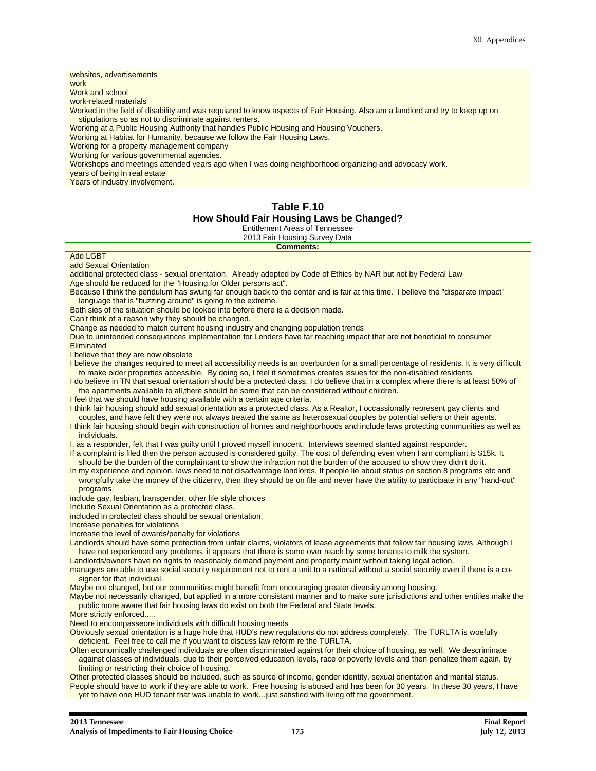#### websites, advertisements work Work and school work-related materials Worked in the field of disability and was requiared to know aspects of Fair Housing. Also am a landlord and try to keep up on stipulations so as not to discriminate against renters. Working at a Public Housing Authority that handles Public Housing and Housing Vouchers. Working at Habitat for Humanity, because we follow the Fair Housing Laws. Working for a property management company Working for various governmental agencies. Workshops and meetings attended years ago when I was doing neighborhood organizing and advocacy work. years of being in real estate Years of industry involvement. **Table F.10 How Should Fair Housing Laws be Changed?**  Entitlement Areas of Tennessee 2013 Fair Housing Survey Data **Comments:**  Add LGBT add Sexual Orientation additional protected class - sexual orientation. Already adopted by Code of Ethics by NAR but not by Federal Law Age should be reduced for the "Housing for Older persons act". Because I think the pendulum has swung far enough back to the center and is fair at this time. I believe the "disparate impact" language that is "buzzing around" is going to the extreme. Both sies of the situation should be looked into before there is a decision made. Can't think of a reason why they should be changed. Change as needed to match current housing industry and changing population trends Due to unintended consequences implementation for Lenders have far reaching impact that are not beneficial to consumer **Eliminated** I believe that they are now obsolete I believe the changes required to meet all accessibility needs is an overburden for a small percentage of residents. It is very difficult to make older properties accessible. By doing so, I feel it sometimes creates issues for the non-disabled residents. I do believe in TN that sexual orientation should be a protected class. I do believe that in a complex where there is at least 50% of the apartments available to all, there should be some that can be considered without children. I feel that we should have housing available with a certain age criteria. I think fair housing should add sexual orientation as a protected class. As a Realtor, I occassionally represent gay clients and couples, and have felt they were not always treated the same as heterosexual couples by potential sellers or their agents. I think fair housing should begin with construction of homes and neighborhoods and include laws protecting communities as well as individuals. I, as a responder, felt that I was guilty until I proved myself innocent. Interviews seemed slanted against responder. If a complaint is filed then the person accused is considered guilty. The cost of defending even when I am compliant is \$15k. It should be the burden of the complaintant to show the infraction not the burden of the accused to show they didn't do it. In my experience and opinion, laws need to not disadvantage landlords. If people lie about status on section 8 programs etc and wrongfully take the money of the citizenry, then they should be on file and never have the ability to participate in any "hand-out" programs. include gay, lesbian, transgender, other life style choices Include Sexual Orientation as a protected class. included in protected class should be sexual orientation. Increase penalties for violations Increase the level of awards/penalty for violations Landlords should have some protection from unfair claims, violators of lease agreements that follow fair housing laws. Although I have not experienced any problems, it appears that there is some over reach by some tenants to milk the system. Landlords/owners have no rights to reasonably demand payment and property maint without taking legal action. managers are able to use social security requirement not to rent a unit to a national without a social security even if there is a cosigner for that individual. Maybe not changed, but our communities might benefit from encouraging greater diversity among housing. Maybe not necessarily changed, but applied in a more consistant manner and to make sure jurisdictions and other entities make the public more aware that fair housing laws do exist on both the Federal and State levels. More strictly enforced..... Need to encompasseore individuals with difficult housing needs Obviously sexual orientation is a huge hole that HUD's new regulations do not address completely. The TURLTA is woefully deficient. Feel free to call me if you want to discuss law reform re the TURLTA. Often economically challenged individuals are often discriminated against for their choice of housing, as well. We descriminate against classes of individuals, due to their perceived education levels, race or poverty levels and then penalize them again, by limiting or restricting their choice of housing. Other protected classes should be included, such as source of income, gender identity, sexual orientation and marital status. People should have to work if they are able to work. Free housing is abused and has been for 30 years. In these 30 years, I have yet to have one HUD tenant that was unable to work...just satisfied with living off the government.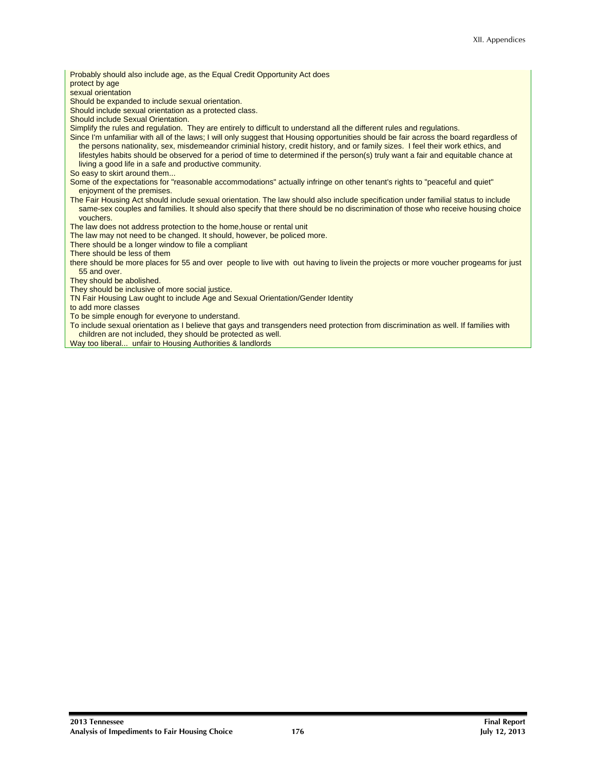Probably should also include age, as the Equal Credit Opportunity Act does protect by age sexual orientation Should be expanded to include sexual orientation. Should include sexual orientation as a protected class. Should include Sexual Orientation. Simplify the rules and regulation. They are entirely to difficult to understand all the different rules and regulations. Since I'm unfamiliar with all of the laws; I will only suggest that Housing opportunities should be fair across the board regardless of the persons nationality, sex, misdemeandor criminial history, credit history, and or family sizes. I feel their work ethics, and lifestyles habits should be observed for a period of time to determined if the person(s) truly want a fair and equitable chance at living a good life in a safe and productive community. So easy to skirt around them... Some of the expectations for "reasonable accommodations" actually infringe on other tenant's rights to "peaceful and quiet" enjoyment of the premises. The Fair Housing Act should include sexual orientation. The law should also include specification under familial status to include same-sex couples and families. It should also specify that there should be no discrimination of those who receive housing choice vouchers. The law does not address protection to the home,house or rental unit The law may not need to be changed. It should, however, be policed more. There should be a longer window to file a compliant There should be less of them there should be more places for 55 and over people to live with out having to livein the projects or more voucher progeams for just 55 and over. They should be abolished. They should be inclusive of more social justice. TN Fair Housing Law ought to include Age and Sexual Orientation/Gender Identity to add more classes To be simple enough for everyone to understand. To include sexual orientation as I believe that gays and transgenders need protection from discrimination as well. If families with children are not included, they should be protected as well.

Way too liberal... unfair to Housing Authorities & landlords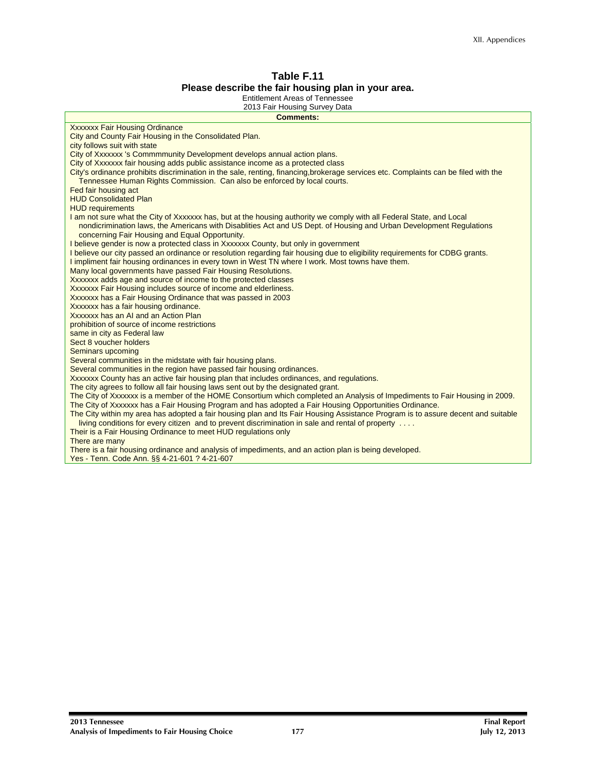#### **Table F.11 Please describe the fair housing plan in your area.**

Entitlement Areas of Tennessee

| Liitileilleilt Aleas VI Teililessee<br>2013 Fair Housing Survey Data                                                                                                                                            |
|-----------------------------------------------------------------------------------------------------------------------------------------------------------------------------------------------------------------|
| <b>Comments:</b>                                                                                                                                                                                                |
| <b>Xxxxxxx Fair Housing Ordinance</b>                                                                                                                                                                           |
| City and County Fair Housing in the Consolidated Plan.                                                                                                                                                          |
| city follows suit with state                                                                                                                                                                                    |
| City of Xxxxxxx 's Commmmunity Development develops annual action plans.                                                                                                                                        |
| City of Xxxxxxx fair housing adds public assistance income as a protected class                                                                                                                                 |
| City's ordinance prohibits discrimination in the sale, renting, financing, brokerage services etc. Complaints can be filed with the                                                                             |
| Tennessee Human Rights Commission. Can also be enforced by local courts.                                                                                                                                        |
| Fed fair housing act                                                                                                                                                                                            |
| <b>HUD Consolidated Plan</b>                                                                                                                                                                                    |
| <b>HUD requirements</b>                                                                                                                                                                                         |
| I am not sure what the City of Xxxxxxx has, but at the housing authority we comply with all Federal State, and Local                                                                                            |
| nondicrimination laws, the Americans with Disablities Act and US Dept. of Housing and Urban Development Regulations                                                                                             |
| concerning Fair Housing and Equal Opportunity.                                                                                                                                                                  |
| I believe gender is now a protected class in Xxxxxxx County, but only in government                                                                                                                             |
| I believe our city passed an ordinance or resolution regarding fair housing due to eligibility requirements for CDBG grants.                                                                                    |
| I impliment fair housing ordinances in every town in West TN where I work. Most towns have them.                                                                                                                |
| Many local governments have passed Fair Housing Resolutions.                                                                                                                                                    |
| Xxxxxxx adds age and source of income to the protected classes                                                                                                                                                  |
| Xxxxxxx Fair Housing includes source of income and elderliness.                                                                                                                                                 |
| Xxxxxxx has a Fair Housing Ordinance that was passed in 2003                                                                                                                                                    |
| Xxxxxxx has a fair housing ordinance.                                                                                                                                                                           |
| Xxxxxxx has an AI and an Action Plan                                                                                                                                                                            |
| prohibition of source of income restrictions                                                                                                                                                                    |
| same in city as Federal law                                                                                                                                                                                     |
| Sect 8 youcher holders                                                                                                                                                                                          |
| Seminars upcoming                                                                                                                                                                                               |
| Several communities in the midstate with fair housing plans.                                                                                                                                                    |
| Several communities in the region have passed fair housing ordinances.                                                                                                                                          |
| Xxxxxxx County has an active fair housing plan that includes ordinances, and regulations.                                                                                                                       |
| The city agrees to follow all fair housing laws sent out by the designated grant.<br>The City of Xxxxxxx is a member of the HOME Consortium which completed an Analysis of Impediments to Fair Housing in 2009. |
| The City of Xxxxxxx has a Fair Housing Program and has adopted a Fair Housing Opportunities Ordinance.                                                                                                          |
| The City within my area has adopted a fair housing plan and Its Fair Housing Assistance Program is to assure decent and suitable                                                                                |
| living conditions for every citizen and to prevent discrimination in sale and rental of property                                                                                                                |
| Their is a Fair Housing Ordinance to meet HUD regulations only                                                                                                                                                  |
| There are many                                                                                                                                                                                                  |
| There is a fair housing ordinance and analysis of impediments, and an action plan is being developed.                                                                                                           |
| Yes - Tenn. Code Ann. §§ 4-21-601 ? 4-21-607                                                                                                                                                                    |
|                                                                                                                                                                                                                 |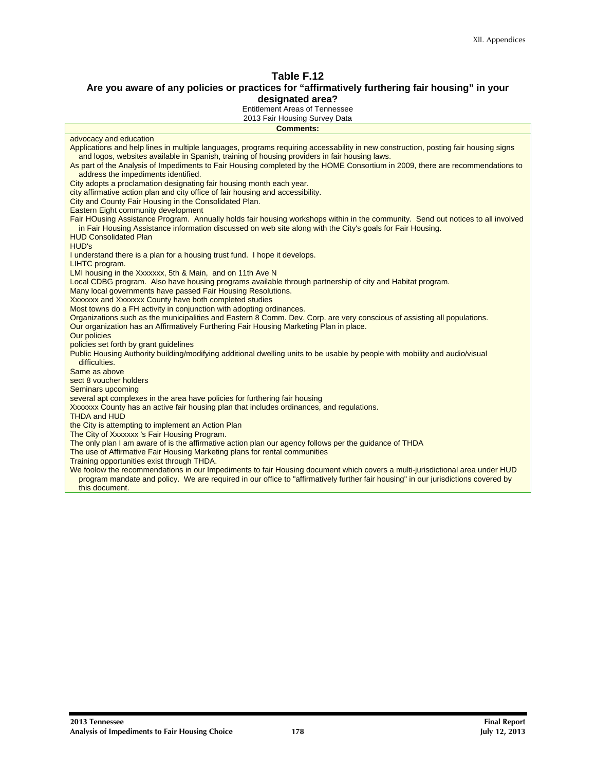#### **Are you aware of any policies or practices for "affirmatively furthering fair housing" in your designated area?**

Entitlement Areas of Tennessee

| 2013 Fair Housing Survey Data<br><b>Comments:</b>                                                                                                                                                                                                                                                                                                                                                                                                                                    |
|--------------------------------------------------------------------------------------------------------------------------------------------------------------------------------------------------------------------------------------------------------------------------------------------------------------------------------------------------------------------------------------------------------------------------------------------------------------------------------------|
| advocacy and education                                                                                                                                                                                                                                                                                                                                                                                                                                                               |
| Applications and help lines in multiple languages, programs requiring accessability in new construction, posting fair housing signs<br>and logos, websites available in Spanish, training of housing providers in fair housing laws.<br>As part of the Analysis of Impediments to Fair Housing completed by the HOME Consortium in 2009, there are recommendations to<br>address the impediments identified.<br>City adopts a proclamation designating fair housing month each year. |
| city affirmative action plan and city office of fair housing and accessibility.<br>City and County Fair Housing in the Consolidated Plan.                                                                                                                                                                                                                                                                                                                                            |
| Eastern Eight community development<br>Fair HOusing Assistance Program. Annually holds fair housing workshops within in the community. Send out notices to all involved<br>in Fair Housing Assistance information discussed on web site along with the City's goals for Fair Housing.<br><b>HUD Consolidated Plan</b><br>HUD's                                                                                                                                                       |
| I understand there is a plan for a housing trust fund. I hope it develops.                                                                                                                                                                                                                                                                                                                                                                                                           |
| LIHTC program.<br>LMI housing in the Xxxxxxx, 5th & Main, and on 11th Ave N<br>Local CDBG program. Also have housing programs available through partnership of city and Habitat program.<br>Many local governments have passed Fair Housing Resolutions.<br>Xxxxxxx and Xxxxxxx County have both completed studies<br>Most towns do a FH activity in conjunction with adopting ordinances.                                                                                           |
| Organizations such as the municipalities and Eastern 8 Comm. Dev. Corp. are very conscious of assisting all populations.<br>Our organization has an Affirmatively Furthering Fair Housing Marketing Plan in place.<br>Our policies                                                                                                                                                                                                                                                   |
| policies set forth by grant guidelines<br>Public Housing Authority building/modifying additional dwelling units to be usable by people with mobility and audio/visual<br>difficulties.                                                                                                                                                                                                                                                                                               |
| Same as above<br>sect 8 youcher holders<br>Seminars upcoming                                                                                                                                                                                                                                                                                                                                                                                                                         |
| several apt complexes in the area have policies for furthering fair housing<br>Xxxxxxx County has an active fair housing plan that includes ordinances, and regulations.<br><b>THDA and HUD</b>                                                                                                                                                                                                                                                                                      |
| the City is attempting to implement an Action Plan<br>The City of Xxxxxxx 's Fair Housing Program.                                                                                                                                                                                                                                                                                                                                                                                   |
| The only plan I am aware of is the affirmative action plan our agency follows per the guidance of THDA<br>The use of Affirmative Fair Housing Marketing plans for rental communities<br>Training opportunities exist through THDA.                                                                                                                                                                                                                                                   |
| We foolow the recommendations in our Impediments to fair Housing document which covers a multi-jurisdictional area under HUD<br>program mandate and policy. We are required in our office to "affirmatively further fair housing" in our jurisdictions covered by<br>this document.                                                                                                                                                                                                  |
|                                                                                                                                                                                                                                                                                                                                                                                                                                                                                      |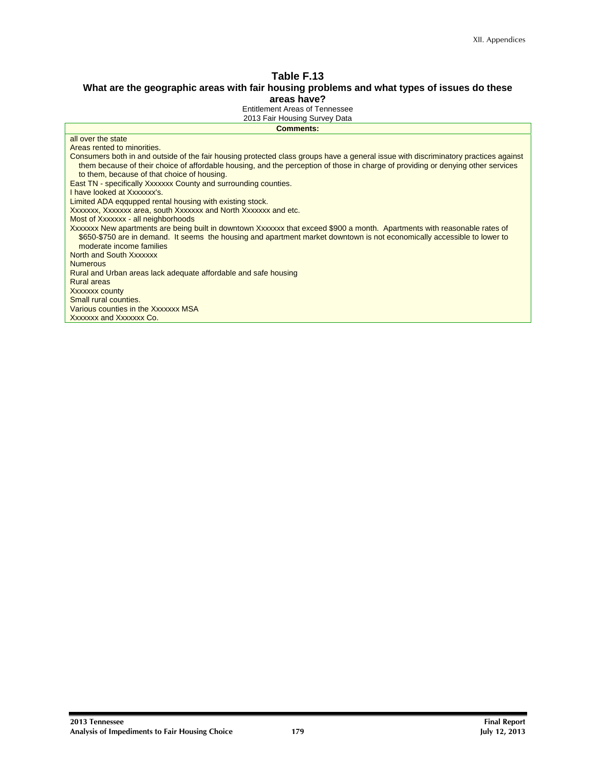#### **What are the geographic areas with fair housing problems and what types of issues do these areas have?**

Entitlement Areas of Tennessee

| <b>Comments:</b>                                                                                                                                                                                                                                                                                                       |  |
|------------------------------------------------------------------------------------------------------------------------------------------------------------------------------------------------------------------------------------------------------------------------------------------------------------------------|--|
| all over the state                                                                                                                                                                                                                                                                                                     |  |
| Areas rented to minorities.                                                                                                                                                                                                                                                                                            |  |
| Consumers both in and outside of the fair housing protected class groups have a general issue with discriminatory practices against<br>them because of their choice of affordable housing, and the perception of those in charge of providing or denying other services<br>to them, because of that choice of housing. |  |
| East TN - specifically Xxxxxxx County and surrounding counties.                                                                                                                                                                                                                                                        |  |
| I have looked at Xxxxxxx's.                                                                                                                                                                                                                                                                                            |  |
| Limited ADA eqqupped rental housing with existing stock.                                                                                                                                                                                                                                                               |  |
| Xxxxxxx, Xxxxxxx area, south Xxxxxxx and North Xxxxxxx and etc.                                                                                                                                                                                                                                                        |  |
| Most of Xxxxxxx - all neighborhoods                                                                                                                                                                                                                                                                                    |  |
| Xxxxxxx New apartments are being built in downtown Xxxxxxx that exceed \$900 a month. Apartments with reasonable rates of<br>\$650-\$750 are in demand. It seems the housing and apartment market downtown is not economically accessible to lower to<br>moderate income families                                      |  |
| North and South Xxxxxxx                                                                                                                                                                                                                                                                                                |  |
| <b>Numerous</b>                                                                                                                                                                                                                                                                                                        |  |
| Rural and Urban areas lack adequate affordable and safe housing                                                                                                                                                                                                                                                        |  |
| <b>Rural areas</b>                                                                                                                                                                                                                                                                                                     |  |
| Xxxxxx county                                                                                                                                                                                                                                                                                                          |  |
| Small rural counties.                                                                                                                                                                                                                                                                                                  |  |
| Various counties in the Xxxxxxx MSA                                                                                                                                                                                                                                                                                    |  |
| Xxxxxxx and Xxxxxxx Co.                                                                                                                                                                                                                                                                                                |  |
|                                                                                                                                                                                                                                                                                                                        |  |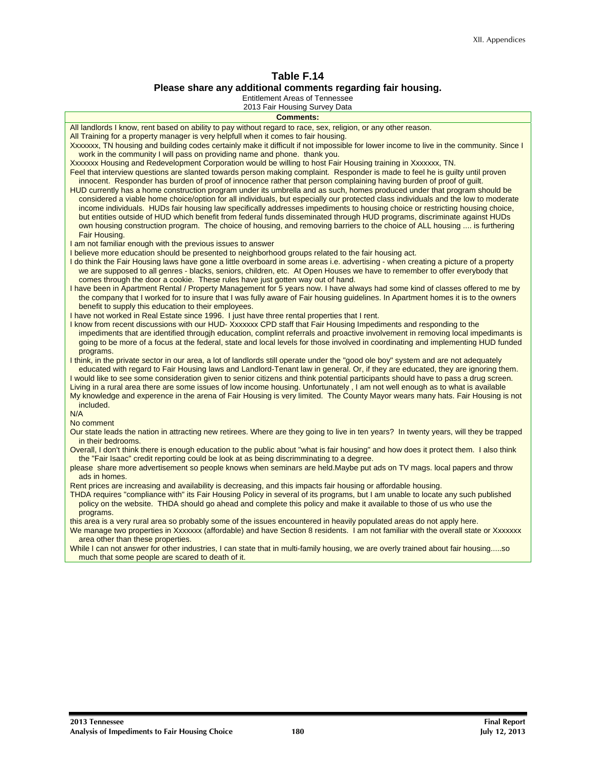#### **Table F.14 Please share any additional comments regarding fair housing.**

Entitlement Areas of Tennessee

| <b>Comments:</b>                                                                                                                                                                                                                                                    |
|---------------------------------------------------------------------------------------------------------------------------------------------------------------------------------------------------------------------------------------------------------------------|
| All landlords I know, rent based on ability to pay without regard to race, sex, religion, or any other reason.                                                                                                                                                      |
| All Training for a property manager is very helpfull when it comes to fair housing.                                                                                                                                                                                 |
| Xxxxxxx, TN housing and building codes certainly make it difficult if not impossible for lower income to live in the community. Since I                                                                                                                             |
| work in the community I will pass on providing name and phone. thank you.<br>Xxxxxxx Housing and Redevelopment Corporation would be willing to host Fair Housing training in Xxxxxxx, TN.                                                                           |
| Feel that interview questions are slanted towards person making complaint. Responder is made to feel he is guilty until proven                                                                                                                                      |
| innocent. Responder has burden of proof of innocence rather that person complaining having burden of proof of quilt.                                                                                                                                                |
| HUD currently has a home construction program under its umbrella and as such, homes produced under that program should be                                                                                                                                           |
| considered a viable home choice/option for all individuals, but especially our protected class individuals and the low to moderate                                                                                                                                  |
| income individuals. HUDs fair housing law specifically addresses impediments to housing choice or restricting housing choice,                                                                                                                                       |
| but entities outside of HUD which benefit from federal funds disseminated through HUD programs, discriminate against HUDs                                                                                                                                           |
| own housing construction program. The choice of housing, and removing barriers to the choice of ALL housing  is furthering                                                                                                                                          |
| Fair Housing.                                                                                                                                                                                                                                                       |
| I am not familiar enough with the previous issues to answer                                                                                                                                                                                                         |
| I believe more education should be presented to neighborhood groups related to the fair housing act.                                                                                                                                                                |
| I do think the Fair Housing laws have gone a little overboard in some areas i.e. advertising - when creating a picture of a property                                                                                                                                |
| we are supposed to all genres - blacks, seniors, children, etc. At Open Houses we have to remember to offer everybody that                                                                                                                                          |
| comes through the door a cookie. These rules have just gotten way out of hand.                                                                                                                                                                                      |
| I have been in Apartment Rental / Property Management for 5 years now. I have always had some kind of classes offered to me by<br>the company that I worked for to insure that I was fully aware of Fair housing quidelines. In Apartment homes it is to the owners |
| benefit to supply this education to their employees.                                                                                                                                                                                                                |
| I have not worked in Real Estate since 1996. I just have three rental properties that I rent.                                                                                                                                                                       |
| I know from recent discussions with our HUD-Xxxxxxx CPD staff that Fair Housing Impediments and responding to the                                                                                                                                                   |
| impediments that are identified througih education, complint referrals and proactive involvement in removing local impedimants is                                                                                                                                   |
| going to be more of a focus at the federal, state and local levels for those involved in coordinating and implementing HUD funded                                                                                                                                   |
| programs.                                                                                                                                                                                                                                                           |
| I think, in the private sector in our area, a lot of landlords still operate under the "good ole boy" system and are not adequately                                                                                                                                 |
| educated with regard to Fair Housing laws and Landlord-Tenant law in general. Or, if they are educated, they are ignoring them.                                                                                                                                     |
| I would like to see some consideration given to senior citizens and think potential participants should have to pass a drug screen.                                                                                                                                 |
| Living in a rural area there are some issues of low income housing. Unfortunately, I am not well enough as to what is available                                                                                                                                     |
| My knowledge and experence in the arena of Fair Housing is very limited. The County Mayor wears many hats. Fair Housing is not<br>included.                                                                                                                         |
| N/A                                                                                                                                                                                                                                                                 |
| No comment                                                                                                                                                                                                                                                          |
| Our state leads the nation in attracting new retirees. Where are they going to live in ten years? In twenty years, will they be trapped                                                                                                                             |
| in their bedrooms.                                                                                                                                                                                                                                                  |
| Overall, I don't think there is enough education to the public about "what is fair housing" and how does it protect them. I also think                                                                                                                              |
| the "Fair Isaac" credit reporting could be look at as being discrimminating to a degree.                                                                                                                                                                            |
| please share more advertisement so people knows when seminars are held. Maybe put ads on TV mags, local papers and throw                                                                                                                                            |
| ads in homes.                                                                                                                                                                                                                                                       |
| Rent prices are increasing and availability is decreasing, and this impacts fair housing or affordable housing.                                                                                                                                                     |
| THDA requires "compliance with" its Fair Housing Policy in several of its programs, but I am unable to locate any such published                                                                                                                                    |
| policy on the website. THDA should go ahead and complete this policy and make it available to those of us who use the                                                                                                                                               |
| programs.<br>this area is a very rural area so probably some of the issues encountered in heavily populated areas do not apply here.                                                                                                                                |
| We manage two properties in Xxxxxxx (affordable) and have Section 8 residents. I am not familiar with the overall state or Xxxxxxx                                                                                                                                  |
| area other than these properties.                                                                                                                                                                                                                                   |
| While I can not answer for other industries, I can state that in multi-family housing, we are overly trained about fair housingso                                                                                                                                   |
| much that some people are scared to death of it.                                                                                                                                                                                                                    |
|                                                                                                                                                                                                                                                                     |
|                                                                                                                                                                                                                                                                     |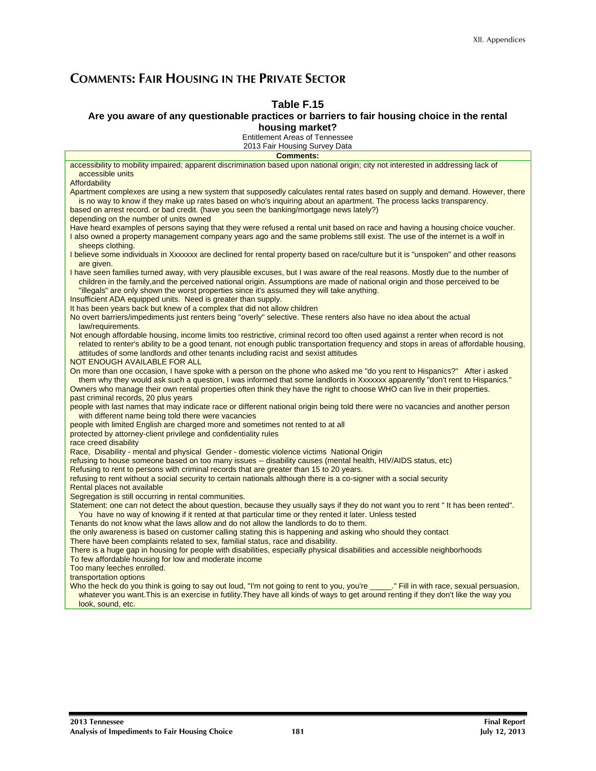## **COMMENTS: FAIR HOUSING IN THE PRIVATE SECTOR**

#### **Table F.15**

#### **Are you aware of any questionable practices or barriers to fair housing choice in the rental housing market?**

Entitlement Areas of Tennessee

2013 Fair Housing Survey Data **Comments:**  accessibility to mobility impaired; apparent discrimination based upon national origin; city not interested in addressing lack of accessible units **Affordability** Apartment complexes are using a new system that supposedly calculates rental rates based on supply and demand. However, there is no way to know if they make up rates based on who's inquiring about an apartment. The process lacks transparency. based on arrest record. or bad credit. (have you seen the banking/mortgage news lately?) depending on the number of units owned Have heard examples of persons saying that they were refused a rental unit based on race and having a housing choice voucher. I also owned a property management company years ago and the same problems still exist. The use of the internet is a wolf in sheeps clothing. I believe some individuals in Xxxxxxx are declined for rental property based on race/culture but it is "unspoken" and other reasons are given. I have seen families turned away, with very plausible excuses, but I was aware of the real reasons. Mostly due to the number of children in the family,and the perceived national origin. Assumptions are made of national origin and those perceived to be "illegals" are only shown the worst properties since it's assumed they will take anything. Insufficient ADA equipped units. Need is greater than supply. It has been years back but knew of a complex that did not allow children No overt barriers/impediments just renters being "overly" selective. These renters also have no idea about the actual law/requirements. Not enough affordable housing, income limits too restrictive, criminal record too often used against a renter when record is not related to renter's ability to be a good tenant, not enough public transportation frequency and stops in areas of affordable housing, attitudes of some landlords and other tenants including racist and sexist attitudes NOT ENOUGH AVAILABLE FOR ALL On more than one occasion, I have spoke with a person on the phone who asked me "do you rent to Hispanics?" After i asked them why they would ask such a question, I was informed that some landlords in Xxxxxxx apparently "don't rent to Hispanics." Owners who manage their own rental properties often think they have the right to choose WHO can live in their properties. past criminal records, 20 plus years people with last names that may indicate race or different national origin being told there were no vacancies and another person with different name being told there were vacancies people with limited English are charged more and sometimes not rented to at all protected by attorney-client privilege and confidentiality rules race creed disability Race, Disability - mental and physical Gender - domestic violence victims National Origin refusing to house someone based on too many issues -- disability causes (mental health, HIV/AIDS status, etc) Refusing to rent to persons with criminal records that are greater than 15 to 20 years. refusing to rent without a social security to certain nationals although there is a co-signer with a social security Rental places not available Segregation is still occurring in rental communities. Statement: one can not detect the about question, because they usually says if they do not want you to rent " It has been rented". You have no way of knowing if it rented at that particular time or they rented it later. Unless tested Tenants do not know what the laws allow and do not allow the landlords to do to them. the only awareness is based on customer calling stating this is happening and asking who should they contact There have been complaints related to sex, familial status, race and disability.

There is a huge gap in housing for people with disabilities, especially physical disabilities and accessible neighborhoods To few affordable housing for low and moderate income

Too many leeches enrolled.

transportation options

Who the heck do you think is going to say out loud, "I'm not going to rent to you, you're ..." Fill in with race, sexual persuasion, whatever you want. This is an exercise in futility. They have all kinds of ways to get around renting if they don't like the way you look, sound, etc.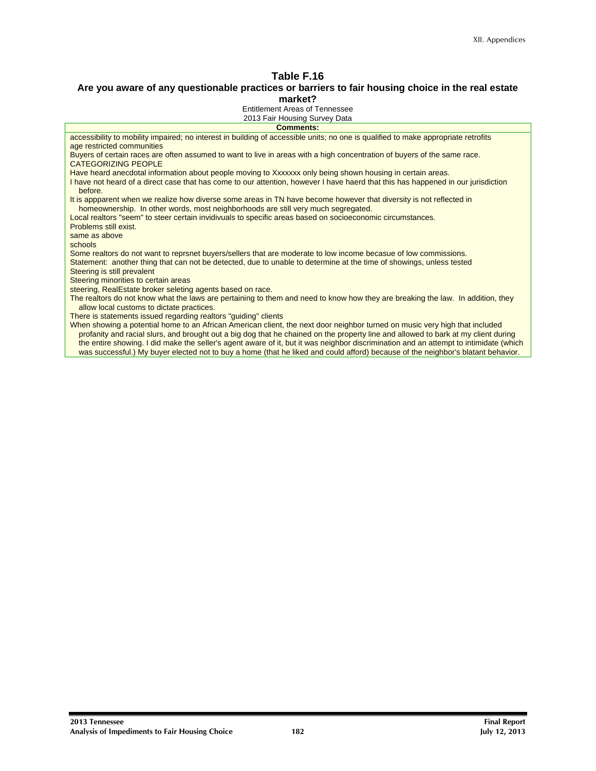## **Are you aware of any questionable practices or barriers to fair housing choice in the real estate**

**market?** 

Entitlement Areas of Tennessee 2013 Fair Housing Survey Data

| <b>Comments:</b>                                                                                                                                                                                         |
|----------------------------------------------------------------------------------------------------------------------------------------------------------------------------------------------------------|
| accessibility to mobility impaired; no interest in building of accessible units; no one is qualified to make appropriate retrofits                                                                       |
| age restricted communities                                                                                                                                                                               |
| Buyers of certain races are often assumed to want to live in areas with a high concentration of buyers of the same race.                                                                                 |
| <b>CATEGORIZING PEOPLE</b>                                                                                                                                                                               |
| Have heard anecdotal information about people moving to Xxxxxxx only being shown housing in certain areas.                                                                                               |
| I have not heard of a direct case that has come to our attention, however I have haerd that this has happened in our jurisdiction<br>before.                                                             |
| It is appparent when we realize how diverse some areas in TN have become however that diversity is not reflected in<br>homeownership. In other words, most neighborhoods are still very much segregated. |
| Local realtors "seem" to steer certain invidivuals to specific areas based on socioeconomic circumstances.                                                                                               |
| Problems still exist.                                                                                                                                                                                    |
| same as above                                                                                                                                                                                            |
| schools                                                                                                                                                                                                  |
| Some realtors do not want to reprsnet buyers/sellers that are moderate to low income becasue of low commissions.                                                                                         |
| Statement: another thing that can not be detected, due to unable to determine at the time of showings, unless tested                                                                                     |
| Steering is still prevalent                                                                                                                                                                              |
| Steering minorities to certain areas                                                                                                                                                                     |
| steering, RealEstate broker seleting agents based on race.                                                                                                                                               |
| The realtors do not know what the laws are pertaining to them and need to know how they are breaking the law. In addition, they<br>allow local customs to dictate practices.                             |
| There is statements issued regarding realtors "guiding" clients                                                                                                                                          |
| When showing a potential home to an African American client, the next door neighbor turned on music very high that included                                                                              |
| profanity and racial slurs, and brought out a big dog that he chained on the property line and allowed to bark at my client during                                                                       |
| the entire showing. I did make the seller's agent aware of it, but it was neighbor discrimination and an attempt to intimidate (which                                                                    |
| was successful.) My buyer elected not to buy a home (that he liked and could afford) because of the neighbor's blatant behavior.                                                                         |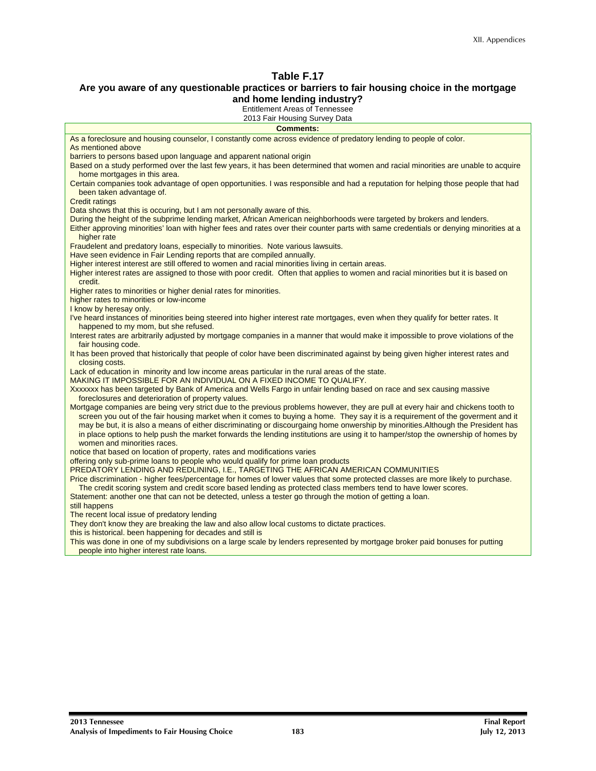#### **Are you aware of any questionable practices or barriers to fair housing choice in the mortgage and home lending industry?**

Entitlement Areas of Tennessee

| <b>Comments:</b>                                                                                                                                                          |
|---------------------------------------------------------------------------------------------------------------------------------------------------------------------------|
| As a foreclosure and housing counselor, I constantly come across evidence of predatory lending to people of color.                                                        |
| As mentioned above                                                                                                                                                        |
| barriers to persons based upon language and apparent national origin                                                                                                      |
| Based on a study performed over the last few years, it has been determined that women and racial minorities are unable to acquire<br>home mortgages in this area.         |
| Certain companies took advantage of open opportunities. I was responsible and had a reputation for helping those people that had<br>been taken advantage of.              |
| <b>Credit ratings</b>                                                                                                                                                     |
| Data shows that this is occuring, but I am not personally aware of this.                                                                                                  |
| During the height of the subprime lending market, African American neighborhoods were targeted by brokers and lenders.                                                    |
| Either approving minorities' loan with higher fees and rates over their counter parts with same credentials or denying minorities at a<br>higher rate                     |
| Fraudelent and predatory loans, especially to minorities. Note various lawsuits.                                                                                          |
| Have seen evidence in Fair Lending reports that are compiled annually.                                                                                                    |
| Higher interest interest are still offered to women and racial minorities living in certain areas.                                                                        |
| Higher interest rates are assigned to those with poor credit. Often that applies to women and racial minorities but it is based on<br>credit.                             |
| Higher rates to minorities or higher denial rates for minorities.                                                                                                         |
| higher rates to minorities or low-income                                                                                                                                  |
| I know by heresay only.                                                                                                                                                   |
| I've heard instances of minorities being steered into higher interest rate mortgages, even when they qualify for better rates. It<br>happened to my mom, but she refused. |
| Interest rates are arbitrarily adjusted by mortgage companies in a manner that would make it impossible to prove violations of the<br>fair housing code.                  |
| It has been proved that historically that people of color have been discriminated against by being given higher interest rates and<br>closing costs.                      |
| Lack of education in minority and low income areas particular in the rural areas of the state.                                                                            |
| MAKING IT IMPOSSIBLE FOR AN INDIVIDUAL ON A FIXED INCOME TO QUALIFY.                                                                                                      |
| Xxxxxxx has been targeted by Bank of America and Wells Fargo in unfair lending based on race and sex causing massive                                                      |
| foreclosures and deterioration of property values.                                                                                                                        |
| Mortgage companies are being very strict due to the previous problems however, they are pull at every hair and chickens tooth to                                          |
| screen you out of the fair housing market when it comes to buying a home. They say it is a requirement of the goverment and it                                            |
| may be but, it is also a means of either discriminating or discourgaing home onwership by minorities. Although the President has                                          |
| in place options to help push the market forwards the lending institutions are using it to hamper/stop the ownership of homes by                                          |
| women and minorities races.                                                                                                                                               |
| notice that based on location of property, rates and modifications varies                                                                                                 |
| offering only sub-prime loans to people who would qualify for prime loan products                                                                                         |
| PREDATORY LENDING AND REDLINING, I.E., TARGETING THE AFRICAN AMERICAN COMMUNITIES                                                                                         |
| Price discrimination - higher fees/percentage for homes of lower values that some protected classes are more likely to purchase.                                          |
| The credit scoring system and credit score based lending as protected class members tend to have lower scores.                                                            |
| Statement: another one that can not be detected, unless a tester go through the motion of getting a loan.                                                                 |
| still happens                                                                                                                                                             |
| The recent local issue of predatory lending                                                                                                                               |
| They don't know they are breaking the law and also allow local customs to dictate practices.                                                                              |
| this is historical, been happening for decades and still is                                                                                                               |
| This was done in one of my subdivisions on a large scale by lenders represented by mortgage broker paid bonuses for putting                                               |
| people into higher interest rate loans.                                                                                                                                   |
|                                                                                                                                                                           |
|                                                                                                                                                                           |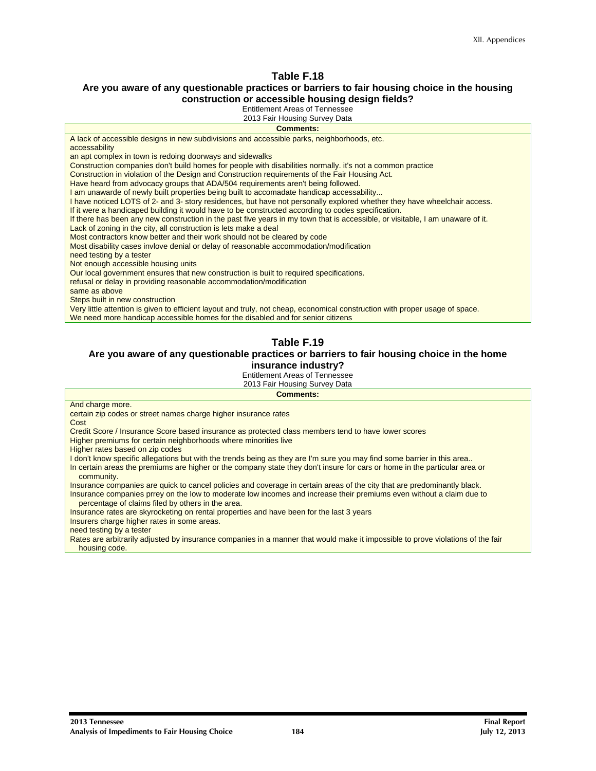#### **Are you aware of any questionable practices or barriers to fair housing choice in the housing construction or accessible housing design fields?**

Entitlement Areas of Tennessee

2013 Fair Housing Survey Data

| <b>Comments:</b>                                                                                                               |
|--------------------------------------------------------------------------------------------------------------------------------|
| A lack of accessible designs in new subdivisions and accessible parks, neighborhoods, etc.                                     |
| accessability                                                                                                                  |
| an apt complex in town is redoing doorways and sidewalks                                                                       |
| Construction companies don't build homes for people with disabilities normally, it's not a common practice                     |
| Construction in violation of the Design and Construction requirements of the Fair Housing Act.                                 |
| Have heard from advocacy groups that ADA/504 requirements aren't being followed.                                               |
| I am unawarde of newly built properties being built to accomadate handicap accessability                                       |
| I have noticed LOTS of 2- and 3- story residences, but have not personally explored whether they have wheelchair access.       |
| If it were a handicaped building it would have to be constructed according to codes specification.                             |
| If there has been any new construction in the past five years in my town that is accessible, or visitable, I am unaware of it. |
| Lack of zoning in the city, all construction is lets make a deal                                                               |
| Most contractors know better and their work should not be cleared by code                                                      |
| Most disability cases invlove denial or delay of reasonable accommodation/modification                                         |
| need testing by a tester                                                                                                       |
| Not enough accessible housing units                                                                                            |
| Our local government ensures that new construction is built to required specifications.                                        |
| refusal or delay in providing reasonable accommodation/modification                                                            |
| same as above                                                                                                                  |
| Steps built in new construction                                                                                                |
| Very little attention is given to efficient layout and truly, not cheap, economical construction with proper usage of space.   |
| We need more handicap accessible homes for the disabled and for senior citizens                                                |

#### **Table F.19**

#### **Are you aware of any questionable practices or barriers to fair housing choice in the home insurance industry?**

Entitlement Areas of Tennessee

2013 Fair Housing Survey Data

**Comments:** 

|  | And charge more. |  |
|--|------------------|--|
|--|------------------|--|

certain zip codes or street names charge higher insurance rates

Cost

Credit Score / Insurance Score based insurance as protected class members tend to have lower scores

Higher premiums for certain neighborhoods where minorities live

Higher rates based on zip codes

I don't know specific allegations but with the trends being as they are I'm sure you may find some barrier in this area..

In certain areas the premiums are higher or the company state they don't insure for cars or home in the particular area or community.

Insurance companies are quick to cancel policies and coverage in certain areas of the city that are predominantly black. Insurance companies prrey on the low to moderate low incomes and increase their premiums even without a claim due to

percentage of claims filed by others in the area.

Insurance rates are skyrocketing on rental properties and have been for the last 3 years

Insurers charge higher rates in some areas.

need testing by a tester

Rates are arbitrarily adjusted by insurance companies in a manner that would make it impossible to prove violations of the fair housing code.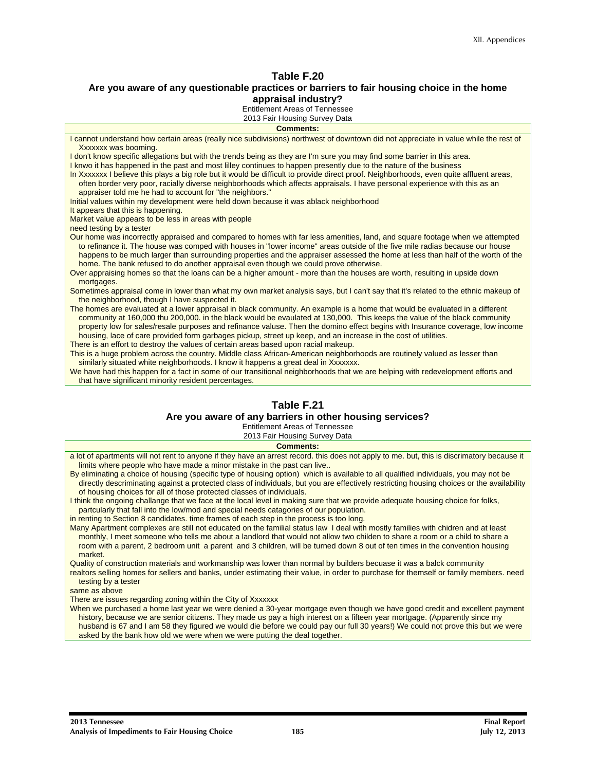#### **Are you aware of any questionable practices or barriers to fair housing choice in the home appraisal industry?**

Entitlement Areas of Tennessee

2013 Fair Housing Survey Data

#### **Comments:**

| I cannot understand how certain areas (really nice subdivisions) northwest of downtown did not appreciate in value while the rest of    |
|-----------------------------------------------------------------------------------------------------------------------------------------|
| Xxxxxx was booming.                                                                                                                     |
| I don't know specific allegations but with the trends being as they are I'm sure you may find some barrier in this area.                |
| I knwo it has happened in the past and most lilley continues to happen presently due to the nature of the business                      |
| In Xxxxxxx I believe this plays a big role but it would be difficult to provide direct proof. Neighborhoods, even quite affluent areas, |
| often border very poor, racially diverse neighborhoods which affects appraisals. I have personal experience with this as an             |
| appraiser told me he had to account for "the neighbors."                                                                                |
| Initial values within my development were held down because it was ablack neighborhood                                                  |
| It appears that this is happening.                                                                                                      |
| Market value appears to be less in areas with people                                                                                    |
| need testing by a tester                                                                                                                |
| Our home was incorrectly appraised and compared to homes with far less amenities, land, and square footage when we attempted            |
| to refinance it. The house was comped with houses in "lower income" areas outside of the five mile radias because our house             |
| happens to be much larger than surrounding properties and the appraiser assessed the home at less than half of the worth of the         |
| home. The bank refused to do another appraisal even though we could prove otherwise.                                                    |
| Over appraising homes so that the loans can be a higher amount - more than the houses are worth, resulting in upside down               |
| mortgages.                                                                                                                              |
| Sometimes appraisal come in lower than what my own market analysis says, but I can't say that it's related to the ethnic makeup of      |
| the neighborhood, though I have suspected it.                                                                                           |
| The homes are evaluated at a lower appraisal in black community. An example is a home that would be evaluated in a different            |
| community at 160,000 thu 200,000. in the black would be evaulated at 130,000. This keeps the value of the black community               |
| property low for sales/resale purposes and refinance valuse. Then the domino effect begins with Insurance coverage, low income          |
| housing, lace of care provided form garbages pickup, street up keep, and an increase in the cost of utilities.                          |
| There is an effort to destroy the values of certain areas based upon racial makeup.                                                     |
| This is a huge problem across the country. Middle class African-American neighborhoods are routinely valued as lesser than              |
| similarly situated white neighborhoods. I know it happens a great deal in Xxxxxxx.                                                      |
| We have had this happen for a fact in some of our transitional neighborhoods that we are helping with redevelopment efforts and         |
| that have significant minority resident percentages.                                                                                    |
|                                                                                                                                         |

### **Table F.21**

#### **Are you aware of any barriers in other housing services?**

Entitlement Areas of Tennessee

|  | 2013 Fair Housing Survey Data |
|--|-------------------------------|
|  |                               |

| <b>Comments:</b>                                                                                                                           |
|--------------------------------------------------------------------------------------------------------------------------------------------|
| a lot of apartments will not rent to anyone if they have an arrest record, this does not apply to me, but, this is discrimatory because it |
| limits where people who have made a minor mistake in the past can live                                                                     |
| By eliminating a choice of housing (specific type of housing option) which is available to all qualified individuals, you may not be       |
| directly descriminating against a protected class of individuals, but you are effectively restricting housing choices or the availability  |
| of housing choices for all of those protected classes of individuals.                                                                      |
| I think the ongoing challange that we face at the local level in making sure that we provide adequate housing choice for folks,            |
| partcularly that fall into the low/mod and special needs catagories of our population.                                                     |
| in renting to Section 8 candidates, time frames of each step in the process is too long.                                                   |
| Many Apartment complexes are still not educated on the familial status law I deal with mostly families with chidren and at least           |
| monthly, I meet someone who tells me about a landlord that would not allow two childen to share a room or a child to share a               |
| room with a parent, 2 bedroom unit a parent and 3 children, will be turned down 8 out of ten times in the convention housing               |
| market.                                                                                                                                    |
| Quality of construction materials and workmanship was lower than normal by builders becuase it was a balck community                       |
| realtors selling homes for sellers and banks, under estimating their value, in order to purchase for themself or family members, need      |
| testing by a tester                                                                                                                        |
| same as above                                                                                                                              |
| There are issues regarding zoning within the City of Xxxxxxx                                                                               |
| When we purchased a home last year we were denied a 30-year mortgage even though we have good credit and excellent payment                 |
| history, because we are senior citizens. They made us pay a high interest on a fifteen year mortgage. (Apparently since my                 |
| husband is 67 and Lam 58 they figured we would die before we could pay our full 30 years!) We could not prove this but we were             |

husband is 67 and I am 58 they figured we would die before we could pay our full 30 years!) We could not prove this but we were asked by the bank how old we were when we were putting the deal together.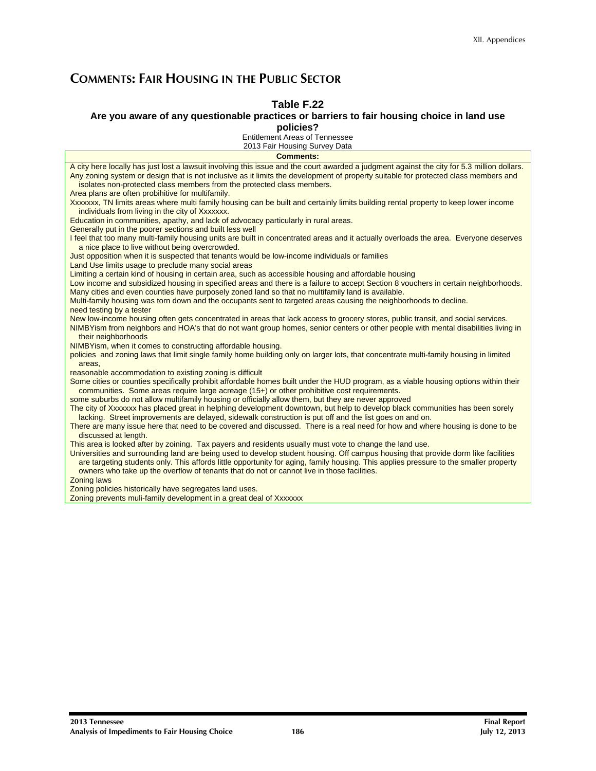## **COMMENTS: FAIR HOUSING IN THE PUBLIC SECTOR**

#### **Table F.22**

#### **Are you aware of any questionable practices or barriers to fair housing choice in land use**

**policies?** 

Entitlement Areas of Tennessee

| 2013 Fair Housing Survey Data                                                                                                                                                                                                                                                                                                                                                                                     |
|-------------------------------------------------------------------------------------------------------------------------------------------------------------------------------------------------------------------------------------------------------------------------------------------------------------------------------------------------------------------------------------------------------------------|
| <b>Comments:</b>                                                                                                                                                                                                                                                                                                                                                                                                  |
| A city here locally has just lost a lawsuit involving this issue and the court awarded a judgment against the city for 5.3 million dollars.<br>Any zoning system or design that is not inclusive as it limits the development of property suitable for protected class members and<br>isolates non-protected class members from the protected class members.<br>Area plans are often probihitive for multifamily. |
| Xxxxxxx, TN limits areas where multi family housing can be built and certainly limits building rental property to keep lower income<br>individuals from living in the city of Xxxxxxx.                                                                                                                                                                                                                            |
| Education in communities, apathy, and lack of advocacy particularly in rural areas.<br>Generally put in the poorer sections and built less well                                                                                                                                                                                                                                                                   |
| I feel that too many multi-family housing units are built in concentrated areas and it actually overloads the area. Everyone deserves<br>a nice place to live without being overcrowded.                                                                                                                                                                                                                          |
| Just opposition when it is suspected that tenants would be low-income individuals or families<br>Land Use limits usage to preclude many social areas                                                                                                                                                                                                                                                              |
| Limiting a certain kind of housing in certain area, such as accessible housing and affordable housing<br>Low income and subsidized housing in specified areas and there is a failure to accept Section 8 vouchers in certain neighborhoods.                                                                                                                                                                       |
| Many cities and even counties have purposely zoned land so that no multifamily land is available.                                                                                                                                                                                                                                                                                                                 |
| Multi-family housing was torn down and the occupants sent to targeted areas causing the neighborhoods to decline.<br>need testing by a tester                                                                                                                                                                                                                                                                     |
| New low-income housing often gets concentrated in areas that lack access to grocery stores, public transit, and social services.<br>NIMBY is m from neighbors and HOA's that do not want group homes, senior centers or other people with mental disabilities living in<br>their neighborhoods                                                                                                                    |
| NIMBYism, when it comes to constructing affordable housing.<br>policies and zoning laws that limit single family home building only on larger lots, that concentrate multi-family housing in limited                                                                                                                                                                                                              |
| areas.                                                                                                                                                                                                                                                                                                                                                                                                            |
| reasonable accommodation to existing zoning is difficult                                                                                                                                                                                                                                                                                                                                                          |
| Some cities or counties specifically prohibit affordable homes built under the HUD program, as a viable housing options within their<br>communities. Some areas require large acreage (15+) or other prohibitive cost requirements.                                                                                                                                                                               |
| some suburbs do not allow multifamily housing or officially allow them, but they are never approved                                                                                                                                                                                                                                                                                                               |
| The city of Xxxxxxx has placed great in helphing development downtown, but help to develop black communities has been sorely<br>lacking. Street improvements are delayed, sidewalk construction is put off and the list goes on and on.                                                                                                                                                                           |
| There are many issue here that need to be covered and discussed. There is a real need for how and where housing is done to be<br>discussed at length.                                                                                                                                                                                                                                                             |
| This area is looked after by zoining. Tax payers and residents usually must vote to change the land use.                                                                                                                                                                                                                                                                                                          |
| Universities and surrounding land are being used to develop student housing. Off campus housing that provide dorm like facilities<br>are targeting students only. This affords little opportunity for aging, family housing. This applies pressure to the smaller property<br>owners who take up the overflow of tenants that do not or cannot live in those facilities.                                          |
| <b>Zoning laws</b>                                                                                                                                                                                                                                                                                                                                                                                                |
| Zoning policies historically have segregates land uses.                                                                                                                                                                                                                                                                                                                                                           |
| Zoning prevents muli-family development in a great deal of Xxxxxxx                                                                                                                                                                                                                                                                                                                                                |
|                                                                                                                                                                                                                                                                                                                                                                                                                   |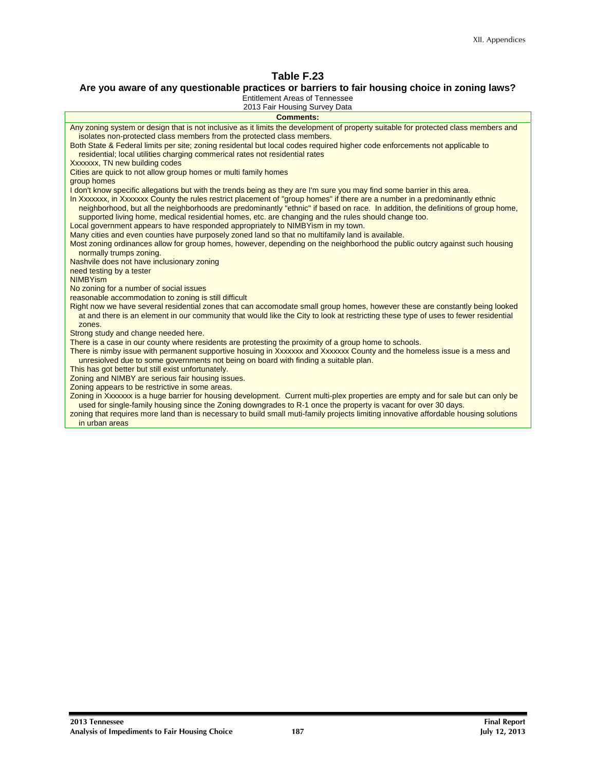#### **Are you aware of any questionable practices or barriers to fair housing choice in zoning laws?**

Entitlement Areas of Tennessee

| 2013 Fair Housing Survey Data                                                                                                                                                                                                                                                                                                                                           |
|-------------------------------------------------------------------------------------------------------------------------------------------------------------------------------------------------------------------------------------------------------------------------------------------------------------------------------------------------------------------------|
| <b>Comments:</b>                                                                                                                                                                                                                                                                                                                                                        |
| Any zoning system or design that is not inclusive as it limits the development of property suitable for protected class members and<br>isolates non-protected class members from the protected class members.                                                                                                                                                           |
| Both State & Federal limits per site; zoning residental but local codes required higher code enforcements not applicable to<br>residential; local utilities charging commerical rates not residential rates                                                                                                                                                             |
| Xxxxxxx, TN new building codes                                                                                                                                                                                                                                                                                                                                          |
| Cities are quick to not allow group homes or multi family homes                                                                                                                                                                                                                                                                                                         |
| group homes                                                                                                                                                                                                                                                                                                                                                             |
| I don't know specific allegations but with the trends being as they are I'm sure you may find some barrier in this area.                                                                                                                                                                                                                                                |
| In Xxxxxxx, in Xxxxxxx County the rules restrict placement of "group homes" if there are a number in a predominantly ethnic<br>neighborhood, but all the neighborhoods are predominantly "ethnic" if based on race. In addition, the definitions of group home,<br>supported living home, medical residential homes, etc. are changing and the rules should change too. |
| Local government appears to have responded appropriately to NIMBYism in my town.                                                                                                                                                                                                                                                                                        |
| Many cities and even counties have purposely zoned land so that no multifamily land is available.                                                                                                                                                                                                                                                                       |
| Most zoning ordinances allow for group homes, however, depending on the neighborhood the public outcry against such housing<br>normally trumps zoning.                                                                                                                                                                                                                  |
| Nashvile does not have inclusionary zoning                                                                                                                                                                                                                                                                                                                              |
| need testing by a tester                                                                                                                                                                                                                                                                                                                                                |
| <b>NIMBYism</b>                                                                                                                                                                                                                                                                                                                                                         |
| No zoning for a number of social issues                                                                                                                                                                                                                                                                                                                                 |
| reasonable accommodation to zoning is still difficult                                                                                                                                                                                                                                                                                                                   |
| Right now we have several residential zones that can accomodate small group homes, however these are constantly being looked<br>at and there is an element in our community that would like the City to look at restricting these type of uses to fewer residential<br>zones.                                                                                           |
| Strong study and change needed here.                                                                                                                                                                                                                                                                                                                                    |
| There is a case in our county where residents are protesting the proximity of a group home to schools.                                                                                                                                                                                                                                                                  |
| There is nimby issue with permanent supportive hosuing in Xxxxxxx and Xxxxxxx County and the homeless issue is a mess and<br>unresiolved due to some governments not being on board with finding a suitable plan.                                                                                                                                                       |
| This has got better but still exist unfortunately.                                                                                                                                                                                                                                                                                                                      |
| Zoning and NIMBY are serious fair housing issues.                                                                                                                                                                                                                                                                                                                       |
| Zoning appears to be restrictive in some areas.                                                                                                                                                                                                                                                                                                                         |
| Zoning in Xxxxxxx is a huge barrier for housing development. Current multi-plex properties are empty and for sale but can only be<br>used for single-family housing since the Zoning downgrades to R-1 once the property is vacant for over 30 days.                                                                                                                    |
| zoning that requires more land than is necessary to build small muti-family projects limiting innovative affordable housing solutions<br>in urban areas                                                                                                                                                                                                                 |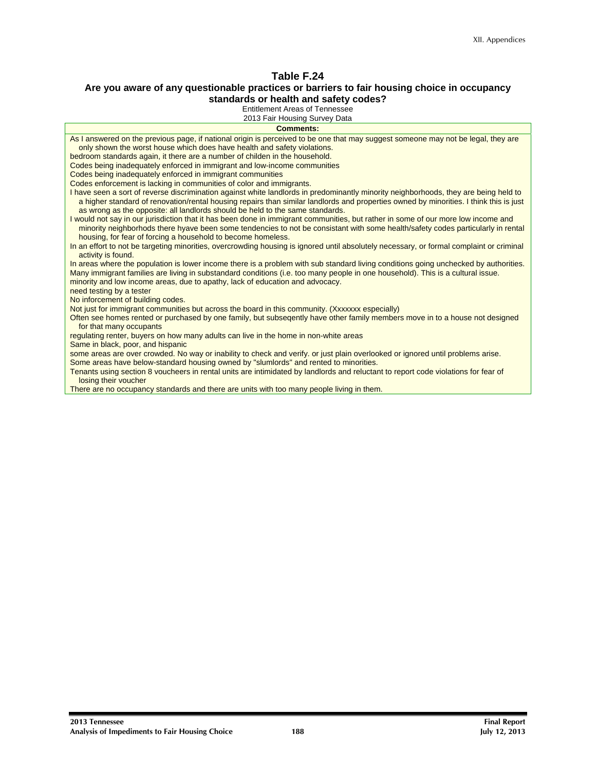#### **Are you aware of any questionable practices or barriers to fair housing choice in occupancy standards or health and safety codes?**

Entitlement Areas of Tennessee

| 2013 Fair Housing Survey Data                                                                                                                                                                    |
|--------------------------------------------------------------------------------------------------------------------------------------------------------------------------------------------------|
| Comments:                                                                                                                                                                                        |
| As I answered on the previous page, if national origin is perceived to be one that may suggest someone may not be legal, they are                                                                |
| only shown the worst house which does have health and safety violations.                                                                                                                         |
| bedroom standards again, it there are a number of childen in the household.                                                                                                                      |
| Codes being inadequately enforced in immigrant and low-income communities                                                                                                                        |
| Codes being inadequately enforced in immigrant communities                                                                                                                                       |
| Codes enforcement is lacking in communities of color and immigrants.                                                                                                                             |
| I have seen a sort of reverse discrimination against white landlords in predominantly minority neighborhoods, they are being held to                                                             |
| a higher standard of renovation/rental housing repairs than similar landlords and properties owned by minorities. I think this is just                                                           |
| as wrong as the opposite: all landlords should be held to the same standards.                                                                                                                    |
| I would not say in our jurisdiction that it has been done in immigrant communities, but rather in some of our more low income and                                                                |
| minority neighborhods there hyave been some tendencies to not be consistant with some health/safety codes particularly in rental<br>housing, for fear of forcing a household to become homeless. |
| In an effort to not be targeting minorities, overcrowding housing is ignored until absolutely necessary, or formal complaint or criminal<br>activity is found.                                   |
| In areas where the population is lower income there is a problem with sub standard living conditions going unchecked by authorities.                                                             |
| Many immigrant families are living in substandard conditions (i.e. too many people in one household). This is a cultural issue.                                                                  |
| minority and low income areas, due to apathy, lack of education and advocacy.                                                                                                                    |
| need testing by a tester                                                                                                                                                                         |
| No inforcement of building codes.                                                                                                                                                                |
| Not just for immigrant communities but across the board in this community. (Xxxxxxx especially)                                                                                                  |
| Often see homes rented or purchased by one family, but subsegently have other family members move in to a house not designed                                                                     |
| for that many occupants                                                                                                                                                                          |
| regulating renter, buyers on how many adults can live in the home in non-white areas                                                                                                             |
| Same in black, poor, and hispanic<br>some areas are over crowded. No way or inability to check and verify, or just plain overlooked or ignored until problems arise.                             |
| Some areas have below-standard housing owned by "slumlords" and rented to minorities.                                                                                                            |
| Tenants using section 8 voucheers in rental units are intimidated by landlords and reluctant to report code violations for fear of                                                               |
| losing their voucher                                                                                                                                                                             |
| There are no occupancy standards and there are units with too many people living in them.                                                                                                        |
|                                                                                                                                                                                                  |

**2013 Tennessee Final Report Analysis of Impediments to Fair Housing Choice** 188 **188 188 189 12, 2013 Analysis of Impediments to Fair Housing Choice**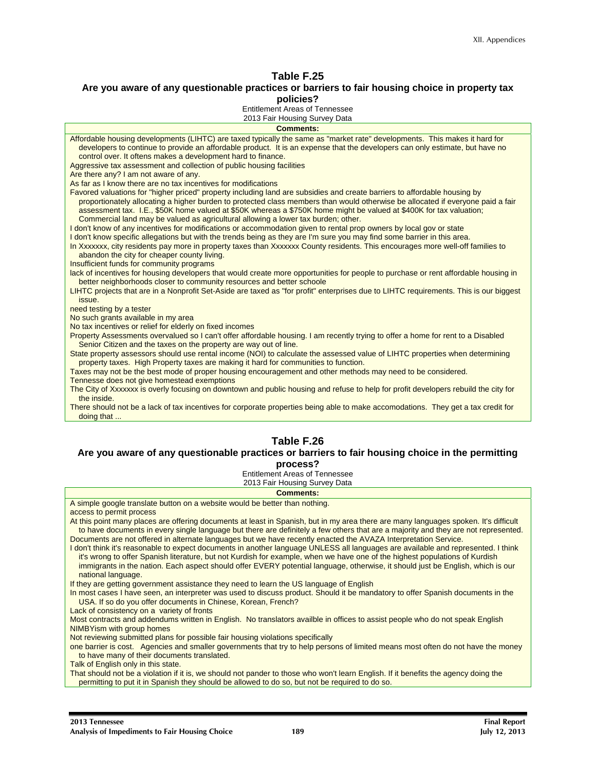#### **Are you aware of any questionable practices or barriers to fair housing choice in property tax policies?**

Entitlement Areas of Tennessee

| 2013 Fair Housing Survey Data                                                                                                                                                                                                                                                                                                                                                                                                                                            |
|--------------------------------------------------------------------------------------------------------------------------------------------------------------------------------------------------------------------------------------------------------------------------------------------------------------------------------------------------------------------------------------------------------------------------------------------------------------------------|
| <b>Comments:</b>                                                                                                                                                                                                                                                                                                                                                                                                                                                         |
| Affordable housing developments (LIHTC) are taxed typically the same as "market rate" developments. This makes it hard for<br>developers to continue to provide an affordable product. It is an expense that the developers can only estimate, but have no<br>control over. It oftens makes a development hard to finance.                                                                                                                                               |
| Aggressive tax assessment and collection of public housing facilities                                                                                                                                                                                                                                                                                                                                                                                                    |
| Are there any? I am not aware of any.                                                                                                                                                                                                                                                                                                                                                                                                                                    |
| As far as I know there are no tax incentives for modifications                                                                                                                                                                                                                                                                                                                                                                                                           |
| Favored valuations for "higher priced" property including land are subsidies and create barriers to affordable housing by<br>proportionately allocating a higher burden to protected class members than would otherwise be allocated if everyone paid a fair<br>assessment tax. I.E., \$50K home valued at \$50K whereas a \$750K home might be valued at \$400K for tax valuation;<br>Commercial land may be valued as agricultural allowing a lower tax burden; other. |
| I don't know of any incentives for modifications or accommodation given to rental prop owners by local gov or state                                                                                                                                                                                                                                                                                                                                                      |
| I don't know specific allegations but with the trends being as they are I'm sure you may find some barrier in this area.                                                                                                                                                                                                                                                                                                                                                 |
| In Xxxxxxx, city residents pay more in property taxes than Xxxxxxx County residents. This encourages more well-off families to<br>abandon the city for cheaper county living.                                                                                                                                                                                                                                                                                            |
| Insufficient funds for community programs                                                                                                                                                                                                                                                                                                                                                                                                                                |
| lack of incentives for housing developers that would create more opportunities for people to purchase or rent affordable housing in<br>better neighborhoods closer to community resources and better schoole                                                                                                                                                                                                                                                             |
| LIHTC projects that are in a Nonprofit Set-Aside are taxed as "for profit" enterprises due to LIHTC requirements. This is our biggest<br>issue.                                                                                                                                                                                                                                                                                                                          |
| need testing by a tester                                                                                                                                                                                                                                                                                                                                                                                                                                                 |
| No such grants available in my area                                                                                                                                                                                                                                                                                                                                                                                                                                      |
| No tax incentives or relief for elderly on fixed incomes<br>Property Assessments overvalued so I can't offer affordable housing. I am recently trying to offer a home for rent to a Disabled<br>Senior Citizen and the taxes on the property are way out of line.                                                                                                                                                                                                        |
| State property assessors should use rental income (NOI) to calculate the assessed value of LIHTC properties when determining<br>property taxes. High Property taxes are making it hard for communities to function.                                                                                                                                                                                                                                                      |
| Taxes may not be the best mode of proper housing encouragement and other methods may need to be considered.                                                                                                                                                                                                                                                                                                                                                              |
| Tennesse does not give homestead exemptions                                                                                                                                                                                                                                                                                                                                                                                                                              |
| The City of Xxxxxxx is overly focusing on downtown and public housing and refuse to help for profit developers rebuild the city for<br>the inside.                                                                                                                                                                                                                                                                                                                       |
| There should not be a lack of tax incentives for corporate properties being able to make accomodations. They get a tax credit for<br>doing that                                                                                                                                                                                                                                                                                                                          |

#### **Table F.26**

#### **Are you aware of any questionable practices or barriers to fair housing choice in the permitting process?**

Entitlement Areas of Tennessee

2013 Fair Housing Survey Data

**Comments:** 

A simple google translate button on a website would be better than nothing.

access to permit process

At this point many places are offering documents at least in Spanish, but in my area there are many languages spoken. It's difficult to have documents in every single language but there are definitely a few others that are a majority and they are not represented. Documents are not offered in alternate languages but we have recently enacted the AVAZA Interpretation Service.

I don't think it's reasonable to expect documents in another language UNLESS all languages are available and represented. I think it's wrong to offer Spanish literature, but not Kurdish for example, when we have one of the highest populations of Kurdish immigrants in the nation. Each aspect should offer EVERY potential language, otherwise, it should just be English, which is our national language.

If they are getting government assistance they need to learn the US language of English

In most cases I have seen, an interpreter was used to discuss product. Should it be mandatory to offer Spanish documents in the USA. If so do you offer documents in Chinese, Korean, French?

Lack of consistency on a variety of fronts

Most contracts and addendums written in English. No translators availble in offices to assist people who do not speak English NIMBYism with group homes

Not reviewing submitted plans for possible fair housing violations specifically

one barrier is cost. Agencies and smaller governments that try to help persons of limited means most often do not have the money to have many of their documents translated.

Talk of English only in this state.

That should not be a violation if it is, we should not pander to those who won't learn English. If it benefits the agency doing the permitting to put it in Spanish they should be allowed to do so, but not be required to do so.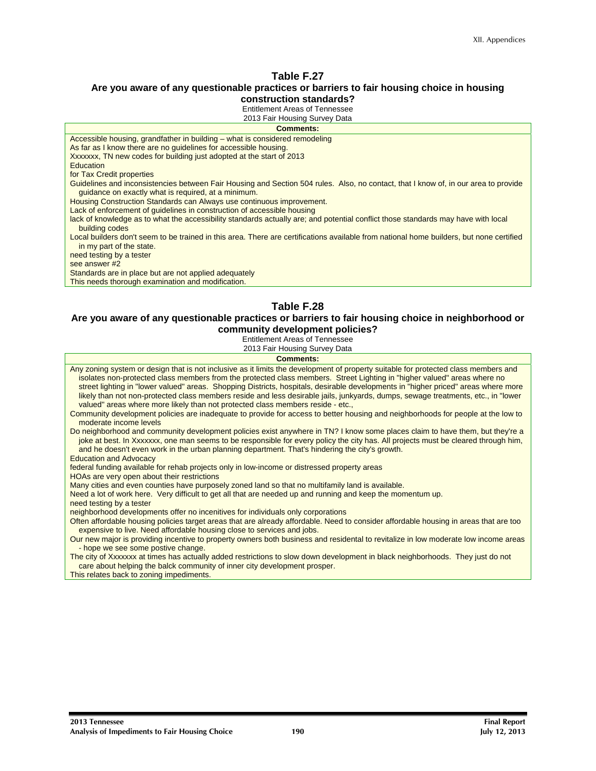#### **Are you aware of any questionable practices or barriers to fair housing choice in housing construction standards?**

Entitlement Areas of Tennessee

| 2013 Fair Housing Survey Data                                                                                                                                                              |
|--------------------------------------------------------------------------------------------------------------------------------------------------------------------------------------------|
| <b>Comments:</b>                                                                                                                                                                           |
| Accessible housing, grandfather in building – what is considered remodeling                                                                                                                |
| As far as I know there are no quidelines for accessible housing.                                                                                                                           |
| Xxxxxxx, TN new codes for building just adopted at the start of 2013                                                                                                                       |
| Education                                                                                                                                                                                  |
| for Tax Credit properties                                                                                                                                                                  |
| Guidelines and inconsistencies between Fair Housing and Section 504 rules. Also, no contact, that I know of, in our area to provide<br>guidance on exactly what is required, at a minimum. |
| Housing Construction Standards can Always use continuous improvement.                                                                                                                      |
| Lack of enforcement of quidelines in construction of accessible housing                                                                                                                    |
| lack of knowledge as to what the accessibility standards actually are; and potential conflict those standards may have with local<br>building codes                                        |
| Local builders don't seem to be trained in this area. There are certifications available from national home builders, but none certified<br>in my part of the state.                       |
| need testing by a tester                                                                                                                                                                   |
| see answer #2                                                                                                                                                                              |
| Standards are in place but are not applied adequately                                                                                                                                      |
| This needs thorough examination and modification.                                                                                                                                          |

#### **Table F.28**

#### **Are you aware of any questionable practices or barriers to fair housing choice in neighborhood or community development policies?**

Entitlement Areas of Tennessee

| 2013 Fair Housing Survey Data                                                                                                                                                                                                                                                                                                                                                                                                                                                                                                                                                                                                 |
|-------------------------------------------------------------------------------------------------------------------------------------------------------------------------------------------------------------------------------------------------------------------------------------------------------------------------------------------------------------------------------------------------------------------------------------------------------------------------------------------------------------------------------------------------------------------------------------------------------------------------------|
| <b>Comments:</b>                                                                                                                                                                                                                                                                                                                                                                                                                                                                                                                                                                                                              |
| Any zoning system or design that is not inclusive as it limits the development of property suitable for protected class members and<br>isolates non-protected class members from the protected class members. Street Lighting in "higher valued" areas where no<br>street lighting in "lower valued" areas. Shopping Districts, hospitals, desirable developments in "higher priced" areas where more<br>likely than not non-protected class members reside and less desirable jails, junkyards, dumps, sewage treatments, etc., in "lower<br>valued" areas where more likely than not protected class members reside - etc., |
| Community development policies are inadequate to provide for access to better housing and neighborhoods for people at the low to<br>moderate income levels                                                                                                                                                                                                                                                                                                                                                                                                                                                                    |
| Do neighborhood and community development policies exist anywhere in TN? I know some places claim to have them, but they're a<br>joke at best. In Xxxxxxx, one man seems to be responsible for every policy the city has. All projects must be cleared through him,<br>and he doesn't even work in the urban planning department. That's hindering the city's growth.                                                                                                                                                                                                                                                         |
| <b>Education and Advocacy</b>                                                                                                                                                                                                                                                                                                                                                                                                                                                                                                                                                                                                 |
| federal funding available for rehab projects only in low-income or distressed property areas<br>HOAs are very open about their restrictions                                                                                                                                                                                                                                                                                                                                                                                                                                                                                   |
| Many cities and even counties have purposely zoned land so that no multifamily land is available.<br>Need a lot of work here. Very difficult to get all that are needed up and running and keep the momentum up.<br>need testing by a tester                                                                                                                                                                                                                                                                                                                                                                                  |
| neighborhood developments offer no incenitives for individuals only corporations                                                                                                                                                                                                                                                                                                                                                                                                                                                                                                                                              |
| Often affordable housing policies target areas that are already affordable. Need to consider affordable housing in areas that are too<br>expensive to live. Need affordable housing close to services and jobs.                                                                                                                                                                                                                                                                                                                                                                                                               |
| Our new major is providing incentive to property owners both business and residental to revitalize in low moderate low income areas<br>- hope we see some postive change.                                                                                                                                                                                                                                                                                                                                                                                                                                                     |
| The city of Xxxxxxx at times has actually added restrictions to slow down development in black neighborhoods. They just do not<br>care about helping the balck community of inner city development prosper.<br>This relates back to zoning impediments.                                                                                                                                                                                                                                                                                                                                                                       |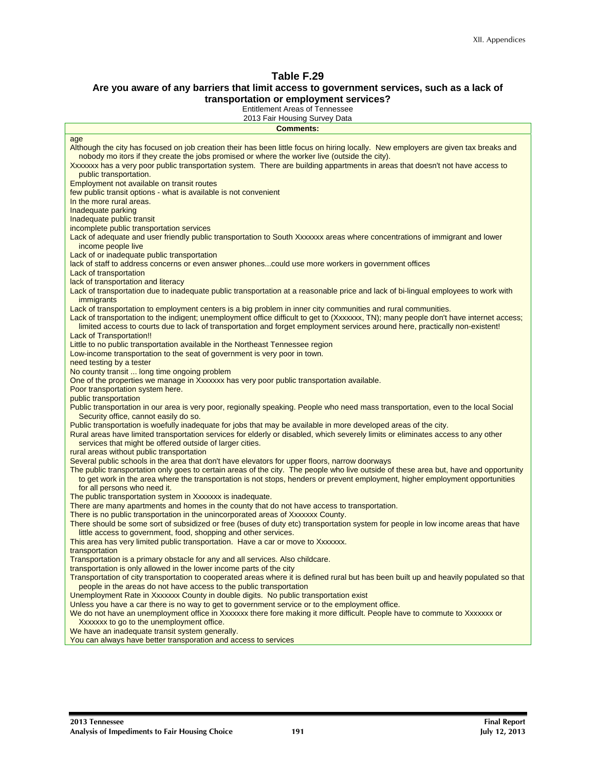#### **Are you aware of any barriers that limit access to government services, such as a lack of transportation or employment services?**

Entitlement Areas of Tennessee

| 2013 Fair Housing Survey Data                                                                                                                                                                                                                                          |
|------------------------------------------------------------------------------------------------------------------------------------------------------------------------------------------------------------------------------------------------------------------------|
| <b>Comments:</b>                                                                                                                                                                                                                                                       |
| age<br>Although the city has focused on job creation their has been little focus on hiring locally. New employers are given tax breaks and                                                                                                                             |
| nobody mo itors if they create the jobs promised or where the worker live (outside the city).                                                                                                                                                                          |
| Xxxxxxx has a very poor public transportation system. There are building appartments in areas that doesn't not have access to<br>public transportation.                                                                                                                |
| Employment not available on transit routes<br>few public transit options - what is available is not convenient                                                                                                                                                         |
| In the more rural areas.                                                                                                                                                                                                                                               |
| Inadequate parking<br>Inadequate public transit                                                                                                                                                                                                                        |
| incomplete public transportation services                                                                                                                                                                                                                              |
| Lack of adequate and user friendly public transportation to South Xxxxxxx areas where concentrations of immigrant and lower<br>income people live                                                                                                                      |
| Lack of or inadequate public transportation                                                                                                                                                                                                                            |
| lack of staff to address concerns or even answer phonescould use more workers in government offices<br>Lack of transportation                                                                                                                                          |
| lack of transportation and literacy                                                                                                                                                                                                                                    |
| Lack of transportation due to inadequate public transportation at a reasonable price and lack of bi-lingual employees to work with<br><i>immigrants</i>                                                                                                                |
| Lack of transportation to employment centers is a big problem in inner city communities and rural communities.<br>Lack of transportation to the indigent; unemployment office difficult to get to (Xxxxxxx, TN); many people don't have internet access;               |
| limited access to courts due to lack of transportation and forget employment services around here, practically non-existent!                                                                                                                                           |
| <b>Lack of Transportation!!</b><br>Little to no public transportation available in the Northeast Tennessee region                                                                                                                                                      |
| Low-income transportation to the seat of government is very poor in town.                                                                                                                                                                                              |
| need testing by a tester<br>No county transit  long time ongoing problem                                                                                                                                                                                               |
| One of the properties we manage in Xxxxxxx has very poor public transportation available.                                                                                                                                                                              |
| Poor transportation system here.<br>public transportation                                                                                                                                                                                                              |
| Public transportation in our area is very poor, regionally speaking. People who need mass transportation, even to the local Social<br>Security office, cannot easily do so.                                                                                            |
| Public transportation is woefully inadequate for jobs that may be available in more developed areas of the city.                                                                                                                                                       |
| Rural areas have limited transportation services for elderly or disabled, which severely limits or eliminates access to any other<br>services that might be offered outside of larger cities.                                                                          |
| rural areas without public transportation<br>Several public schools in the area that don't have elevators for upper floors, narrow doorways                                                                                                                            |
| The public transportation only goes to certain areas of the city. The people who live outside of these area but, have and opportunity<br>to get work in the area where the transportation is not stops, henders or prevent employment, higher employment opportunities |
| for all persons who need it.                                                                                                                                                                                                                                           |
| The public transportation system in Xxxxxxx is inadequate.<br>There are many apartments and homes in the county that do not have access to transportation.                                                                                                             |
| There is no public transportation in the unincorporated areas of Xxxxxxx County.                                                                                                                                                                                       |
| There should be some sort of subsidized or free (buses of duty etc) transportation system for people in low income areas that have                                                                                                                                     |
| little access to government, food, shopping and other services.<br>This area has very limited public transportation. Have a car or move to Xxxxxxx.                                                                                                                    |
| transportation                                                                                                                                                                                                                                                         |
| Transportation is a primary obstacle for any and all services. Also childcare.<br>transportation is only allowed in the lower income parts of the city                                                                                                                 |
| Transportation of city transportation to cooperated areas where it is defined rural but has been built up and heavily populated so that<br>people in the areas do not have access to the public transportation                                                         |
| Unemployment Rate in Xxxxxxx County in double digits. No public transportation exist                                                                                                                                                                                   |
| Unless you have a car there is no way to get to government service or to the employment office.<br>We do not have an unemployment office in Xxxxxxx there fore making it more difficult. People have to commute to Xxxxxxx or                                          |
| Xxxxxxx to go to the unemployment office.                                                                                                                                                                                                                              |
| We have an inadequate transit system generally.                                                                                                                                                                                                                        |
| You can always have better transporation and access to services                                                                                                                                                                                                        |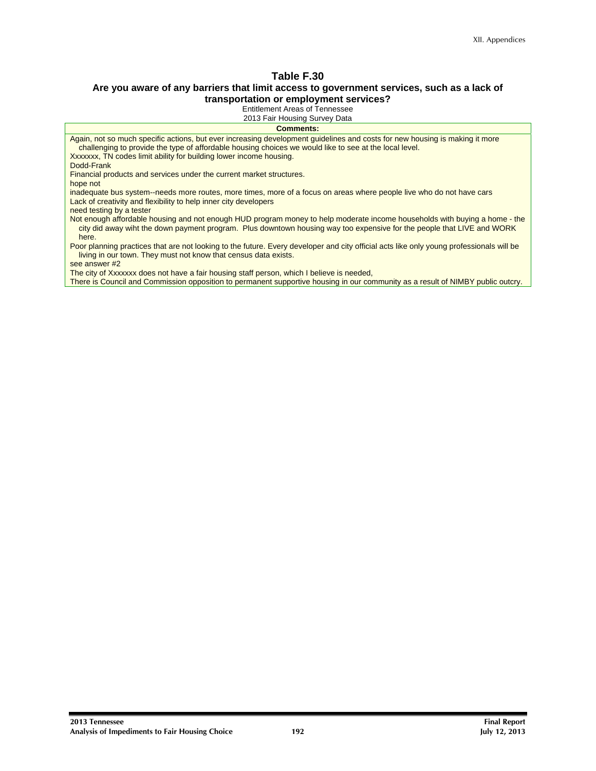#### **Are you aware of any barriers that limit access to government services, such as a lack of transportation or employment services?**

Entitlement Areas of Tennessee

2013 Fair Housing Survey Data

**Comments:** 

Again, not so much specific actions, but ever increasing development guidelines and costs for new housing is making it more challenging to provide the type of affordable housing choices we would like to see at the local level. Xxxxxxx, TN codes limit ability for building lower income housing. Dodd-Frank

Financial products and services under the current market structures.

hope not

inadequate bus system--needs more routes, more times, more of a focus on areas where people live who do not have cars Lack of creativity and flexibility to help inner city developers

need testing by a tester

Not enough affordable housing and not enough HUD program money to help moderate income households with buying a home - the city did away wiht the down payment program. Plus downtown housing way too expensive for the people that LIVE and WORK here.

Poor planning practices that are not looking to the future. Every developer and city official acts like only young professionals will be living in our town. They must not know that census data exists.

see answer #2

The city of Xxxxxxx does not have a fair housing staff person, which I believe is needed,

There is Council and Commission opposition to permanent supportive housing in our community as a result of NIMBY public outcry.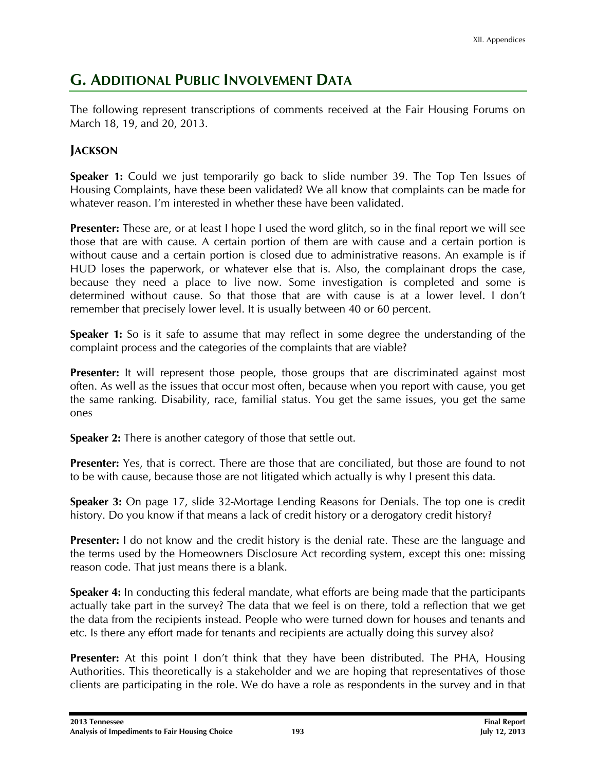## **G. ADDITIONAL PUBLIC INVOLVEMENT DATA**

The following represent transcriptions of comments received at the Fair Housing Forums on March 18, 19, and 20, 2013.

## **JACKSON**

**Speaker 1:** Could we just temporarily go back to slide number 39. The Top Ten Issues of Housing Complaints, have these been validated? We all know that complaints can be made for whatever reason. I'm interested in whether these have been validated.

**Presenter:** These are, or at least I hope I used the word glitch, so in the final report we will see those that are with cause. A certain portion of them are with cause and a certain portion is without cause and a certain portion is closed due to administrative reasons. An example is if HUD loses the paperwork, or whatever else that is. Also, the complainant drops the case, because they need a place to live now. Some investigation is completed and some is determined without cause. So that those that are with cause is at a lower level. I don't remember that precisely lower level. It is usually between 40 or 60 percent.

**Speaker 1:** So is it safe to assume that may reflect in some degree the understanding of the complaint process and the categories of the complaints that are viable?

**Presenter:** It will represent those people, those groups that are discriminated against most often. As well as the issues that occur most often, because when you report with cause, you get the same ranking. Disability, race, familial status. You get the same issues, you get the same ones

**Speaker 2:** There is another category of those that settle out.

**Presenter:** Yes, that is correct. There are those that are conciliated, but those are found to not to be with cause, because those are not litigated which actually is why I present this data.

**Speaker 3:** On page 17, slide 32-Mortage Lending Reasons for Denials. The top one is credit history. Do you know if that means a lack of credit history or a derogatory credit history?

**Presenter:** I do not know and the credit history is the denial rate. These are the language and the terms used by the Homeowners Disclosure Act recording system, except this one: missing reason code. That just means there is a blank.

**Speaker 4:** In conducting this federal mandate, what efforts are being made that the participants actually take part in the survey? The data that we feel is on there, told a reflection that we get the data from the recipients instead. People who were turned down for houses and tenants and etc. Is there any effort made for tenants and recipients are actually doing this survey also?

**Presenter:** At this point I don't think that they have been distributed. The PHA, Housing Authorities. This theoretically is a stakeholder and we are hoping that representatives of those clients are participating in the role. We do have a role as respondents in the survey and in that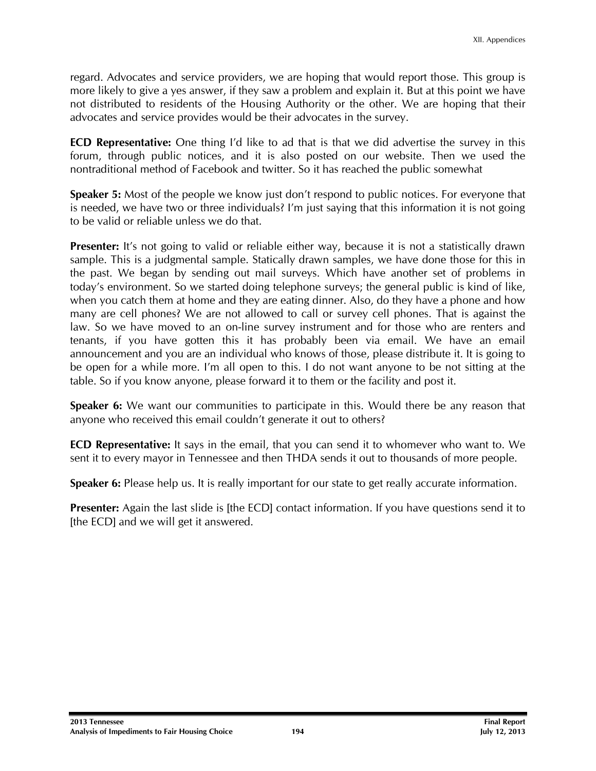regard. Advocates and service providers, we are hoping that would report those. This group is more likely to give a yes answer, if they saw a problem and explain it. But at this point we have not distributed to residents of the Housing Authority or the other. We are hoping that their advocates and service provides would be their advocates in the survey.

**ECD Representative:** One thing I'd like to ad that is that we did advertise the survey in this forum, through public notices, and it is also posted on our website. Then we used the nontraditional method of Facebook and twitter. So it has reached the public somewhat

**Speaker 5:** Most of the people we know just don't respond to public notices. For everyone that is needed, we have two or three individuals? I'm just saying that this information it is not going to be valid or reliable unless we do that.

**Presenter:** It's not going to valid or reliable either way, because it is not a statistically drawn sample. This is a judgmental sample. Statically drawn samples, we have done those for this in the past. We began by sending out mail surveys. Which have another set of problems in today's environment. So we started doing telephone surveys; the general public is kind of like, when you catch them at home and they are eating dinner. Also, do they have a phone and how many are cell phones? We are not allowed to call or survey cell phones. That is against the law. So we have moved to an on-line survey instrument and for those who are renters and tenants, if you have gotten this it has probably been via email. We have an email announcement and you are an individual who knows of those, please distribute it. It is going to be open for a while more. I'm all open to this. I do not want anyone to be not sitting at the table. So if you know anyone, please forward it to them or the facility and post it.

**Speaker 6:** We want our communities to participate in this. Would there be any reason that anyone who received this email couldn't generate it out to others?

**ECD Representative:** It says in the email, that you can send it to whomever who want to. We sent it to every mayor in Tennessee and then THDA sends it out to thousands of more people.

**Speaker 6:** Please help us. It is really important for our state to get really accurate information.

**Presenter:** Again the last slide is [the ECD] contact information. If you have questions send it to [the ECD] and we will get it answered.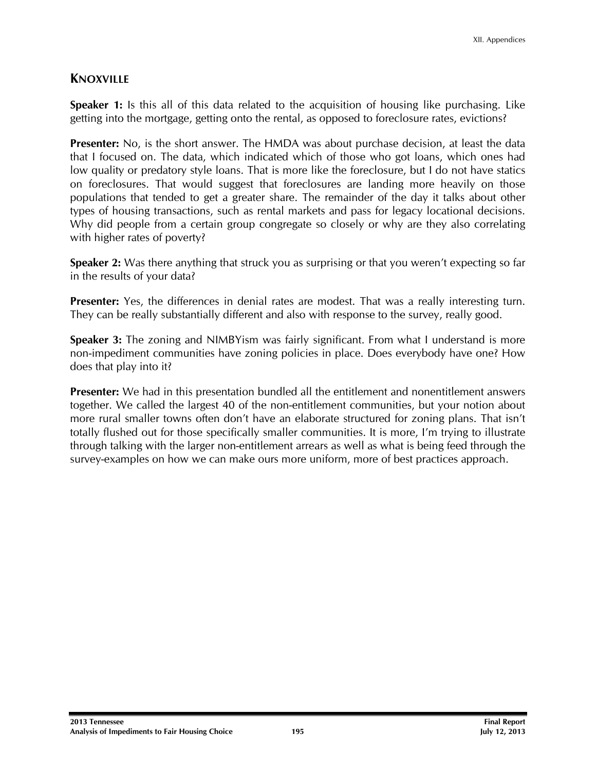## **KNOXVILLE**

**Speaker 1:** Is this all of this data related to the acquisition of housing like purchasing. Like getting into the mortgage, getting onto the rental, as opposed to foreclosure rates, evictions?

**Presenter:** No, is the short answer. The HMDA was about purchase decision, at least the data that I focused on. The data, which indicated which of those who got loans, which ones had low quality or predatory style loans. That is more like the foreclosure, but I do not have statics on foreclosures. That would suggest that foreclosures are landing more heavily on those populations that tended to get a greater share. The remainder of the day it talks about other types of housing transactions, such as rental markets and pass for legacy locational decisions. Why did people from a certain group congregate so closely or why are they also correlating with higher rates of poverty?

**Speaker 2:** Was there anything that struck you as surprising or that you weren't expecting so far in the results of your data?

**Presenter:** Yes, the differences in denial rates are modest. That was a really interesting turn. They can be really substantially different and also with response to the survey, really good.

**Speaker 3:** The zoning and NIMBYism was fairly significant. From what I understand is more non-impediment communities have zoning policies in place. Does everybody have one? How does that play into it?

**Presenter:** We had in this presentation bundled all the entitlement and nonentitlement answers together. We called the largest 40 of the non-entitlement communities, but your notion about more rural smaller towns often don't have an elaborate structured for zoning plans. That isn't totally flushed out for those specifically smaller communities. It is more, I'm trying to illustrate through talking with the larger non-entitlement arrears as well as what is being feed through the survey-examples on how we can make ours more uniform, more of best practices approach.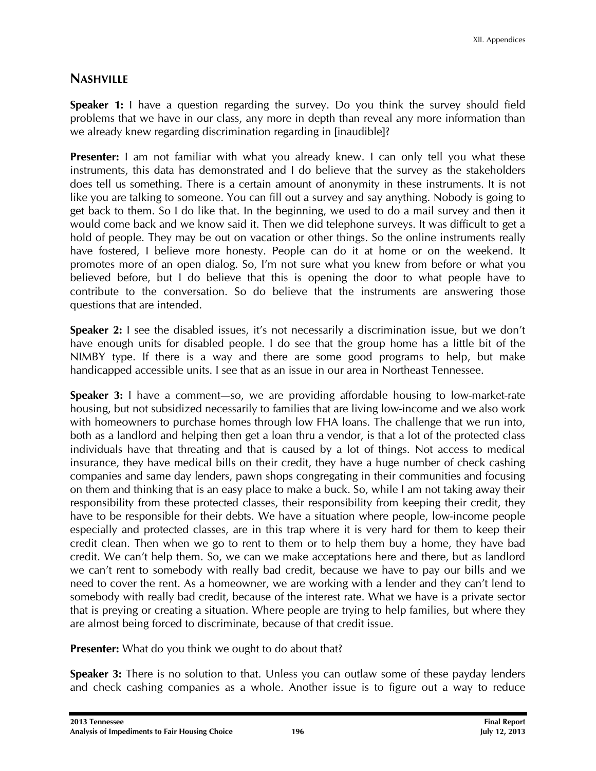## **NASHVILLE**

**Speaker 1:** I have a question regarding the survey. Do you think the survey should field problems that we have in our class, any more in depth than reveal any more information than we already knew regarding discrimination regarding in [inaudible]?

**Presenter:** I am not familiar with what you already knew. I can only tell you what these instruments, this data has demonstrated and I do believe that the survey as the stakeholders does tell us something. There is a certain amount of anonymity in these instruments. It is not like you are talking to someone. You can fill out a survey and say anything. Nobody is going to get back to them. So I do like that. In the beginning, we used to do a mail survey and then it would come back and we know said it. Then we did telephone surveys. It was difficult to get a hold of people. They may be out on vacation or other things. So the online instruments really have fostered, I believe more honesty. People can do it at home or on the weekend. It promotes more of an open dialog. So, I'm not sure what you knew from before or what you believed before, but I do believe that this is opening the door to what people have to contribute to the conversation. So do believe that the instruments are answering those questions that are intended.

**Speaker 2:** I see the disabled issues, it's not necessarily a discrimination issue, but we don't have enough units for disabled people. I do see that the group home has a little bit of the NIMBY type. If there is a way and there are some good programs to help, but make handicapped accessible units. I see that as an issue in our area in Northeast Tennessee.

**Speaker 3:** I have a comment—so, we are providing affordable housing to low-market-rate housing, but not subsidized necessarily to families that are living low-income and we also work with homeowners to purchase homes through low FHA loans. The challenge that we run into, both as a landlord and helping then get a loan thru a vendor, is that a lot of the protected class individuals have that threating and that is caused by a lot of things. Not access to medical insurance, they have medical bills on their credit, they have a huge number of check cashing companies and same day lenders, pawn shops congregating in their communities and focusing on them and thinking that is an easy place to make a buck. So, while I am not taking away their responsibility from these protected classes, their responsibility from keeping their credit, they have to be responsible for their debts. We have a situation where people, low-income people especially and protected classes, are in this trap where it is very hard for them to keep their credit clean. Then when we go to rent to them or to help them buy a home, they have bad credit. We can't help them. So, we can we make acceptations here and there, but as landlord we can't rent to somebody with really bad credit, because we have to pay our bills and we need to cover the rent. As a homeowner, we are working with a lender and they can't lend to somebody with really bad credit, because of the interest rate. What we have is a private sector that is preying or creating a situation. Where people are trying to help families, but where they are almost being forced to discriminate, because of that credit issue.

**Presenter:** What do you think we ought to do about that?

**Speaker 3:** There is no solution to that. Unless you can outlaw some of these payday lenders and check cashing companies as a whole. Another issue is to figure out a way to reduce